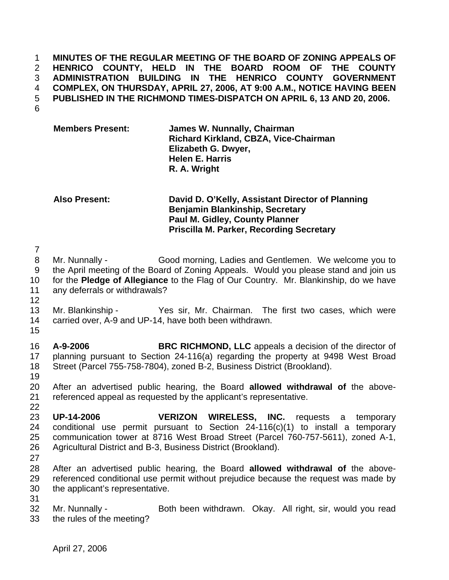**MINUTES OF THE REGULAR MEETING OF THE BOARD OF ZONING APPEALS OF HENRICO COUNTY, HELD IN THE BOARD ROOM OF THE COUNTY ADMINISTRATION BUILDING IN THE HENRICO COUNTY GOVERNMENT COMPLEX, ON THURSDAY, APRIL 27, 2006, AT 9:00 A.M., NOTICE HAVING BEEN PUBLISHED IN THE RICHMOND TIMES-DISPATCH ON APRIL 6, 13 AND 20, 2006.** 

6

| <b>Members Present:</b> | James W. Nunnally, Chairman                  |
|-------------------------|----------------------------------------------|
|                         | <b>Richard Kirkland, CBZA, Vice-Chairman</b> |
|                         | Elizabeth G. Dwyer,                          |
|                         | <b>Helen E. Harris</b>                       |
|                         | R. A. Wright                                 |

**Also Present: David D. O'Kelly, Assistant Director of Planning Benjamin Blankinship, Secretary Paul M. Gidley, County Planner Priscilla M. Parker, Recording Secretary** 

7

8 Mr. Nunnally - Good morning, Ladies and Gentlemen. We welcome you to 9 the April meeting of the Board of Zoning Appeals. Would you please stand and join us 10 for the **Pledge of Allegiance** to the Flag of Our Country. Mr. Blankinship, do we have 11 any deferrals or withdrawals?

- 13 Mr. Blankinship Yes sir, Mr. Chairman. The first two cases, which were
- 14 carried over, A-9 and UP-14, have both been withdrawn.
- 15

12

16 **A-9-2006 BRC RICHMOND, LLC** appeals a decision of the director of 17 planning pursuant to Section 24-116(a) regarding the property at 9498 West Broad 18 Street (Parcel 755-758-7804), zoned B-2, Business District (Brookland).

19

20 After an advertised public hearing, the Board **allowed withdrawal of** the above-21 referenced appeal as requested by the applicant's representative. 22

- 23 **UP-14-2006 VERIZON WIRELESS, INC.** requests a temporary 24 conditional use permit pursuant to Section 24-116(c)(1) to install a temporary 25 communication tower at 8716 West Broad Street (Parcel 760-757-5611), zoned A-1, 26 Agricultural District and B-3, Business District (Brookland).
- 27

28 After an advertised public hearing, the Board **allowed withdrawal of** the above-29 referenced conditional use permit without prejudice because the request was made by 30 the applicant's representative.

31

32 Mr. Nunnally - Both been withdrawn. Okay. All right, sir, would you read 33 the rules of the meeting?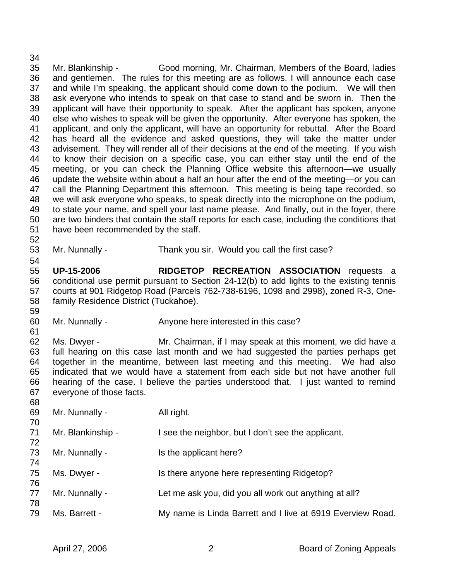34 35 Mr. Blankinship - Good morning, Mr. Chairman, Members of the Board, ladies 36 and gentlemen. The rules for this meeting are as follows. I will announce each case 37 and while I'm speaking, the applicant should come down to the podium. We will then 38 ask everyone who intends to speak on that case to stand and be sworn in. Then the 39 applicant will have their opportunity to speak. After the applicant has spoken, anyone 40 else who wishes to speak will be given the opportunity. After everyone has spoken, the 41 applicant, and only the applicant, will have an opportunity for rebuttal. After the Board 42 has heard all the evidence and asked questions, they will take the matter under 43 advisement. They will render all of their decisions at the end of the meeting. If you wish 44 to know their decision on a specific case, you can either stay until the end of the 45 meeting, or you can check the Planning Office website this afternoon—we usually 46 update the website within about a half an hour after the end of the meeting—or you can 47 call the Planning Department this afternoon. This meeting is being tape recorded, so 48 we will ask everyone who speaks, to speak directly into the microphone on the podium, 49 to state your name, and spell your last name please. And finally, out in the foyer, there 50 are two binders that contain the staff reports for each case, including the conditions that 51 have been recommended by the staff.

53 Mr. Nunnally - Thank you sir. Would you call the first case?

55 **UP-15-2006 RIDGETOP RECREATION ASSOCIATION** requests a 56 conditional use permit pursuant to Section 24-12(b) to add lights to the existing tennis 57 courts at 901 Ridgetop Road (Parcels 762-738-6196, 1098 and 2998), zoned R-3, One-58 family Residence District (Tuckahoe).

60 Mr. Nunnally - Anyone here interested in this case?

62 Ms. Dwyer - Mr. Chairman, if I may speak at this moment, we did have a 63 full hearing on this case last month and we had suggested the parties perhaps get 64 together in the meantime, between last meeting and this meeting. We had also 65 indicated that we would have a statement from each side but not have another full 66 hearing of the case. I believe the parties understood that. I just wanted to remind 67 everyone of those facts.

68 69 Mr. Nunnally - All right. 70 71 Mr. Blankinship - I see the neighbor, but I don't see the applicant. 72 73 Mr. Nunnally - Is the applicant here? 74 75 Ms. Dwyer - Is there anyone here representing Ridgetop? 76 77 Mr. Nunnally - Let me ask you, did you all work out anything at all? 78 79 Ms. Barrett - My name is Linda Barrett and I live at 6919 Everview Road.

52

54

59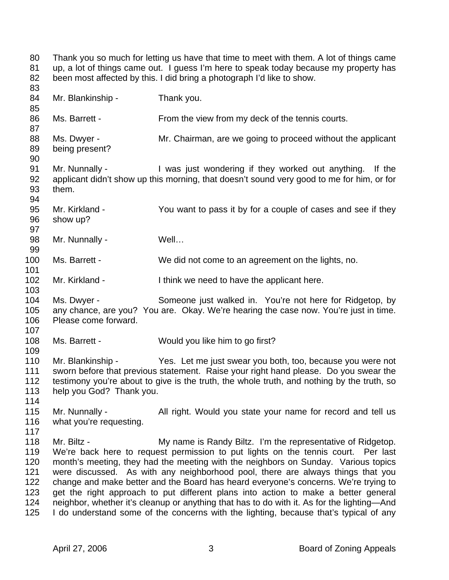80 Thank you so much for letting us have that time to meet with them. A lot of things came 81 up, a lot of things came out. I guess I'm here to speak today because my property has 82 been most affected by this. I did bring a photograph I'd like to show. 83 84 Mr. Blankinship - Thank you. 85 86 Ms. Barrett - From the view from my deck of the tennis courts. 87 88 Ms. Dwyer - Mr. Chairman, are we going to proceed without the applicant 89 being present? 90 91 Mr. Nunnally - I was just wondering if they worked out anything. If the 92 applicant didn't show up this morning, that doesn't sound very good to me for him, or for 93 them. 94 95 Mr. Kirkland - You want to pass it by for a couple of cases and see if they 96 show up? 97 98 Mr. Nunnally - Well... 99 100 Ms. Barrett - We did not come to an agreement on the lights, no. 101 102 Mr. Kirkland - I think we need to have the applicant here. 103 104 Ms. Dwyer - Someone just walked in. You're not here for Ridgetop, by 105 any chance, are you? You are. Okay. We're hearing the case now. You're just in time. 106 Please come forward. 107 108 Ms. Barrett - Would you like him to go first? 109 110 Mr. Blankinship - Yes. Let me just swear you both, too, because you were not 111 sworn before that previous statement. Raise your right hand please. Do you swear the 112 testimony you're about to give is the truth, the whole truth, and nothing by the truth, so 113 help you God? Thank you. 114 115 Mr. Nunnally - All right. Would you state your name for record and tell us 116 what you're requesting. 117 118 Mr. Biltz - My name is Randy Biltz. I'm the representative of Ridgetop. 119 We're back here to request permission to put lights on the tennis court. Per last 120 month's meeting, they had the meeting with the neighbors on Sunday. Various topics 121 were discussed. As with any neighborhood pool, there are always things that you 122 change and make better and the Board has heard everyone's concerns. We're trying to 123 get the right approach to put different plans into action to make a better general 124 neighbor, whether it's cleanup or anything that has to do with it. As for the lighting—And 125 I do understand some of the concerns with the lighting, because that's typical of any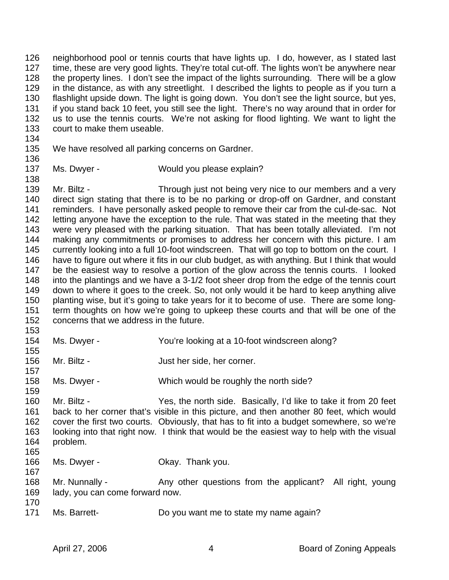126 neighborhood pool or tennis courts that have lights up. I do, however, as I stated last 127 time, these are very good lights. They're total cut-off. The lights won't be anywhere near 128 the property lines. I don't see the impact of the lights surrounding. There will be a glow 129 in the distance, as with any streetlight. I described the lights to people as if you turn a 130 flashlight upside down. The light is going down. You don't see the light source, but yes, 131 if you stand back 10 feet, you still see the light. There's no way around that in order for 132 us to use the tennis courts. We're not asking for flood lighting. We want to light the 133 court to make them useable.

134

135 We have resolved all parking concerns on Gardner.

136

138

137 Ms. Dwyer - Would you please explain?

139 Mr. Biltz - Through just not being very nice to our members and a very 140 direct sign stating that there is to be no parking or drop-off on Gardner, and constant 141 reminders. I have personally asked people to remove their car from the cul-de-sac. Not 142 letting anyone have the exception to the rule. That was stated in the meeting that they 143 were very pleased with the parking situation. That has been totally alleviated. I'm not 144 making any commitments or promises to address her concern with this picture. I am 145 currently looking into a full 10-foot windscreen. That will go top to bottom on the court. I 146 have to figure out where it fits in our club budget, as with anything. But I think that would 147 be the easiest way to resolve a portion of the glow across the tennis courts. I looked 148 into the plantings and we have a 3-1/2 foot sheer drop from the edge of the tennis court 149 down to where it goes to the creek. So, not only would it be hard to keep anything alive 150 planting wise, but it's going to take years for it to become of use. There are some long-151 term thoughts on how we're going to upkeep these courts and that will be one of the 152 concerns that we address in the future.

153

155

154 Ms. Dwyer - You're looking at a 10-foot windscreen along?

156 Mr. Biltz - Just her side, her corner. 157

158 Ms. Dwyer - Which would be roughly the north side? 159

160 Mr. Biltz - Yes, the north side. Basically, I'd like to take it from 20 feet 161 back to her corner that's visible in this picture, and then another 80 feet, which would 162 cover the first two courts. Obviously, that has to fit into a budget somewhere, so we're 163 looking into that right now. I think that would be the easiest way to help with the visual 164 problem.

165

166 Ms. Dwyer - Chang Okay. Thank you. 167

168 Mr. Nunnally - Any other questions from the applicant? All right, young 169 lady, you can come forward now.

170

171 Ms. Barrett- Do you want me to state my name again?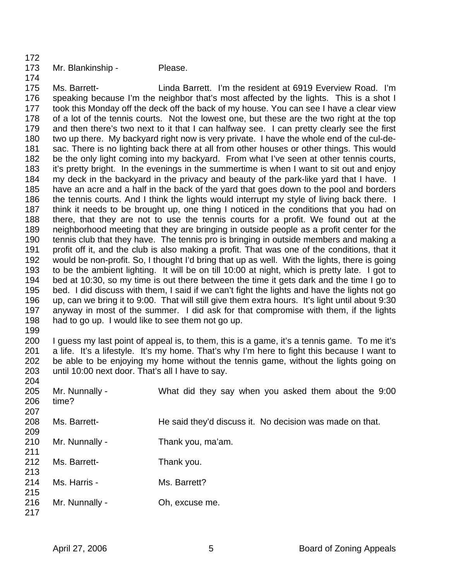- 172
- 

## 173 Mr. Blankinship - Please.

174 175 Ms. Barrett- Linda Barrett. I'm the resident at 6919 Everview Road. I'm 176 speaking because I'm the neighbor that's most affected by the lights. This is a shot I 177 took this Monday off the deck off the back of my house. You can see I have a clear view 178 of a lot of the tennis courts. Not the lowest one, but these are the two right at the top 179 and then there's two next to it that I can halfway see. I can pretty clearly see the first 180 two up there. My backyard right now is very private. I have the whole end of the cul-de-181 sac. There is no lighting back there at all from other houses or other things. This would 182 be the only light coming into my backyard. From what I've seen at other tennis courts, 183 it's pretty bright. In the evenings in the summertime is when I want to sit out and enjoy 184 my deck in the backyard in the privacy and beauty of the park-like yard that I have. I 185 have an acre and a half in the back of the yard that goes down to the pool and borders 186 the tennis courts. And I think the lights would interrupt my style of living back there. I 187 think it needs to be brought up, one thing I noticed in the conditions that you had on 188 there, that they are not to use the tennis courts for a profit. We found out at the 189 neighborhood meeting that they are bringing in outside people as a profit center for the 190 tennis club that they have. The tennis pro is bringing in outside members and making a 191 profit off it, and the club is also making a profit. That was one of the conditions, that it 192 would be non-profit. So, I thought I'd bring that up as well. With the lights, there is going 193 to be the ambient lighting. It will be on till 10:00 at night, which is pretty late. I got to 194 bed at 10:30, so my time is out there between the time it gets dark and the time I go to 195 bed. I did discuss with them, I said if we can't fight the lights and have the lights not go 196 up, can we bring it to 9:00. That will still give them extra hours. It's light until about 9:30 197 anyway in most of the summer. I did ask for that compromise with them, if the lights 198 had to go up. I would like to see them not go up.

199

200 I guess my last point of appeal is, to them, this is a game, it's a tennis game. To me it's 201 a life. It's a lifestyle. It's my home. That's why I'm here to fight this because I want to 202 be able to be enjoying my home without the tennis game, without the lights going on 203 until 10:00 next door. That's all I have to say.

| 204 |                |                                                          |
|-----|----------------|----------------------------------------------------------|
| 205 | Mr. Nunnally - | What did they say when you asked them about the 9:00     |
| 206 | time?          |                                                          |
| 207 |                |                                                          |
| 208 | Ms. Barrett-   | He said they'd discuss it. No decision was made on that. |
| 209 |                |                                                          |
| 210 | Mr. Nunnally - | Thank you, ma'am.                                        |
| 211 |                |                                                          |
| 212 | Ms. Barrett-   | Thank you.                                               |
| 213 |                |                                                          |
| 214 | Ms. Harris -   | Ms. Barrett?                                             |
| 215 |                |                                                          |
| 216 | Mr. Nunnally - | Oh, excuse me.                                           |
| 217 |                |                                                          |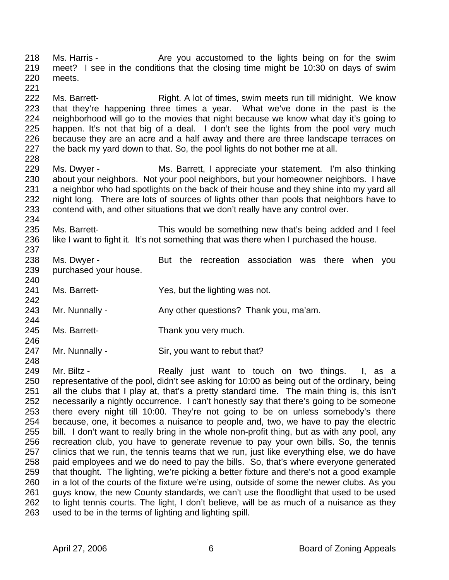218 Ms. Harris - The State you accustomed to the lights being on for the swim 219 meet? I see in the conditions that the closing time might be 10:30 on days of swim 220 meets. 221

222 Ms. Barrett- Right. A lot of times, swim meets run till midnight. We know 223 that they're happening three times a year. What we've done in the past is the 224 neighborhood will go to the movies that night because we know what day it's going to 225 happen. It's not that big of a deal. I don't see the lights from the pool very much 226 because they are an acre and a half away and there are three landscape terraces on 227 the back my yard down to that. So, the pool lights do not bother me at all.

229 Ms. Dwyer - Ms. Barrett, I appreciate your statement. I'm also thinking 230 about your neighbors. Not your pool neighbors, but your homeowner neighbors. I have 231 a neighbor who had spotlights on the back of their house and they shine into my yard all 232 night long. There are lots of sources of lights other than pools that neighbors have to 233 contend with, and other situations that we don't really have any control over.

- 235 Ms. Barrett- This would be something new that's being added and I feel 236 like I want to fight it. It's not something that was there when I purchased the house. 237
- 238 Ms. Dwyer But the recreation association was there when you 239 purchased your house.
- 241 Ms. Barrett- Yes, but the lighting was not.
- 243 Mr. Nunnally Any other questions? Thank you, ma'am.
- 245 Ms. Barrett- Thank you very much. 246
- 247 Mr. Nunnally Sir, you want to rebut that?

249 Mr. Biltz - The Really just want to touch on two things. I, as a 250 representative of the pool, didn't see asking for 10:00 as being out of the ordinary, being 251 all the clubs that I play at, that's a pretty standard time. The main thing is, this isn't 252 necessarily a nightly occurrence. I can't honestly say that there's going to be someone 253 there every night till 10:00. They're not going to be on unless somebody's there 254 because, one, it becomes a nuisance to people and, two, we have to pay the electric 255 bill. I don't want to really bring in the whole non-profit thing, but as with any pool, any 256 recreation club, you have to generate revenue to pay your own bills. So, the tennis 257 clinics that we run, the tennis teams that we run, just like everything else, we do have 258 paid employees and we do need to pay the bills. So, that's where everyone generated 259 that thought. The lighting, we're picking a better fixture and there's not a good example 260 in a lot of the courts of the fixture we're using, outside of some the newer clubs. As you 261 guys know, the new County standards, we can't use the floodlight that used to be used 262 to light tennis courts. The light, I don't believe, will be as much of a nuisance as they 263 used to be in the terms of lighting and lighting spill.

228

234

240

242

244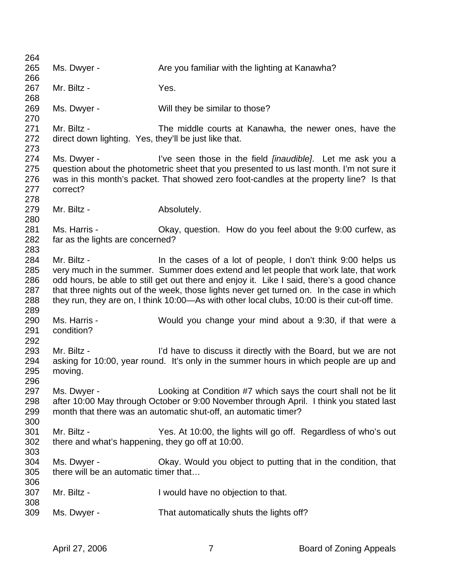| 264        |                                                       |                                                                                                                                                                 |
|------------|-------------------------------------------------------|-----------------------------------------------------------------------------------------------------------------------------------------------------------------|
| 265        | Ms. Dwyer -                                           | Are you familiar with the lighting at Kanawha?                                                                                                                  |
| 266        |                                                       |                                                                                                                                                                 |
| 267        | Mr. Biltz -                                           | Yes.                                                                                                                                                            |
| 268        |                                                       |                                                                                                                                                                 |
| 269        | Ms. Dwyer -                                           | Will they be similar to those?                                                                                                                                  |
| 270        |                                                       |                                                                                                                                                                 |
| 271        | Mr. Biltz -                                           | The middle courts at Kanawha, the newer ones, have the                                                                                                          |
| 272        | direct down lighting. Yes, they'll be just like that. |                                                                                                                                                                 |
| 273        |                                                       |                                                                                                                                                                 |
| 274<br>275 | Ms. Dwyer -                                           | I've seen those in the field <i>[inaudible]</i> . Let me ask you a<br>question about the photometric sheet that you presented to us last month. I'm not sure it |
| 276        |                                                       | was in this month's packet. That showed zero foot-candles at the property line? Is that                                                                         |
| 277        | correct?                                              |                                                                                                                                                                 |
| 278        |                                                       |                                                                                                                                                                 |
| 279        | Mr. Biltz -                                           | Absolutely.                                                                                                                                                     |
| 280        |                                                       |                                                                                                                                                                 |
| 281        | Ms. Harris -                                          | Okay, question. How do you feel about the 9:00 curfew, as                                                                                                       |
| 282        | far as the lights are concerned?                      |                                                                                                                                                                 |
| 283        |                                                       |                                                                                                                                                                 |
| 284        | Mr. Biltz -                                           | In the cases of a lot of people, I don't think 9:00 helps us                                                                                                    |
| 285        |                                                       | very much in the summer. Summer does extend and let people that work late, that work                                                                            |
| 286        |                                                       | odd hours, be able to still get out there and enjoy it. Like I said, there's a good chance                                                                      |
| 287        |                                                       | that three nights out of the week, those lights never get turned on. In the case in which                                                                       |
| 288        |                                                       | they run, they are on, I think 10:00—As with other local clubs, 10:00 is their cut-off time.                                                                    |
| 289        |                                                       |                                                                                                                                                                 |
| 290        | Ms. Harris -                                          | Would you change your mind about a 9:30, if that were a                                                                                                         |
| 291        | condition?                                            |                                                                                                                                                                 |
| 292        |                                                       |                                                                                                                                                                 |
| 293        | Mr. Biltz -                                           | I'd have to discuss it directly with the Board, but we are not                                                                                                  |
| 294        |                                                       | asking for 10:00, year round. It's only in the summer hours in which people are up and                                                                          |
| 295        | moving.                                               |                                                                                                                                                                 |
| 296        |                                                       |                                                                                                                                                                 |
| 297        | Ms. Dwyer -                                           | Looking at Condition #7 which says the court shall not be lit                                                                                                   |
| 298        |                                                       | after 10:00 May through October or 9:00 November through April. I think you stated last                                                                         |
| 299        |                                                       | month that there was an automatic shut-off, an automatic timer?                                                                                                 |
| 300<br>301 | Mr. Biltz -                                           | Yes. At 10:00, the lights will go off. Regardless of who's out                                                                                                  |
| 302        | there and what's happening, they go off at 10:00.     |                                                                                                                                                                 |
| 303        |                                                       |                                                                                                                                                                 |
| 304        | Ms. Dwyer -                                           | Okay. Would you object to putting that in the condition, that                                                                                                   |
| 305        | there will be an automatic timer that                 |                                                                                                                                                                 |
| 306        |                                                       |                                                                                                                                                                 |
| 307        | Mr. Biltz -                                           | I would have no objection to that.                                                                                                                              |
| 308        |                                                       |                                                                                                                                                                 |
| 309        | Ms. Dwyer -                                           | That automatically shuts the lights off?                                                                                                                        |
|            |                                                       |                                                                                                                                                                 |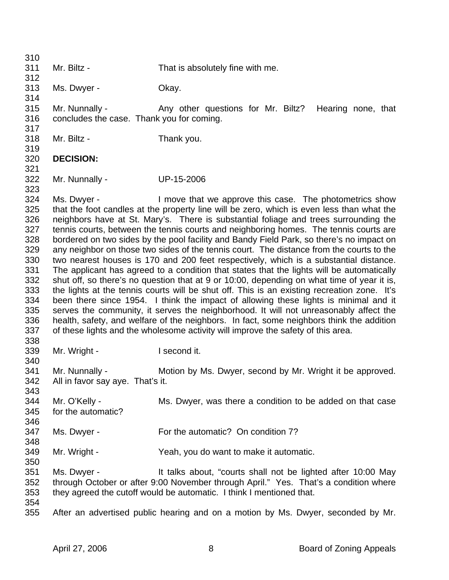310 311 Mr. Biltz - That is absolutely fine with me. 312 313 Ms. Dwyer - Okay. 314 315 Mr. Nunnally - Any other questions for Mr. Biltz? Hearing none, that 316 concludes the case. Thank you for coming. 317 318 Mr. Biltz - Thank you. 319 320 **DECISION:**  321 322 Mr. Nunnally - UP-15-2006 323 324 Ms. Dwyer - I move that we approve this case. The photometrics show 325 that the foot candles at the property line will be zero, which is even less than what the 326 neighbors have at St. Mary's. There is substantial foliage and trees surrounding the 327 tennis courts, between the tennis courts and neighboring homes. The tennis courts are 328 bordered on two sides by the pool facility and Bandy Field Park, so there's no impact on 329 any neighbor on those two sides of the tennis court. The distance from the courts to the 330 two nearest houses is 170 and 200 feet respectively, which is a substantial distance. 331 The applicant has agreed to a condition that states that the lights will be automatically 332 shut off, so there's no question that at 9 or 10:00, depending on what time of year it is, 333 the lights at the tennis courts will be shut off. This is an existing recreation zone. It's 334 been there since 1954. I think the impact of allowing these lights is minimal and it 335 serves the community, it serves the neighborhood. It will not unreasonably affect the 336 health, safety, and welfare of the neighbors. In fact, some neighbors think the addition 337 of these lights and the wholesome activity will improve the safety of this area. 338 339 Mr. Wright - I second it. 340 341 Mr. Nunnally - Motion by Ms. Dwyer, second by Mr. Wright it be approved. 342 All in favor say aye. That's it. 343 344 Mr. O'Kelly - Ms. Dwyer, was there a condition to be added on that case 345 for the automatic? 346 347 Ms. Dwyer - For the automatic? On condition 7? 348 349 Mr. Wright - Yeah, you do want to make it automatic. 350 351 Ms. Dwyer - It talks about, "courts shall not be lighted after 10:00 May 352 through October or after 9:00 November through April." Yes. That's a condition where 353 they agreed the cutoff would be automatic. I think I mentioned that. 354 355 After an advertised public hearing and on a motion by Ms. Dwyer, seconded by Mr.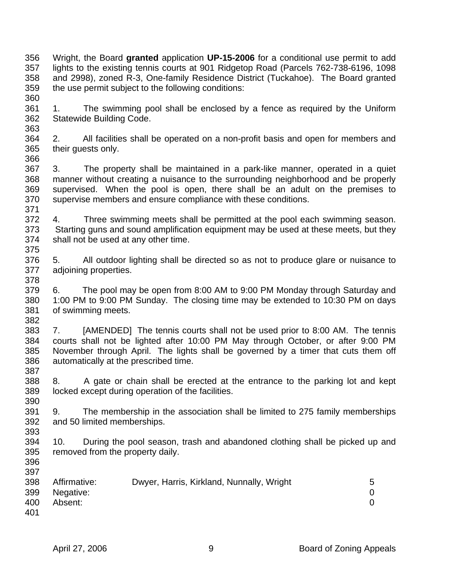356 Wright, the Board **granted** application **UP-15-2006** for a conditional use permit to add 357 lights to the existing tennis courts at 901 Ridgetop Road (Parcels 762-738-6196, 1098 358 and 2998), zoned R-3, One-family Residence District (Tuckahoe). The Board granted 359 the use permit subject to the following conditions: 360

361 1. The swimming pool shall be enclosed by a fence as required by the Uniform 362 Statewide Building Code.

364 2. All facilities shall be operated on a non-profit basis and open for members and 365 their guests only. 366

367 3. The property shall be maintained in a park-like manner, operated in a quiet 368 manner without creating a nuisance to the surrounding neighborhood and be properly 369 supervised. When the pool is open, there shall be an adult on the premises to 370 supervise members and ensure compliance with these conditions.

371 372 4. Three swimming meets shall be permitted at the pool each swimming season. 373 Starting guns and sound amplification equipment may be used at these meets, but they 374 shall not be used at any other time. 375

376 5. All outdoor lighting shall be directed so as not to produce glare or nuisance to 377 adjoining properties.

379 6. The pool may be open from 8:00 AM to 9:00 PM Monday through Saturday and 380 1:00 PM to 9:00 PM Sunday. The closing time may be extended to 10:30 PM on days 381 of swimming meets. 382

383 7. [AMENDED] The tennis courts shall not be used prior to 8:00 AM. The tennis 384 courts shall not be lighted after 10:00 PM May through October, or after 9:00 PM 385 November through April. The lights shall be governed by a timer that cuts them off 386 automatically at the prescribed time. 387

388 8. A gate or chain shall be erected at the entrance to the parking lot and kept 389 locked except during operation of the facilities. 390

391 9. The membership in the association shall be limited to 275 family memberships 392 and 50 limited memberships.

393

363

378

394 10. During the pool season, trash and abandoned clothing shall be picked up and 395 removed from the property daily.

| 398 | Affirmative: | Dwyer, Harris, Kirkland, Nunnally, Wright |  |
|-----|--------------|-------------------------------------------|--|
| 399 | Negative:    |                                           |  |
| 400 | Absent:      |                                           |  |
| 401 |              |                                           |  |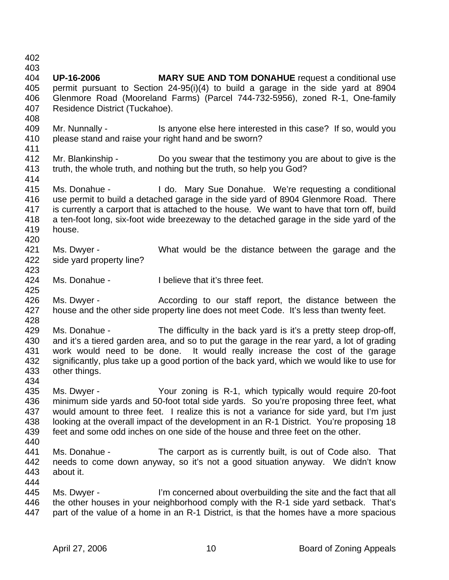402

403

404 **UP-16-2006 MARY SUE AND TOM DONAHUE** request a conditional use 405 permit pursuant to Section 24-95(i)(4) to build a garage in the side yard at 8904 406 Glenmore Road (Mooreland Farms) (Parcel 744-732-5956), zoned R-1, One-family 407 Residence District (Tuckahoe). 408

- 409 Mr. Nunnally Is anyone else here interested in this case? If so, would you 410 please stand and raise your right hand and be sworn?
- 411
- 412 Mr. Blankinship Do you swear that the testimony you are about to give is the 413 truth, the whole truth, and nothing but the truth, so help you God? 414
- 415 Ms. Donahue I do. Mary Sue Donahue. We're requesting a conditional 416 use permit to build a detached garage in the side yard of 8904 Glenmore Road. There 417 is currently a carport that is attached to the house. We want to have that torn off, build 418 a ten-foot long, six-foot wide breezeway to the detached garage in the side yard of the 419 house. 420
- 421 Ms. Dwyer What would be the distance between the garage and the 422 side yard property line? 423
- 424 Ms. Donahue I believe that it's three feet. 425
- 426 Ms. Dwyer According to our staff report, the distance between the 427 house and the other side property line does not meet Code. It's less than twenty feet. 428
- 429 Ms. Donahue The difficulty in the back yard is it's a pretty steep drop-off, 430 and it's a tiered garden area, and so to put the garage in the rear yard, a lot of grading 431 work would need to be done. It would really increase the cost of the garage 432 significantly, plus take up a good portion of the back yard, which we would like to use for 433 other things.
- 434
- 435 Ms. Dwyer Your zoning is R-1, which typically would require 20-foot 436 minimum side yards and 50-foot total side yards. So you're proposing three feet, what 437 would amount to three feet. I realize this is not a variance for side yard, but I'm just 438 looking at the overall impact of the development in an R-1 District. You're proposing 18 439 feet and some odd inches on one side of the house and three feet on the other.
- 440
- 441 Ms. Donahue The carport as is currently built, is out of Code also. That 442 needs to come down anyway, so it's not a good situation anyway. We didn't know 443 about it. 444
- 445 Ms. Dwyer I'm concerned about overbuilding the site and the fact that all 446 the other houses in your neighborhood comply with the R-1 side yard setback. That's 447 part of the value of a home in an R-1 District, is that the homes have a more spacious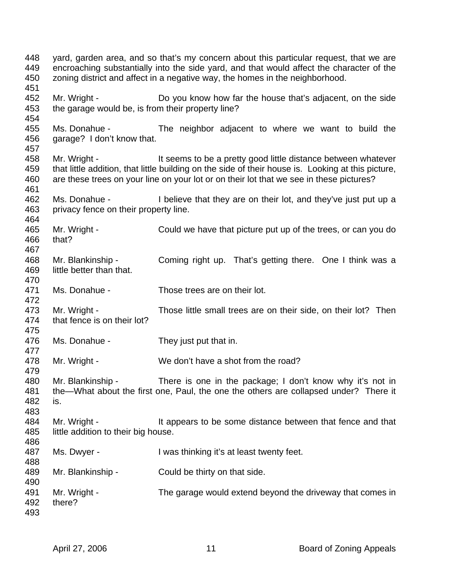448 yard, garden area, and so that's my concern about this particular request, that we are 449 encroaching substantially into the side yard, and that would affect the character of the 450 zoning district and affect in a negative way, the homes in the neighborhood. 451 452 Mr. Wright - Do you know how far the house that's adjacent, on the side 453 the garage would be, is from their property line? 454 455 Ms. Donahue - The neighbor adjacent to where we want to build the 456 garage? I don't know that. 457 458 Mr. Wright - It seems to be a pretty good little distance between whatever 459 that little addition, that little building on the side of their house is. Looking at this picture, 460 are these trees on your line on your lot or on their lot that we see in these pictures? 461 462 Ms. Donahue - I believe that they are on their lot, and they've just put up a 463 privacy fence on their property line. 464 465 Mr. Wright - Could we have that picture put up of the trees, or can you do 466 that? 467 468 Mr. Blankinship - Coming right up. That's getting there. One I think was a 469 little better than that. 470 471 Ms. Donahue - Those trees are on their lot. 472 473 Mr. Wright - Those little small trees are on their side, on their lot? Then 474 that fence is on their lot? 475 476 Ms. Donahue - They just put that in. 477 478 Mr. Wright - We don't have a shot from the road? 479 480 Mr. Blankinship - There is one in the package; I don't know why it's not in 481 the—What about the first one, Paul, the one the others are collapsed under? There it 482 is. 483 484 Mr. Wright - It appears to be some distance between that fence and that 485 little addition to their big house. 486 487 Ms. Dwyer - I was thinking it's at least twenty feet. 488 489 Mr. Blankinship - Could be thirty on that side. 490 491 Mr. Wright - The garage would extend beyond the driveway that comes in 492 there? 493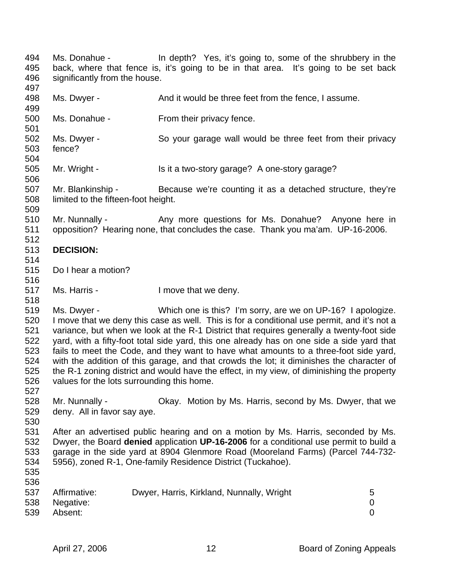494 Ms. Donahue - In depth? Yes, it's going to, some of the shrubbery in the 495 back, where that fence is, it's going to be in that area. It's going to be set back 496 significantly from the house. 497 498 Ms. Dwyer - And it would be three feet from the fence, I assume.

- 499
- 500 Ms. Donahue From their privacy fence. 501
- 502 Ms. Dwyer So your garage wall would be three feet from their privacy 503 fence? 504
- 505 Mr. Wright Is it a two-story garage? A one-story garage?

507 Mr. Blankinship - Because we're counting it as a detached structure, they're 508 limited to the fifteen-foot height. 509

510 Mr. Nunnally - Any more questions for Ms. Donahue? Anyone here in 511 opposition? Hearing none, that concludes the case. Thank you ma'am. UP-16-2006. 512

## 513 **DECISION:**

514

516

518

506

- 515 Do I hear a motion?
- 517 Ms. Harris I move that we deny.
- 519 Ms. Dwyer Which one is this? I'm sorry, are we on UP-16? I apologize. 520 I move that we deny this case as well. This is for a conditional use permit, and it's not a 521 variance, but when we look at the R-1 District that requires generally a twenty-foot side 522 yard, with a fifty-foot total side yard, this one already has on one side a side yard that 523 fails to meet the Code, and they want to have what amounts to a three-foot side yard, 524 with the addition of this garage, and that crowds the lot; it diminishes the character of 525 the R-1 zoning district and would have the effect, in my view, of diminishing the property 526 values for the lots surrounding this home.
- 528 Mr. Nunnally Okay. Motion by Ms. Harris, second by Ms. Dwyer, that we 529 deny. All in favor say aye.
- 530

536

527

531 After an advertised public hearing and on a motion by Ms. Harris, seconded by Ms. 532 Dwyer, the Board **denied** application **UP-16-2006** for a conditional use permit to build a 533 garage in the side yard at 8904 Glenmore Road (Mooreland Farms) (Parcel 744-732- 534 5956), zoned R-1, One-family Residence District (Tuckahoe). 535

537 Affirmative: Dwyer, Harris, Kirkland, Nunnally, Wright 5 538 Negative: 0 539 Absent: 0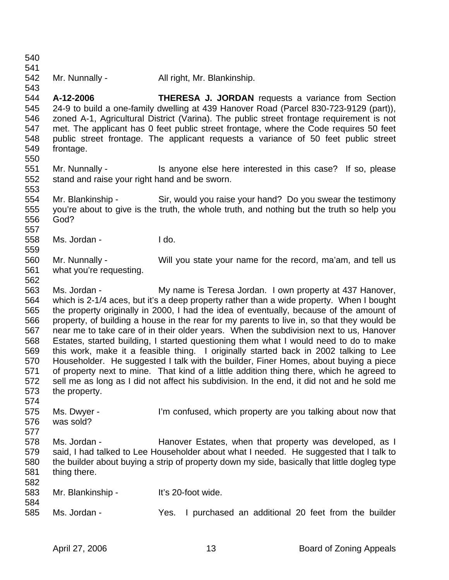541 542 Mr. Nunnally - All right, Mr. Blankinship. 543 544 **A-12-2006 THERESA J. JORDAN** requests a variance from Section 545 24-9 to build a one-family dwelling at 439 Hanover Road (Parcel 830-723-9129 (part)), 546 zoned A-1, Agricultural District (Varina). The public street frontage requirement is not 547 met. The applicant has 0 feet public street frontage, where the Code requires 50 feet 548 public street frontage. The applicant requests a variance of 50 feet public street 549 frontage. 550 551 Mr. Nunnally - Is anyone else here interested in this case? If so, please 552 stand and raise your right hand and be sworn. 553 554 Mr. Blankinship - Sir, would you raise your hand? Do you swear the testimony 555 you're about to give is the truth, the whole truth, and nothing but the truth so help you 556 God? 557 558 Ms. Jordan - I do. 559 560 Mr. Nunnally - Will you state your name for the record, ma'am, and tell us 561 what you're requesting. 562 563 Ms. Jordan - My name is Teresa Jordan. I own property at 437 Hanover, 564 which is 2-1/4 aces, but it's a deep property rather than a wide property. When I bought 565 the property originally in 2000, I had the idea of eventually, because of the amount of 566 property, of building a house in the rear for my parents to live in, so that they would be 567 near me to take care of in their older years. When the subdivision next to us, Hanover 568 Estates, started building, I started questioning them what I would need to do to make 569 this work, make it a feasible thing. I originally started back in 2002 talking to Lee 570 Householder. He suggested I talk with the builder, Finer Homes, about buying a piece 571 of property next to mine. That kind of a little addition thing there, which he agreed to 572 sell me as long as I did not affect his subdivision. In the end, it did not and he sold me 573 the property. 574 575 Ms. Dwyer - I'm confused, which property are you talking about now that 576 was sold? 577 578 Ms. Jordan - Hanover Estates, when that property was developed, as I 579 said, I had talked to Lee Householder about what I needed. He suggested that I talk to 580 the builder about buying a strip of property down my side, basically that little dogleg type 581 thing there. 582 583 Mr. Blankinship - It's 20-foot wide. 584 585 Ms. Jordan - Yes. I purchased an additional 20 feet from the builder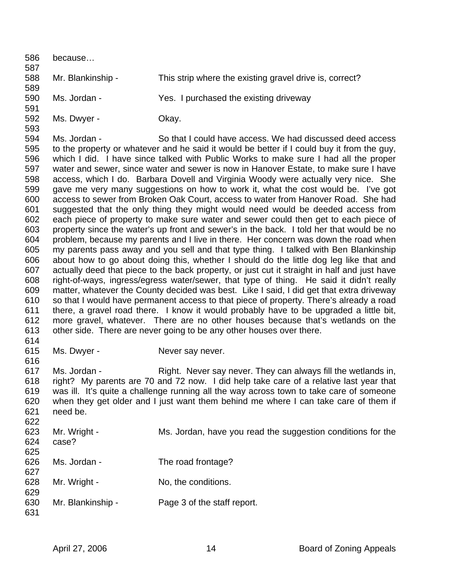586 because… 587 588 Mr. Blankinship - This strip where the existing gravel drive is, correct? 589 590 Ms. Jordan - Yes. I purchased the existing driveway 591 592 Ms. Dwyer - Okay. 593 594 Ms. Jordan - So that I could have access. We had discussed deed access 595 to the property or whatever and he said it would be better if I could buy it from the guy, 596 which I did. I have since talked with Public Works to make sure I had all the proper 597 water and sewer, since water and sewer is now in Hanover Estate, to make sure I have 598 access, which I do. Barbara Dovell and Virginia Woody were actually very nice. She 599 gave me very many suggestions on how to work it, what the cost would be. I've got 600 access to sewer from Broken Oak Court, access to water from Hanover Road. She had 601 suggested that the only thing they might would need would be deeded access from 602 each piece of property to make sure water and sewer could then get to each piece of 603 property since the water's up front and sewer's in the back. I told her that would be no 604 problem, because my parents and I live in there. Her concern was down the road when 605 my parents pass away and you sell and that type thing. I talked with Ben Blankinship 606 about how to go about doing this, whether I should do the little dog leg like that and 607 actually deed that piece to the back property, or just cut it straight in half and just have 608 right-of-ways, ingress/egress water/sewer, that type of thing. He said it didn't really 609 matter, whatever the County decided was best. Like I said, I did get that extra driveway 610 so that I would have permanent access to that piece of property. There's already a road 611 there, a gravel road there. I know it would probably have to be upgraded a little bit, 612 more gravel, whatever. There are no other houses because that's wetlands on the 613 other side. There are never going to be any other houses over there. 614 615 Ms. Dwyer - Never say never. 616 617 Ms. Jordan - Right. Never say never. They can always fill the wetlands in, 618 right? My parents are 70 and 72 now. I did help take care of a relative last year that 619 was ill. It's quite a challenge running all the way across town to take care of someone 620 when they get older and I just want them behind me where I can take care of them if 621 need be. 622 623 Mr. Wright - Ms. Jordan, have you read the suggestion conditions for the 624 case? 625 626 Ms. Jordan - The road frontage? 627 628 Mr. Wright - No, the conditions. 629 630 Mr. Blankinship - Page 3 of the staff report. 631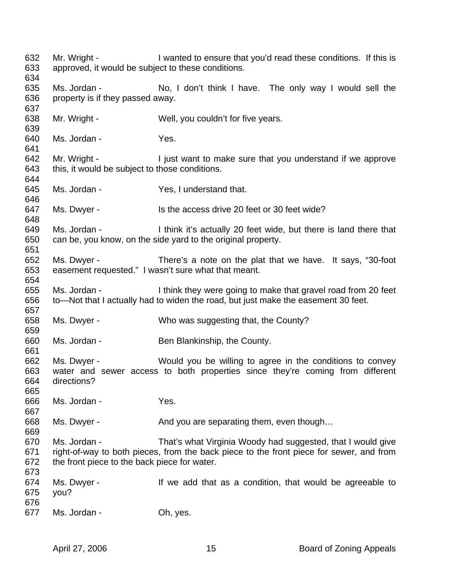632 Mr. Wright - I wanted to ensure that you'd read these conditions. If this is 633 approved, it would be subject to these conditions. 634 635 Ms. Jordan - No, I don't think I have. The only way I would sell the 636 property is if they passed away. 637 638 Mr. Wright - Well, you couldn't for five years. 639 640 Ms. Jordan - Yes. 641 642 Mr. Wright - I just want to make sure that you understand if we approve 643 this, it would be subject to those conditions. 644 645 Ms. Jordan - Yes, I understand that. 646 647 Ms. Dwyer - Is the access drive 20 feet or 30 feet wide? 648 649 Ms. Jordan - I think it's actually 20 feet wide, but there is land there that 650 can be, you know, on the side yard to the original property. 651 652 Ms. Dwyer - There's a note on the plat that we have. It says, "30-foot 653 easement requested." I wasn't sure what that meant. 654 655 Ms. Jordan - I think they were going to make that gravel road from 20 feet 656 to—Not that I actually had to widen the road, but just make the easement 30 feet. 657 658 Ms. Dwyer - Who was suggesting that, the County? 659 660 Ms. Jordan - Ben Blankinship, the County. 661 662 Ms. Dwyer - Would you be willing to agree in the conditions to convey 663 water and sewer access to both properties since they're coming from different 664 directions? 665 666 Ms. Jordan - Yes. 667 668 Ms. Dwyer - And you are separating them, even though... 669 670 Ms. Jordan - That's what Virginia Woody had suggested, that I would give 671 right-of-way to both pieces, from the back piece to the front piece for sewer, and from 672 the front piece to the back piece for water. 673 674 Ms. Dwyer - If we add that as a condition, that would be agreeable to 675 you? 676 677 Ms. Jordan - Oh, yes.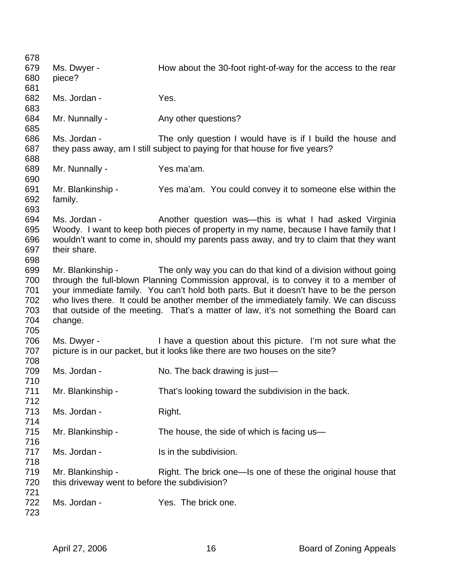| How about the 30-foot right-of-way for the access to the rear                          |
|----------------------------------------------------------------------------------------|
|                                                                                        |
|                                                                                        |
|                                                                                        |
|                                                                                        |
|                                                                                        |
|                                                                                        |
|                                                                                        |
| The only question I would have is if I build the house and                             |
|                                                                                        |
|                                                                                        |
|                                                                                        |
|                                                                                        |
|                                                                                        |
| Yes ma'am. You could convey it to someone else within the                              |
|                                                                                        |
|                                                                                        |
| Another question was—this is what I had asked Virginia                                 |
| Woody. I want to keep both pieces of property in my name, because I have family that I |
| wouldn't want to come in, should my parents pass away, and try to claim that they want |
|                                                                                        |
|                                                                                        |
| The only way you can do that kind of a division without going                          |
| through the full-blown Planning Commission approval, is to convey it to a member of    |
| your immediate family. You can't hold both parts. But it doesn't have to be the person |
| who lives there. It could be another member of the immediately family. We can discuss  |
| that outside of the meeting. That's a matter of law, it's not something the Board can  |
|                                                                                        |
|                                                                                        |
| I have a question about this picture. I'm not sure what the                            |
|                                                                                        |
|                                                                                        |
|                                                                                        |
|                                                                                        |
|                                                                                        |
|                                                                                        |
|                                                                                        |
|                                                                                        |
|                                                                                        |
|                                                                                        |
|                                                                                        |
|                                                                                        |
|                                                                                        |
|                                                                                        |
| Right. The brick one—Is one of these the original house that                           |
|                                                                                        |
|                                                                                        |
|                                                                                        |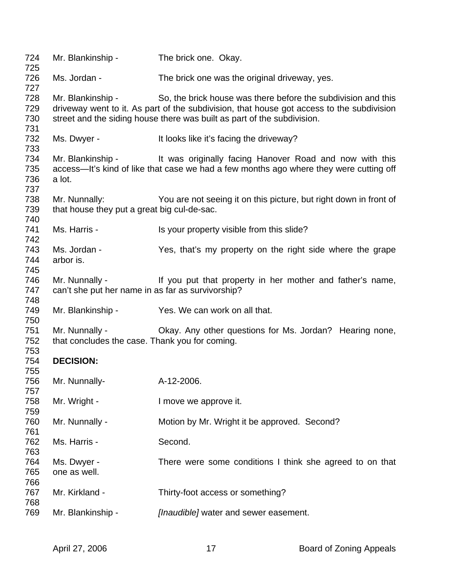| 724<br>725               | Mr. Blankinship -                                                   | The brick one. Okay.                                                                                                                                                                                                                  |
|--------------------------|---------------------------------------------------------------------|---------------------------------------------------------------------------------------------------------------------------------------------------------------------------------------------------------------------------------------|
| 726<br>727               | Ms. Jordan -                                                        | The brick one was the original driveway, yes.                                                                                                                                                                                         |
| 728<br>729<br>730<br>731 | Mr. Blankinship -                                                   | So, the brick house was there before the subdivision and this<br>driveway went to it. As part of the subdivision, that house got access to the subdivision<br>street and the siding house there was built as part of the subdivision. |
| 732<br>733               | Ms. Dwyer -                                                         | It looks like it's facing the driveway?                                                                                                                                                                                               |
| 734<br>735<br>736<br>737 | a lot.                                                              | Mr. Blankinship - It was originally facing Hanover Road and now with this<br>access—It's kind of like that case we had a few months ago where they were cutting off                                                                   |
| 738<br>739<br>740        | Mr. Nunnally:<br>that house they put a great big cul-de-sac.        | You are not seeing it on this picture, but right down in front of                                                                                                                                                                     |
| 741<br>742               | Ms. Harris -                                                        | Is your property visible from this slide?                                                                                                                                                                                             |
| 743<br>744<br>745        | Ms. Jordan -<br>arbor is.                                           | Yes, that's my property on the right side where the grape                                                                                                                                                                             |
| 746<br>747<br>748        | Mr. Nunnally -<br>can't she put her name in as far as survivorship? | If you put that property in her mother and father's name,                                                                                                                                                                             |
| 749<br>750               | Mr. Blankinship -                                                   | Yes. We can work on all that.                                                                                                                                                                                                         |
| 751<br>752<br>753        | Mr. Nunnally -<br>that concludes the case. Thank you for coming.    | Okay. Any other questions for Ms. Jordan? Hearing none,                                                                                                                                                                               |
| 754<br>755               | <b>DECISION:</b>                                                    |                                                                                                                                                                                                                                       |
| 756<br>757               | Mr. Nunnally-                                                       | A-12-2006.                                                                                                                                                                                                                            |
| 758<br>759               | Mr. Wright -                                                        | I move we approve it.                                                                                                                                                                                                                 |
| 760<br>761               | Mr. Nunnally -                                                      | Motion by Mr. Wright it be approved. Second?                                                                                                                                                                                          |
| 762<br>763               | Ms. Harris -                                                        | Second.                                                                                                                                                                                                                               |
| 764<br>765<br>766        | Ms. Dwyer -<br>one as well.                                         | There were some conditions I think she agreed to on that                                                                                                                                                                              |
| 767<br>768               | Mr. Kirkland -                                                      | Thirty-foot access or something?                                                                                                                                                                                                      |
| 769                      | Mr. Blankinship -                                                   | [Inaudible] water and sewer easement.                                                                                                                                                                                                 |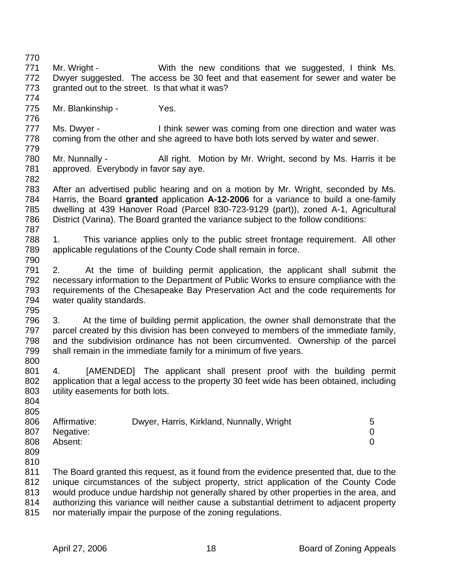770 771 Mr. Wright - With the new conditions that we suggested, I think Ms. 772 Dwyer suggested. The access be 30 feet and that easement for sewer and water be 773 granted out to the street. Is that what it was? 774 775 Mr. Blankinship - Yes. 776 777 Ms. Dwyer - I think sewer was coming from one direction and water was 778 coming from the other and she agreed to have both lots served by water and sewer. 779 780 Mr. Nunnally - All right. Motion by Mr. Wright, second by Ms. Harris it be 781 approved. Everybody in favor say aye. 782 783 After an advertised public hearing and on a motion by Mr. Wright, seconded by Ms. 784 Harris, the Board **granted** application **A-12-2006** for a variance to build a one-family 785 dwelling at 439 Hanover Road (Parcel 830-723-9129 (part)), zoned A-1, Agricultural 786 District (Varina). The Board granted the variance subject to the follow conditions: 787 788 1. This variance applies only to the public street frontage requirement. All other 789 applicable regulations of the County Code shall remain in force. 790 791 2. At the time of building permit application, the applicant shall submit the 792 necessary information to the Department of Public Works to ensure compliance with the 793 requirements of the Chesapeake Bay Preservation Act and the code requirements for 794 water quality standards. 795 796 3. At the time of building permit application, the owner shall demonstrate that the 797 parcel created by this division has been conveyed to members of the immediate family, 798 and the subdivision ordinance has not been circumvented. Ownership of the parcel 799 shall remain in the immediate family for a minimum of five years. 800 801 4. [AMENDED] The applicant shall present proof with the building permit 802 application that a legal access to the property 30 feet wide has been obtained, including 803 utility easements for both lots. 804 805 806 Affirmative: Dwyer, Harris, Kirkland, Nunnally, Wright 5 807 Negative: 0 808 Absent: 0 809 810 811 The Board granted this request, as it found from the evidence presented that, due to the 812 unique circumstances of the subject property, strict application of the County Code 813 would produce undue hardship not generally shared by other properties in the area, and 814 authorizing this variance will neither cause a substantial detriment to adjacent property 815 nor materially impair the purpose of the zoning regulations.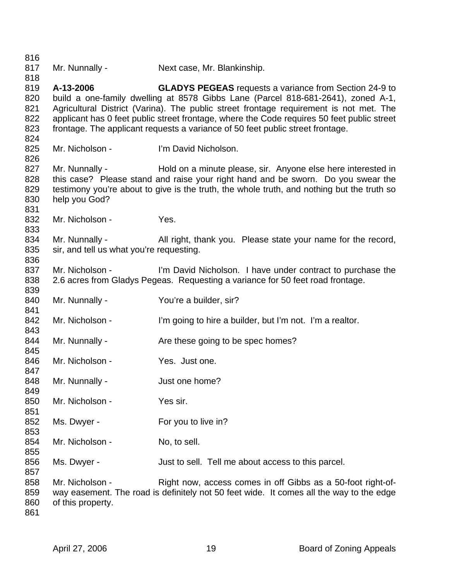816 817 Mr. Nunnally - Next case, Mr. Blankinship. 818 819 **A-13-2006 GLADYS PEGEAS** requests a variance from Section 24-9 to 820 build a one-family dwelling at 8578 Gibbs Lane (Parcel 818-681-2641), zoned A-1, 821 Agricultural District (Varina). The public street frontage requirement is not met. The 822 applicant has 0 feet public street frontage, where the Code requires 50 feet public street 823 frontage. The applicant requests a variance of 50 feet public street frontage. 824 825 Mr. Nicholson - I'm David Nicholson. 826 827 Mr. Nunnally - Hold on a minute please, sir. Anyone else here interested in 828 this case? Please stand and raise your right hand and be sworn. Do you swear the 829 testimony you're about to give is the truth, the whole truth, and nothing but the truth so 830 help you God? 831 832 Mr. Nicholson - Yes. 833 834 Mr. Nunnally - All right, thank you. Please state your name for the record, 835 sir, and tell us what you're requesting. 836 837 Mr. Nicholson - I'm David Nicholson. I have under contract to purchase the 838 2.6 acres from Gladys Pegeas. Requesting a variance for 50 feet road frontage. 839 840 Mr. Nunnally - You're a builder, sir? 841 842 Mr. Nicholson - I'm going to hire a builder, but I'm not. I'm a realtor. 843 844 Mr. Nunnally - Are these going to be spec homes? 845 846 Mr. Nicholson - Yes. Just one. 847 848 Mr. Nunnally - Just one home? 849 850 Mr. Nicholson - Yes sir. 851 852 Ms. Dwyer - For you to live in? 853 854 Mr. Nicholson - No, to sell. 855 856 Ms. Dwyer - Just to sell. Tell me about access to this parcel. 857 858 Mr. Nicholson - Right now, access comes in off Gibbs as a 50-foot right-of-859 way easement. The road is definitely not 50 feet wide. It comes all the way to the edge 860 of this property. 861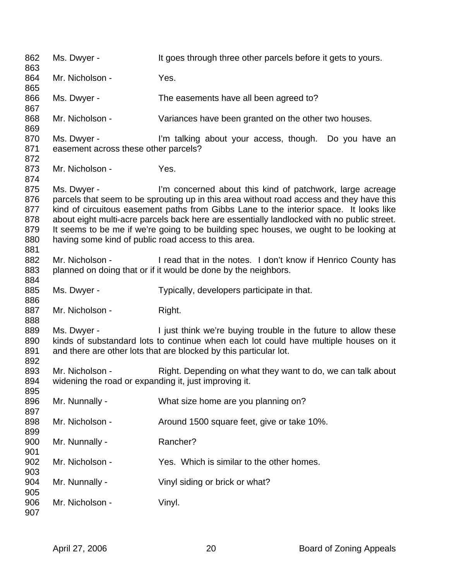862 Ms. Dwyer - It goes through three other parcels before it gets to yours. 863 864 Mr. Nicholson - Yes. 865 866 Ms. Dwyer - The easements have all been agreed to? 867 868 Mr. Nicholson - Variances have been granted on the other two houses. 869 870 Ms. Dwyer - I'm talking about your access, though. Do you have an 871 easement across these other parcels? 872 873 Mr. Nicholson - Yes. 874 875 Ms. Dwyer - I'm concerned about this kind of patchwork, large acreage 876 parcels that seem to be sprouting up in this area without road access and they have this 877 kind of circuitous easement paths from Gibbs Lane to the interior space. It looks like 878 about eight multi-acre parcels back here are essentially landlocked with no public street. 879 It seems to be me if we're going to be building spec houses, we ought to be looking at 880 having some kind of public road access to this area. 881 882 Mr. Nicholson - I read that in the notes. I don't know if Henrico County has 883 planned on doing that or if it would be done by the neighbors. 884 885 Ms. Dwyer - Typically, developers participate in that. 886 887 Mr. Nicholson - Right. 888 889 Ms. Dwyer - I just think we're buying trouble in the future to allow these 890 kinds of substandard lots to continue when each lot could have multiple houses on it 891 and there are other lots that are blocked by this particular lot. 892 893 Mr. Nicholson - Right. Depending on what they want to do, we can talk about 894 widening the road or expanding it, just improving it. 895 896 Mr. Nunnally - What size home are you planning on? 897 898 Mr. Nicholson - Around 1500 square feet, give or take 10%. 899 900 Mr. Nunnally - Rancher? 901 902 Mr. Nicholson - Yes. Which is similar to the other homes. 903 904 Mr. Nunnally - Vinyl siding or brick or what? 905 906 Mr. Nicholson - Vinyl. 907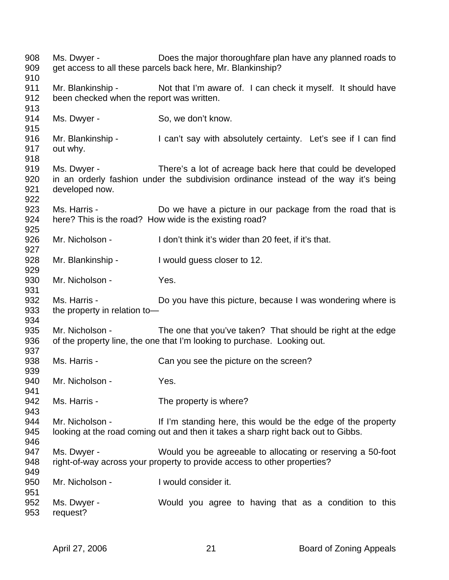908 Ms. Dwyer - Does the major thoroughfare plan have any planned roads to 909 get access to all these parcels back here, Mr. Blankinship? 910 911 Mr. Blankinship - Not that I'm aware of. I can check it myself. It should have 912 been checked when the report was written. 913 914 Ms. Dwyer - So, we don't know. 915 916 Mr. Blankinship - I can't say with absolutely certainty. Let's see if I can find 917 out why. 918 919 Ms. Dwyer - There's a lot of acreage back here that could be developed 920 in an orderly fashion under the subdivision ordinance instead of the way it's being 921 developed now. 922 923 Ms. Harris - Do we have a picture in our package from the road that is 924 here? This is the road? How wide is the existing road? 925 926 Mr. Nicholson - I don't think it's wider than 20 feet, if it's that. 927 928 Mr. Blankinship - I would guess closer to 12. 929 930 Mr. Nicholson - Yes. 931 932 Ms. Harris - Do you have this picture, because I was wondering where is 933 the property in relation to-934 935 Mr. Nicholson - The one that you've taken? That should be right at the edge 936 of the property line, the one that I'm looking to purchase. Looking out. 937 938 Ms. Harris - Can you see the picture on the screen? 939 940 Mr. Nicholson - Yes. 941 942 Ms. Harris - The property is where? 943 944 Mr. Nicholson - If I'm standing here, this would be the edge of the property 945 looking at the road coming out and then it takes a sharp right back out to Gibbs. 946 947 Ms. Dwyer - Would you be agreeable to allocating or reserving a 50-foot 948 right-of-way across your property to provide access to other properties? 949 950 Mr. Nicholson - I would consider it. 951 952 Ms. Dwyer - Would you agree to having that as a condition to this 953 request?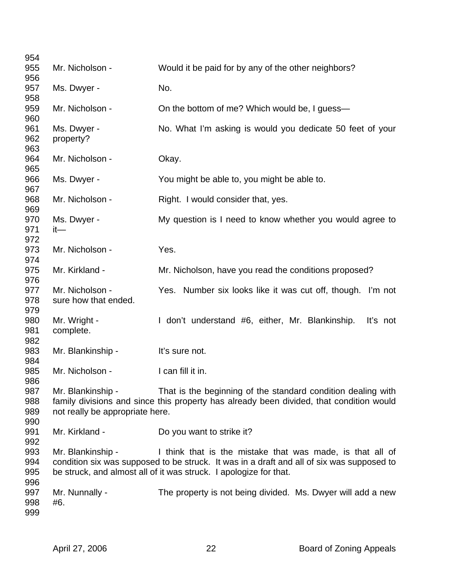| 954               |                                 |                                                                                           |
|-------------------|---------------------------------|-------------------------------------------------------------------------------------------|
| 955               | Mr. Nicholson -                 | Would it be paid for by any of the other neighbors?                                       |
| 956<br>957        | Ms. Dwyer -                     | No.                                                                                       |
| 958               |                                 |                                                                                           |
| 959<br>960        | Mr. Nicholson -                 | On the bottom of me? Which would be, I guess-                                             |
| 961               | Ms. Dwyer -                     | No. What I'm asking is would you dedicate 50 feet of your                                 |
| 962<br>963        | property?                       |                                                                                           |
| 964               | Mr. Nicholson -                 | Okay.                                                                                     |
| 965<br>966<br>967 | Ms. Dwyer -                     | You might be able to, you might be able to.                                               |
| 968<br>969        | Mr. Nicholson -                 | Right. I would consider that, yes.                                                        |
| 970               | Ms. Dwyer -                     | My question is I need to know whether you would agree to                                  |
| 971               | $it-$                           |                                                                                           |
| 972               |                                 |                                                                                           |
| 973               | Mr. Nicholson -                 | Yes.                                                                                      |
| 974<br>975        | Mr. Kirkland -                  | Mr. Nicholson, have you read the conditions proposed?                                     |
| 976               |                                 |                                                                                           |
| 977               | Mr. Nicholson -                 | Yes. Number six looks like it was cut off, though. I'm not                                |
| 978               | sure how that ended.            |                                                                                           |
| 979               |                                 |                                                                                           |
| 980               | Mr. Wright -                    | I don't understand #6, either, Mr. Blankinship.<br>It's not                               |
| 981               | complete.                       |                                                                                           |
| 982<br>983        | Mr. Blankinship -               | It's sure not.                                                                            |
| 984               |                                 |                                                                                           |
| 985               | Mr. Nicholson -                 | I can fill it in.                                                                         |
| 986               |                                 |                                                                                           |
| 987               | Mr. Blankinship -               | That is the beginning of the standard condition dealing with                              |
| 988               |                                 | family divisions and since this property has already been divided, that condition would   |
| 989               | not really be appropriate here. |                                                                                           |
| 990               |                                 |                                                                                           |
| 991               | Mr. Kirkland -                  | Do you want to strike it?                                                                 |
| 992<br>993        | Mr. Blankinship -               | I think that is the mistake that was made, is that all of                                 |
| 994               |                                 | condition six was supposed to be struck. It was in a draft and all of six was supposed to |
| 995               |                                 | be struck, and almost all of it was struck. I apologize for that.                         |
| 996               |                                 |                                                                                           |
| 997               | Mr. Nunnally -                  | The property is not being divided. Ms. Dwyer will add a new                               |
| 998               | #6.                             |                                                                                           |
| 999               |                                 |                                                                                           |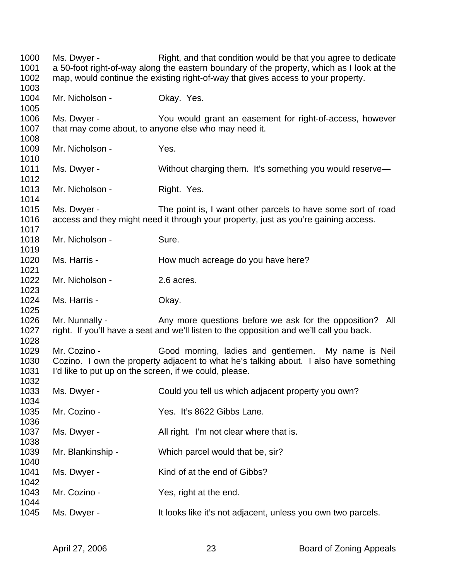1000 Ms. Dwyer - Right, and that condition would be that you agree to dedicate 1001 a 50-foot right-of-way along the eastern boundary of the property, which as I look at the 1002 map, would continue the existing right-of-way that gives access to your property. 1003 1004 Mr. Nicholson - Okay. Yes. 1005 1006 Ms. Dwyer - You would grant an easement for right-of-access, however 1007 that may come about, to anyone else who may need it. 1008 1009 Mr. Nicholson - Yes. 1010 1011 Ms. Dwyer - Without charging them. It's something you would reserve— 1012 1013 Mr. Nicholson - Right. Yes. 1014 1015 Ms. Dwyer - The point is, I want other parcels to have some sort of road 1016 access and they might need it through your property, just as you're gaining access. 1017 1018 Mr. Nicholson - Sure. 1019 1020 Ms. Harris - How much acreage do you have here? 1021 1022 Mr. Nicholson - 2.6 acres. 1023 1024 Ms. Harris - Okay. 1025 1026 Mr. Nunnally - Any more questions before we ask for the opposition? All 1027 right. If you'll have a seat and we'll listen to the opposition and we'll call you back. 1028 1029 Mr. Cozino - Good morning, ladies and gentlemen. My name is Neil 1030 Cozino. I own the property adjacent to what he's talking about. I also have something 1031 I'd like to put up on the screen, if we could, please. 1032 1033 Ms. Dwyer - Could you tell us which adjacent property you own? 1034 1035 Mr. Cozino - Yes. It's 8622 Gibbs Lane. 1036 1037 Ms. Dwyer - All right. I'm not clear where that is. 1038 1039 Mr. Blankinship - Which parcel would that be, sir? 1040 1041 Ms. Dwyer - Kind of at the end of Gibbs? 1042 1043 Mr. Cozino - Yes, right at the end. 1044 1045 Ms. Dwyer - It looks like it's not adjacent, unless you own two parcels.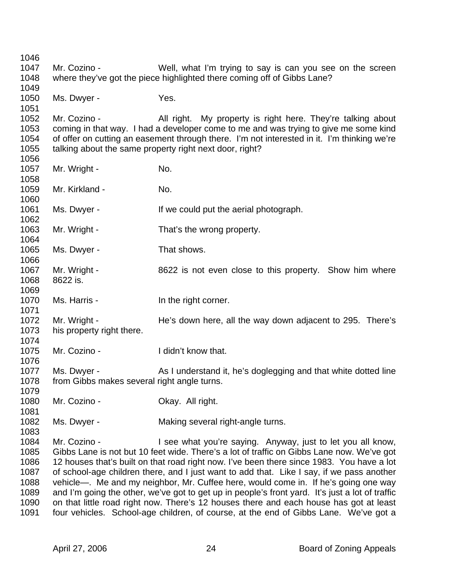1046 1047 Mr. Cozino - Well, what I'm trying to say is can you see on the screen 1048 where they've got the piece highlighted there coming off of Gibbs Lane? 1049 1050 Ms. Dwyer - Yes. 1051 1052 Mr. Cozino - All right. My property is right here. They're talking about 1053 coming in that way. I had a developer come to me and was trying to give me some kind 1054 of offer on cutting an easement through there. I'm not interested in it. I'm thinking we're 1055 talking about the same property right next door, right? 1056 1057 Mr. Wright - No. 1058 1059 Mr. Kirkland - No. 1060 1061 Ms. Dwyer - If we could put the aerial photograph. 1062 1063 Mr. Wright - That's the wrong property. 1064 1065 Ms. Dwyer - That shows. 1066 1067 Mr. Wright - 8622 is not even close to this property. Show him where 1068 8622 is. 1069 1070 Ms. Harris - In the right corner. 1071 1072 Mr. Wright - He's down here, all the way down adjacent to 295. There's 1073 his property right there. 1074 1075 Mr. Cozino - I didn't know that. 1076 1077 Ms. Dwyer - As I understand it, he's doglegging and that white dotted line 1078 from Gibbs makes several right angle turns. 1079 1080 Mr. Cozino - Ckay. All right. 1081 1082 Ms. Dwyer - Making several right-angle turns. 1083 1084 Mr. Cozino - I see what you're saying. Anyway, just to let you all know, 1085 Gibbs Lane is not but 10 feet wide. There's a lot of traffic on Gibbs Lane now. We've got 1086 12 houses that's built on that road right now. I've been there since 1983. You have a lot 1087 of school-age children there, and I just want to add that. Like I say, if we pass another 1088 vehicle—. Me and my neighbor, Mr. Cuffee here, would come in. If he's going one way 1089 and I'm going the other, we've got to get up in people's front yard. It's just a lot of traffic 1090 on that little road right now. There's 12 houses there and each house has got at least 1091 four vehicles. School-age children, of course, at the end of Gibbs Lane. We've got a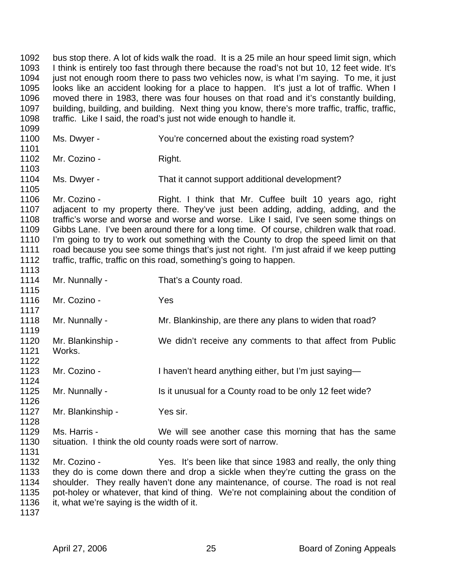1092 bus stop there. A lot of kids walk the road. It is a 25 mile an hour speed limit sign, which 1093 I think is entirely too fast through there because the road's not but 10, 12 feet wide. It's 1094 just not enough room there to pass two vehicles now, is what I'm saying. To me, it just 1095 looks like an accident looking for a place to happen. It's just a lot of traffic. When I 1096 moved there in 1983, there was four houses on that road and it's constantly building, 1097 building, building, and building. Next thing you know, there's more traffic, traffic, traffic, 1098 traffic. Like I said, the road's just not wide enough to handle it. 1099 1100 Ms. Dwyer - You're concerned about the existing road system? 1101 1102 Mr. Cozino - Right. 1103 1104 Ms. Dwyer - That it cannot support additional development? 1105<br>1106 Mr. Cozino - **Right. I think that Mr. Cuffee built 10 years ago, right** 1107 adjacent to my property there. They've just been adding, adding, adding, and the 1108 traffic's worse and worse and worse and worse. Like I said, I've seen some things on 1109 Gibbs Lane. I've been around there for a long time. Of course, children walk that road. 1110 I'm going to try to work out something with the County to drop the speed limit on that 1111 road because you see some things that's just not right. I'm just afraid if we keep putting 1112 traffic, traffic, traffic on this road, something's going to happen. 1113 1114 Mr. Nunnally - That's a County road. 1115 1116 Mr. Cozino - Yes 1117 1118 Mr. Nunnally - Mr. Blankinship, are there any plans to widen that road? 1119 1120 Mr. Blankinship - We didn't receive any comments to that affect from Public 1121 Works. 1122 1123 Mr. Cozino - I haven't heard anything either, but I'm just saying— 1124 1125 Mr. Nunnally - Is it unusual for a County road to be only 12 feet wide? 1126 1127 Mr. Blankinship - Yes sir. 1128 1129 Ms. Harris - We will see another case this morning that has the same 1130 situation. I think the old county roads were sort of narrow. 1131 1132 Mr. Cozino - Yes. It's been like that since 1983 and really, the only thing 1133 they do is come down there and drop a sickle when they're cutting the grass on the 1134 shoulder. They really haven't done any maintenance, of course. The road is not real 1135 pot-holey or whatever, that kind of thing. We're not complaining about the condition of

- 1136 it, what we're saying is the width of it.
- 1137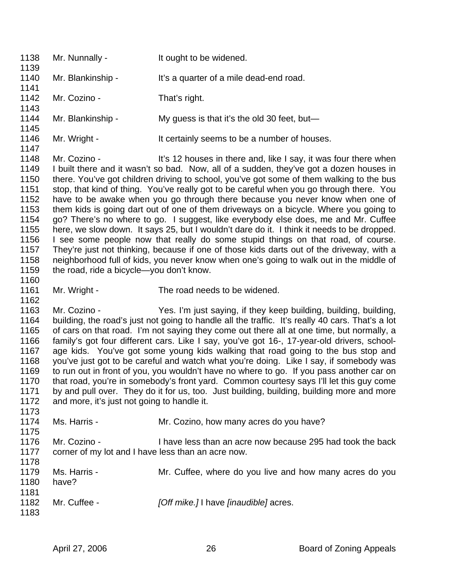| 1138<br>1139                                                                                         | Mr. Nunnally -                                                     | It ought to be widened.                                                                                                                                                                                                                                                                                                                                                                                                                                                                                                                                                                                                                                                                                                                                                                                                                                                                                                                                                                      |
|------------------------------------------------------------------------------------------------------|--------------------------------------------------------------------|----------------------------------------------------------------------------------------------------------------------------------------------------------------------------------------------------------------------------------------------------------------------------------------------------------------------------------------------------------------------------------------------------------------------------------------------------------------------------------------------------------------------------------------------------------------------------------------------------------------------------------------------------------------------------------------------------------------------------------------------------------------------------------------------------------------------------------------------------------------------------------------------------------------------------------------------------------------------------------------------|
| 1140<br>1141                                                                                         | Mr. Blankinship -                                                  | It's a quarter of a mile dead-end road.                                                                                                                                                                                                                                                                                                                                                                                                                                                                                                                                                                                                                                                                                                                                                                                                                                                                                                                                                      |
| 1142<br>1143                                                                                         | Mr. Cozino -                                                       | That's right.                                                                                                                                                                                                                                                                                                                                                                                                                                                                                                                                                                                                                                                                                                                                                                                                                                                                                                                                                                                |
| 1144<br>1145                                                                                         | Mr. Blankinship -                                                  | My guess is that it's the old 30 feet, but-                                                                                                                                                                                                                                                                                                                                                                                                                                                                                                                                                                                                                                                                                                                                                                                                                                                                                                                                                  |
| 1146<br>1147                                                                                         | Mr. Wright -                                                       | It certainly seems to be a number of houses.                                                                                                                                                                                                                                                                                                                                                                                                                                                                                                                                                                                                                                                                                                                                                                                                                                                                                                                                                 |
| 1148<br>1149<br>1150<br>1151<br>1152<br>1153<br>1154<br>1155<br>1156<br>1157<br>1158<br>1159<br>1160 | Mr. Cozino -<br>the road, ride a bicycle-you don't know.           | It's 12 houses in there and, like I say, it was four there when<br>I built there and it wasn't so bad. Now, all of a sudden, they've got a dozen houses in<br>there. You've got children driving to school, you've got some of them walking to the bus<br>stop, that kind of thing. You've really got to be careful when you go through there. You<br>have to be awake when you go through there because you never know when one of<br>them kids is going dart out of one of them driveways on a bicycle. Where you going to<br>go? There's no where to go. I suggest, like everybody else does, me and Mr. Cuffee<br>here, we slow down. It says 25, but I wouldn't dare do it. I think it needs to be dropped.<br>I see some people now that really do some stupid things on that road, of course.<br>They're just not thinking, because if one of those kids darts out of the driveway, with a<br>neighborhood full of kids, you never know when one's going to walk out in the middle of |
| 1161<br>1162                                                                                         | Mr. Wright -                                                       | The road needs to be widened.                                                                                                                                                                                                                                                                                                                                                                                                                                                                                                                                                                                                                                                                                                                                                                                                                                                                                                                                                                |
| 1163<br>1164<br>1165<br>1166<br>1167<br>1168<br>1169<br>1170<br>1171<br>1172<br>1173                 | Mr. Cozino -<br>and more, it's just not going to handle it.        | Yes. I'm just saying, if they keep building, building, building,<br>building, the road's just not going to handle all the traffic. It's really 40 cars. That's a lot<br>of cars on that road. I'm not saying they come out there all at one time, but normally, a<br>family's got four different cars. Like I say, you've got 16-, 17-year-old drivers, school-<br>age kids. You've got some young kids walking that road going to the bus stop and<br>you've just got to be careful and watch what you're doing. Like I say, if somebody was<br>to run out in front of you, you wouldn't have no where to go. If you pass another car on<br>that road, you're in somebody's front yard. Common courtesy says I'll let this guy come<br>by and pull over. They do it for us, too. Just building, building, building more and more                                                                                                                                                            |
| 1174<br>1175                                                                                         | Ms. Harris -                                                       | Mr. Cozino, how many acres do you have?                                                                                                                                                                                                                                                                                                                                                                                                                                                                                                                                                                                                                                                                                                                                                                                                                                                                                                                                                      |
| 1176<br>1177<br>1178                                                                                 | Mr. Cozino -<br>corner of my lot and I have less than an acre now. | I have less than an acre now because 295 had took the back                                                                                                                                                                                                                                                                                                                                                                                                                                                                                                                                                                                                                                                                                                                                                                                                                                                                                                                                   |
| 1179<br>1180                                                                                         | Ms. Harris -<br>have?                                              | Mr. Cuffee, where do you live and how many acres do you                                                                                                                                                                                                                                                                                                                                                                                                                                                                                                                                                                                                                                                                                                                                                                                                                                                                                                                                      |
| 1181<br>1182<br>1183                                                                                 | Mr. Cuffee -                                                       | [Off mike.] I have [inaudible] acres.                                                                                                                                                                                                                                                                                                                                                                                                                                                                                                                                                                                                                                                                                                                                                                                                                                                                                                                                                        |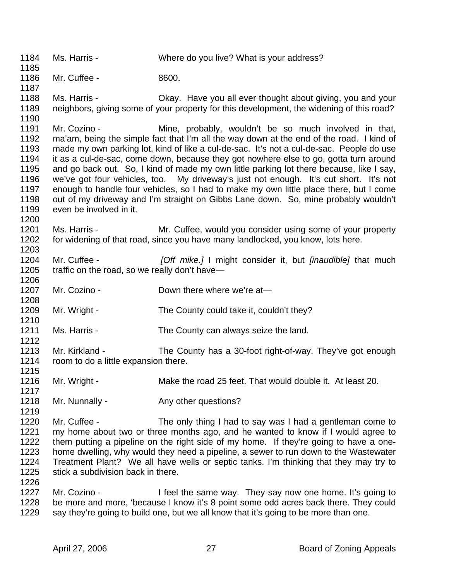1184 Ms. Harris - Where do you live? What is your address? 1185 1186 Mr. Cuffee - 8600. 1187 1188 Ms. Harris - Okay. Have you all ever thought about giving, you and your 1189 neighbors, giving some of your property for this development, the widening of this road? 1190 1191 Mr. Cozino - Mine, probably, wouldn't be so much involved in that, 1192 ma'am, being the simple fact that I'm all the way down at the end of the road. I kind of 1193 made my own parking lot, kind of like a cul-de-sac. It's not a cul-de-sac. People do use 1194 it as a cul-de-sac, come down, because they got nowhere else to go, gotta turn around 1195 and go back out. So, I kind of made my own little parking lot there because, like I say, 1196 we've got four vehicles, too. My driveway's just not enough. It's cut short. It's not 1197 enough to handle four vehicles, so I had to make my own little place there, but I come 1198 out of my driveway and I'm straight on Gibbs Lane down. So, mine probably wouldn't 1199 even be involved in it. 1200 1201 Ms. Harris - Mr. Cuffee, would you consider using some of your property 1202 for widening of that road, since you have many landlocked, you know, lots here. 1203 1204 Mr. Cuffee - *[Off mike.]* I might consider it, but *[inaudible]* that much 1205 traffic on the road, so we really don't have— 1206 1207 Mr. Cozino - Down there where we're at-1208 1209 Mr. Wright - The County could take it, couldn't they? 1210 1211 Ms. Harris - The County can always seize the land. 1212 1213 Mr. Kirkland - The County has a 30-foot right-of-way. They've got enough 1214 room to do a little expansion there. 1215 1216 Mr. Wright - Make the road 25 feet. That would double it. At least 20. 1217 1218 Mr. Nunnally - Any other questions? 1219 1220 Mr. Cuffee - The only thing I had to say was I had a gentleman come to 1221 my home about two or three months ago, and he wanted to know if I would agree to 1222 them putting a pipeline on the right side of my home. If they're going to have a one-1223 home dwelling, why would they need a pipeline, a sewer to run down to the Wastewater 1224 Treatment Plant? We all have wells or septic tanks. I'm thinking that they may try to 1225 stick a subdivision back in there. 1226 1227 Mr. Cozino - I feel the same way. They say now one home. It's going to 1228 be more and more, 'because I know it's 8 point some odd acres back there. They could 1229 say they're going to build one, but we all know that it's going to be more than one.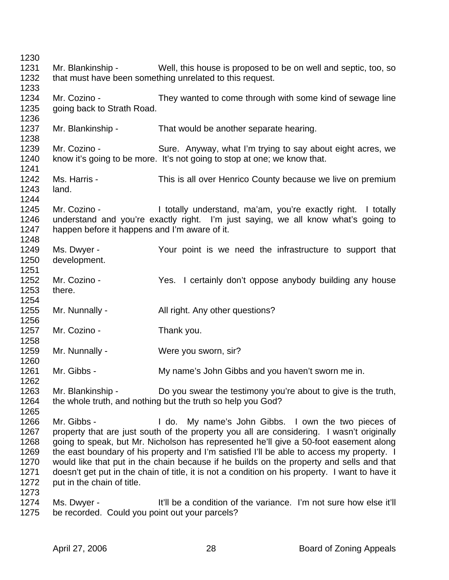1230 1231 Mr. Blankinship - Well, this house is proposed to be on well and septic, too, so 1232 that must have been something unrelated to this request. 1233 1234 Mr. Cozino - They wanted to come through with some kind of sewage line 1235 going back to Strath Road. 1236 1237 Mr. Blankinship - That would be another separate hearing. 1238 1239 Mr. Cozino - Sure. Anyway, what I'm trying to say about eight acres, we 1240 know it's going to be more. It's not going to stop at one; we know that. 1241 1242 Ms. Harris - This is all over Henrico County because we live on premium 1243 land. 1244 1245 Mr. Cozino - I totally understand, ma'am, you're exactly right. I totally 1246 understand and you're exactly right. I'm just saying, we all know what's going to 1247 happen before it happens and I'm aware of it. 1248 1249 Ms. Dwyer - Your point is we need the infrastructure to support that 1250 development. 1251 1252 Mr. Cozino - Yes. I certainly don't oppose anybody building any house 1253 there. 1254 1255 Mr. Nunnally - All right. Any other questions? 1256 1257 Mr. Cozino - Thank you. 1258 1259 Mr. Nunnally - Were you sworn, sir? 1260 1261 Mr. Gibbs - My name's John Gibbs and you haven't sworn me in. 1262 1263 Mr. Blankinship - Do you swear the testimony you're about to give is the truth, 1264 the whole truth, and nothing but the truth so help you God? 1265 1266 Mr. Gibbs - I do. My name's John Gibbs. I own the two pieces of 1267 property that are just south of the property you all are considering. I wasn't originally 1268 going to speak, but Mr. Nicholson has represented he'll give a 50-foot easement along 1269 the east boundary of his property and I'm satisfied I'll be able to access my property. I 1270 would like that put in the chain because if he builds on the property and sells and that 1271 doesn't get put in the chain of title, it is not a condition on his property. I want to have it 1272 put in the chain of title. 1273 1274 Ms. Dwyer - It'll be a condition of the variance. I'm not sure how else it'll 1275 be recorded. Could you point out your parcels?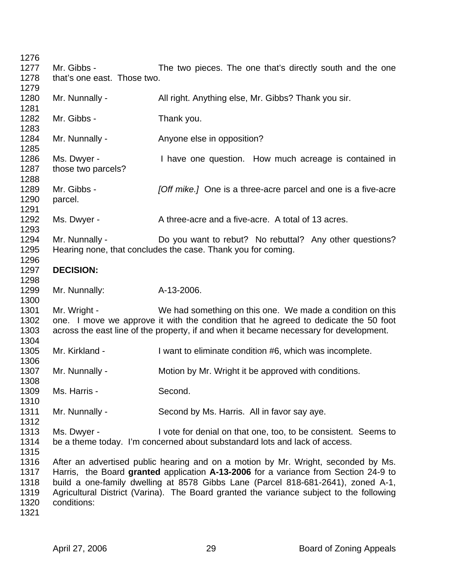| 1276         |                             |                                                                                         |
|--------------|-----------------------------|-----------------------------------------------------------------------------------------|
| 1277         | Mr. Gibbs -                 | The two pieces. The one that's directly south and the one                               |
| 1278         | that's one east. Those two. |                                                                                         |
| 1279         |                             |                                                                                         |
| 1280         | Mr. Nunnally -              | All right. Anything else, Mr. Gibbs? Thank you sir.                                     |
| 1281<br>1282 | Mr. Gibbs -                 | Thank you.                                                                              |
| 1283         |                             |                                                                                         |
| 1284         | Mr. Nunnally -              | Anyone else in opposition?                                                              |
| 1285         |                             |                                                                                         |
| 1286         | Ms. Dwyer -                 | I have one question. How much acreage is contained in                                   |
| 1287         | those two parcels?          |                                                                                         |
| 1288         |                             |                                                                                         |
| 1289         | Mr. Gibbs -                 | [Off mike.] One is a three-acre parcel and one is a five-acre                           |
| 1290         | parcel.                     |                                                                                         |
| 1291         |                             |                                                                                         |
| 1292         | Ms. Dwyer -                 | A three-acre and a five-acre. A total of 13 acres.                                      |
| 1293         |                             |                                                                                         |
| 1294         | Mr. Nunnally -              | Do you want to rebut? No rebuttal? Any other questions?                                 |
| 1295         |                             | Hearing none, that concludes the case. Thank you for coming.                            |
| 1296         |                             |                                                                                         |
| 1297         | <b>DECISION:</b>            |                                                                                         |
| 1298         |                             |                                                                                         |
| 1299         | Mr. Nunnally:               | A-13-2006.                                                                              |
| 1300         |                             |                                                                                         |
| 1301         | Mr. Wright -                | We had something on this one. We made a condition on this                               |
| 1302         |                             | one. I move we approve it with the condition that he agreed to dedicate the 50 foot     |
| 1303         |                             | across the east line of the property, if and when it became necessary for development.  |
| 1304         |                             |                                                                                         |
| 1305         | Mr. Kirkland -              | I want to eliminate condition #6, which was incomplete.                                 |
| 1306         |                             |                                                                                         |
| 1307         | Mr. Nunnally -              | Motion by Mr. Wright it be approved with conditions.                                    |
| 1308         |                             |                                                                                         |
| 1309         | Ms. Harris -                | Second.                                                                                 |
| 1310         |                             |                                                                                         |
| 1311         | Mr. Nunnally -              | Second by Ms. Harris. All in favor say aye.                                             |
| 1312         |                             |                                                                                         |
| 1313         | Ms. Dwyer -                 | I vote for denial on that one, too, to be consistent. Seems to                          |
| 1314         |                             | be a theme today. I'm concerned about substandard lots and lack of access.              |
| 1315         |                             |                                                                                         |
| 1316         |                             | After an advertised public hearing and on a motion by Mr. Wright, seconded by Ms.       |
| 1317         |                             | Harris, the Board granted application A-13-2006 for a variance from Section 24-9 to     |
| 1318         |                             | build a one-family dwelling at 8578 Gibbs Lane (Parcel 818-681-2641), zoned A-1,        |
| 1319         |                             | Agricultural District (Varina). The Board granted the variance subject to the following |
| 1320         | conditions:                 |                                                                                         |
|              |                             |                                                                                         |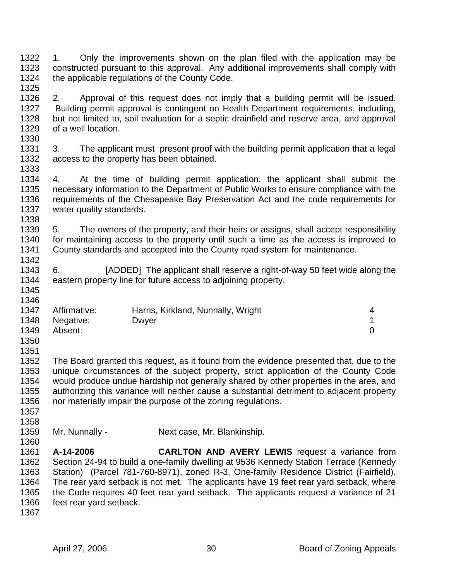1322 1. Only the improvements shown on the plan filed with the application may be 1323 constructed pursuant to this approval. Any additional improvements shall comply with 1324 the applicable regulations of the County Code. 1325

1326 2. Approval of this request does not imply that a building permit will be issued. 1327 Building permit approval is contingent on Health Department requirements, including, 1328 but not limited to, soil evaluation for a septic drainfield and reserve area, and approval 1329 of a well location.

1331 3. The applicant must present proof with the building permit application that a legal 1332 access to the property has been obtained. 1333

1334 4. At the time of building permit application, the applicant shall submit the 1335 necessary information to the Department of Public Works to ensure compliance with the<br>1336 requirements of the Chesapeake Bay Preservation Act and the code requirements for requirements of the Chesapeake Bay Preservation Act and the code requirements for 1337 water quality standards.

1339 5. The owners of the property, and their heirs or assigns, shall accept responsibility 1340 for maintaining access to the property until such a time as the access is improved to 1341 County standards and accepted into the County road system for maintenance.

1343 6. [ADDED] The applicant shall reserve a right-of-way 50 feet wide along the 1344 eastern property line for future access to adjoining property. 1345

| 1347 | Affirmative:   | Harris, Kirkland, Nunnally, Wright |  |
|------|----------------|------------------------------------|--|
|      | 1348 Negative: | Dwyer                              |  |
| 1349 | Absent:        |                                    |  |

1350 1351

1330

1338

1342

1346

1352 The Board granted this request, as it found from the evidence presented that, due to the 1353 unique circumstances of the subject property, strict application of the County Code 1354 would produce undue hardship not generally shared by other properties in the area, and 1355 authorizing this variance will neither cause a substantial detriment to adjacent property 1356 nor materially impair the purpose of the zoning regulations.

- 1357 1358
- 1359 Mr. Nunnally Next case, Mr. Blankinship.

1360 1361 **A-14-2006 CARLTON AND AVERY LEWIS** request a variance from 1362 Section 24-94 to build a one-family dwelling at 9536 Kennedy Station Terrace (Kennedy 1363 Station) (Parcel 781-760-8971), zoned R-3, One-family Residence District (Fairfield). 1364 The rear yard setback is not met. The applicants have 19 feet rear yard setback, where 1365 the Code requires 40 feet rear yard setback. The applicants request a variance of 21 1366 feet rear yard setback.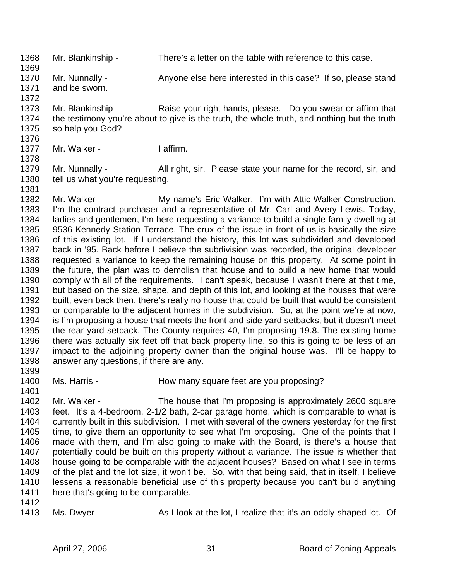1368 Mr. Blankinship - There's a letter on the table with reference to this case.

- 1370 Mr. Nunnally Anyone else here interested in this case? If so, please stand 1371 and be sworn.
- 1373 Mr. Blankinship Raise your right hands, please. Do you swear or affirm that 1374 the testimony you're about to give is the truth, the whole truth, and nothing but the truth 1375 so help you God?
- 1377 Mr. Walker I affirm.
- 1379 Mr. Nunnally All right, sir. Please state your name for the record, sir, and 1380 tell us what you're requesting.
- 1382 Mr. Walker My name's Eric Walker. I'm with Attic-Walker Construction. 1383 I'm the contract purchaser and a representative of Mr. Carl and Avery Lewis. Today, 1384 ladies and gentlemen, I'm here requesting a variance to build a single-family dwelling at 1385 9536 Kennedy Station Terrace. The crux of the issue in front of us is basically the size 1386 of this existing lot. If I understand the history, this lot was subdivided and developed 1387 back in '95. Back before I believe the subdivision was recorded, the original developer 1388 requested a variance to keep the remaining house on this property. At some point in 1389 the future, the plan was to demolish that house and to build a new home that would 1390 comply with all of the requirements. I can't speak, because I wasn't there at that time, 1391 but based on the size, shape, and depth of this lot, and looking at the houses that were 1392 built, even back then, there's really no house that could be built that would be consistent 1393 or comparable to the adjacent homes in the subdivision. So, at the point we're at now, 1394 is I'm proposing a house that meets the front and side yard setbacks, but it doesn't meet 1395 the rear yard setback. The County requires 40, I'm proposing 19.8. The existing home 1396 there was actually six feet off that back property line, so this is going to be less of an 1397 impact to the adjoining property owner than the original house was. I'll be happy to 1398 answer any questions, if there are any.
- 1399

1401

1369

1372

1376

1378

1381

- 1400 Ms. Harris How many square feet are you proposing?
- 1402 Mr. Walker The house that I'm proposing is approximately 2600 square 1403 feet. It's a 4-bedroom, 2-1/2 bath, 2-car garage home, which is comparable to what is 1404 currently built in this subdivision. I met with several of the owners yesterday for the first 1405 time, to give them an opportunity to see what I'm proposing. One of the points that I 1406 made with them, and I'm also going to make with the Board, is there's a house that 1407 potentially could be built on this property without a variance. The issue is whether that 1408 house going to be comparable with the adjacent houses? Based on what I see in terms 1409 of the plat and the lot size, it won't be. So, with that being said, that in itself, I believe 1410 lessens a reasonable beneficial use of this property because you can't build anything 1411 here that's going to be comparable.
- 1412
- 

1413 Ms. Dwyer - As I look at the lot, I realize that it's an oddly shaped lot. Of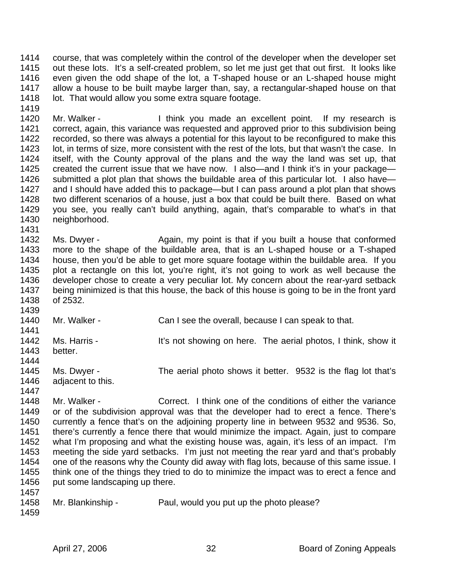1414 course, that was completely within the control of the developer when the developer set 1415 out these lots. It's a self-created problem, so let me just get that out first. It looks like 1416 even given the odd shape of the lot, a T-shaped house or an L-shaped house might 1417 allow a house to be built maybe larger than, say, a rectangular-shaped house on that 1418 lot. That would allow you some extra square footage.

1420 Mr. Walker - I think you made an excellent point. If my research is 1421 correct, again, this variance was requested and approved prior to this subdivision being 1422 recorded, so there was always a potential for this layout to be reconfigured to make this 1423 lot, in terms of size, more consistent with the rest of the lots, but that wasn't the case. In<br>1424 itself, with the County approval of the plans and the way the land was set up, that itself, with the County approval of the plans and the way the land was set up, that 1425 created the current issue that we have now. I also—and I think it's in your package— 1426 submitted a plot plan that shows the buildable area of this particular lot. I also have— 1427 and I should have added this to package—but I can pass around a plot plan that shows<br>1428 two different scenarios of a house, just a box that could be built there. Based on what two different scenarios of a house, just a box that could be built there. Based on what 1429 you see, you really can't build anything, again, that's comparable to what's in that 1430 neighborhood. 1431

1432 Ms. Dwyer - Again, my point is that if you built a house that conformed 1433 more to the shape of the buildable area, that is an L-shaped house or a T-shaped 1434 house, then you'd be able to get more square footage within the buildable area. If you 1435 plot a rectangle on this lot, you're right, it's not going to work as well because the 1436 developer chose to create a very peculiar lot. My concern about the rear-yard setback 1437 being minimized is that this house, the back of this house is going to be in the front yard 1438 of 2532.

- 1439 1440 Mr. Walker - Can I see the overall, because I can speak to that. 1441 1442 Ms. Harris - It's not showing on here. The aerial photos, I think, show it 1443 better. 1444
- 1445 Ms. Dwyer The aerial photo shows it better. 9532 is the flag lot that's 1446 adjacent to this. 1447
- 1448 Mr. Walker Correct. I think one of the conditions of either the variance 1449 or of the subdivision approval was that the developer had to erect a fence. There's 1450 currently a fence that's on the adjoining property line in between 9532 and 9536. So, 1451 there's currently a fence there that would minimize the impact. Again, just to compare 1452 what I'm proposing and what the existing house was, again, it's less of an impact. I'm 1453 meeting the side yard setbacks. I'm just not meeting the rear yard and that's probably 1454 one of the reasons why the County did away with flag lots, because of this same issue. I 1455 think one of the things they tried to do to minimize the impact was to erect a fence and 1456 put some landscaping up there. 1457
- 1458 Mr. Blankinship Paul, would you put up the photo please?
- 1459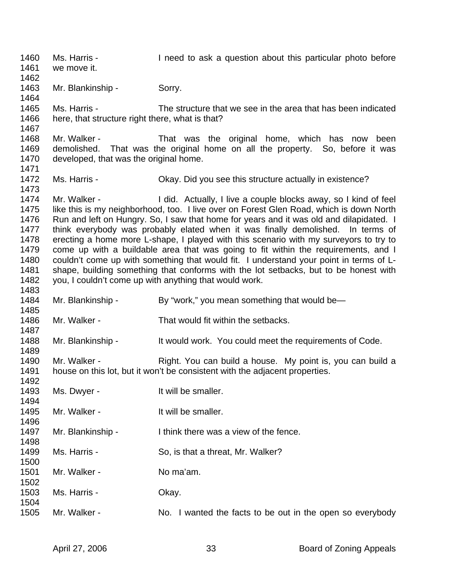1460 Ms. Harris - I need to ask a question about this particular photo before 1461 we move it. 1462 1463 Mr. Blankinship - Sorry. 1464 1465 Ms. Harris - The structure that we see in the area that has been indicated 1466 here, that structure right there, what is that? 1467 1468 Mr. Walker - That was the original home, which has now been 1469 demolished. That was the original home on all the property. So, before it was 1470 developed, that was the original home. 1471 1472 Ms. Harris - Okay. Did you see this structure actually in existence? 1473<br>1474 Mr. Walker - The I did. Actually, I live a couple blocks away, so I kind of feel 1475 like this is my neighborhood, too. I live over on Forest Glen Road, which is down North 1476 Run and left on Hungry. So, I saw that home for years and it was old and dilapidated. I 1477 think everybody was probably elated when it was finally demolished. In terms of 1478 erecting a home more L-shape, I played with this scenario with my surveyors to try to 1479 come up with a buildable area that was going to fit within the requirements, and I 1480 couldn't come up with something that would fit. I understand your point in terms of L-1481 shape, building something that conforms with the lot setbacks, but to be honest with 1482 you, I couldn't come up with anything that would work. 1483 1484 Mr. Blankinship - By "work," you mean something that would be— 1485 1486 Mr. Walker - That would fit within the setbacks. 1487 1488 Mr. Blankinship - It would work. You could meet the requirements of Code. 1489 1490 Mr. Walker - Right. You can build a house. My point is, you can build a 1491 house on this lot, but it won't be consistent with the adjacent properties. 1492 1493 Ms. Dwyer - It will be smaller. 1494 1495 Mr. Walker - It will be smaller. 1496 1497 Mr. Blankinship - I think there was a view of the fence. 1498 1499 Ms. Harris - So, is that a threat, Mr. Walker? 1500 1501 Mr. Walker - No ma'am. 1502 1503 Ms. Harris - Okay. 1504 1505 Mr. Walker - No. I wanted the facts to be out in the open so everybody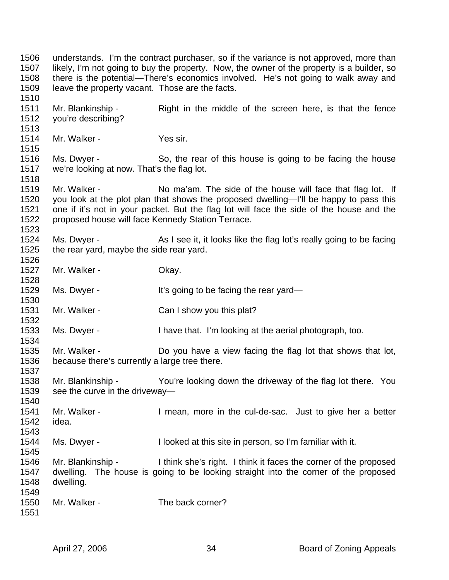1506 understands. I'm the contract purchaser, so if the variance is not approved, more than 1507 likely, I'm not going to buy the property. Now, the owner of the property is a builder, so 1508 there is the potential—There's economics involved. He's not going to walk away and 1509 leave the property vacant. Those are the facts. 1510 1511 Mr. Blankinship - Right in the middle of the screen here, is that the fence 1512 you're describing? 1513 1514 Mr. Walker - Yes sir. 1515 1516 Ms. Dwyer - So, the rear of this house is going to be facing the house 1517 we're looking at now. That's the flag lot. 1518 1519 Mr. Walker - No ma'am. The side of the house will face that flag lot. If 1520 you look at the plot plan that shows the proposed dwelling—I'll be happy to pass this 1521 one if it's not in your packet. But the flag lot will face the side of the house and the 1522 proposed house will face Kennedy Station Terrace. 1523 1524 Ms. Dwyer - As I see it, it looks like the flag lot's really going to be facing 1525 the rear yard, maybe the side rear yard. 1526 1527 Mr. Walker - Chay. 1528 1529 Ms. Dwyer - It's going to be facing the rear yard— 1530 1531 Mr. Walker - Can I show you this plat? 1532 1533 Ms. Dwyer - I have that. I'm looking at the aerial photograph, too. 1534 1535 Mr. Walker - Do you have a view facing the flag lot that shows that lot, 1536 because there's currently a large tree there. 1537 1538 Mr. Blankinship - You're looking down the driveway of the flag lot there. You 1539 see the curve in the driveway— 1540 1541 Mr. Walker - I mean, more in the cul-de-sac. Just to give her a better 1542 idea. 1543 1544 Ms. Dwyer - I looked at this site in person, so I'm familiar with it. 1545 1546 Mr. Blankinship - I think she's right. I think it faces the corner of the proposed 1547 dwelling. The house is going to be looking straight into the corner of the proposed 1548 dwelling. 1549 1550 Mr. Walker - The back corner? 1551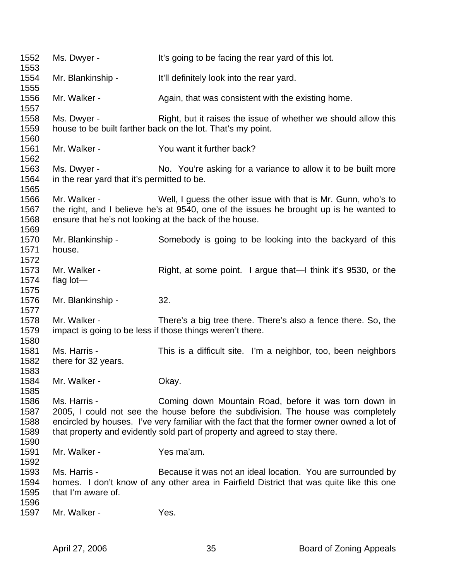1552 Ms. Dwyer - It's going to be facing the rear yard of this lot. 1553 1554 Mr. Blankinship - It'll definitely look into the rear yard. 1555 1556 Mr. Walker - Again, that was consistent with the existing home. 1557 1558 Ms. Dwyer - Right, but it raises the issue of whether we should allow this 1559 house to be built farther back on the lot. That's my point. 1560 1561 Mr. Walker - You want it further back? 1562 1563 Ms. Dwyer - No. You're asking for a variance to allow it to be built more 1564 in the rear yard that it's permitted to be. 1565 1566 Mr. Walker - Well, I guess the other issue with that is Mr. Gunn, who's to 1567 the right, and I believe he's at 9540, one of the issues he brought up is he wanted to 1568 ensure that he's not looking at the back of the house. 1569 1570 Mr. Blankinship - Somebody is going to be looking into the backyard of this 1571 house. 1572 1573 Mr. Walker - Right, at some point. I argue that—I think it's 9530, or the 1574 flag lot— 1575 1576 Mr. Blankinship - 32. 1577 1578 Mr. Walker - There's a big tree there. There's also a fence there. So, the 1579 impact is going to be less if those things weren't there. 1580 1581 Ms. Harris - This is a difficult site. I'm a neighbor, too, been neighbors 1582 there for 32 years. 1583 1584 Mr. Walker - Chay. 1585 1586 Ms. Harris - Coming down Mountain Road, before it was torn down in 1587 2005, I could not see the house before the subdivision. The house was completely 1588 encircled by houses. I've very familiar with the fact that the former owner owned a lot of 1589 that property and evidently sold part of property and agreed to stay there. 1590 1591 Mr. Walker - Yes ma'am. 1592 1593 Ms. Harris - Because it was not an ideal location. You are surrounded by 1594 homes. I don't know of any other area in Fairfield District that was quite like this one 1595 that I'm aware of. 1596 1597 Mr. Walker - Yes.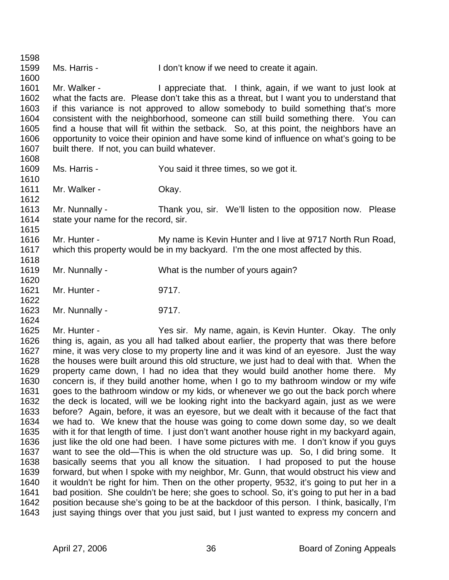1598 1599 Ms. Harris - I don't know if we need to create it again. 1600 1601 Mr. Walker - I appreciate that. I think, again, if we want to just look at 1602 what the facts are. Please don't take this as a threat, but I want you to understand that 1603 if this variance is not approved to allow somebody to build something that's more 1604 consistent with the neighborhood, someone can still build something there. You can 1605 find a house that will fit within the setback. So, at this point, the neighbors have an 1606 opportunity to voice their opinion and have some kind of influence on what's going to be 1607 built there. If not, you can build whatever. 1608 1609 Ms. Harris - You said it three times, so we got it. 1610 1611 Mr. Walker - Chay. 1612 1613 Mr. Nunnally - Thank you, sir. We'll listen to the opposition now. Please 1614 state your name for the record, sir. 1615 1616 Mr. Hunter - My name is Kevin Hunter and I live at 9717 North Run Road, 1617 which this property would be in my backyard. I'm the one most affected by this. 1618 1619 Mr. Nunnally - What is the number of yours again? 1620 1621 Mr. Hunter - 9717. 1622 1623 Mr. Nunnally - 9717. 1624 1625 Mr. Hunter - Yes sir. My name, again, is Kevin Hunter. Okay. The only 1626 thing is, again, as you all had talked about earlier, the property that was there before 1627 mine, it was very close to my property line and it was kind of an eyesore. Just the way 1628 the houses were built around this old structure, we just had to deal with that. When the 1629 property came down, I had no idea that they would build another home there. My 1630 concern is, if they build another home, when I go to my bathroom window or my wife 1631 goes to the bathroom window or my kids, or whenever we go out the back porch where 1632 the deck is located, will we be looking right into the backyard again, just as we were 1633 before? Again, before, it was an eyesore, but we dealt with it because of the fact that 1634 we had to. We knew that the house was going to come down some day, so we dealt 1635 with it for that length of time. I just don't want another house right in my backyard again, 1636 just like the old one had been. I have some pictures with me. I don't know if you guys 1637 want to see the old—This is when the old structure was up. So, I did bring some. It 1638 basically seems that you all know the situation. I had proposed to put the house 1639 forward, but when I spoke with my neighbor, Mr. Gunn, that would obstruct his view and 1640 it wouldn't be right for him. Then on the other property, 9532, it's going to put her in a 1641 bad position. She couldn't be here; she goes to school. So, it's going to put her in a bad 1642 position because she's going to be at the backdoor of this person. I think, basically, I'm

1643 just saying things over that you just said, but I just wanted to express my concern and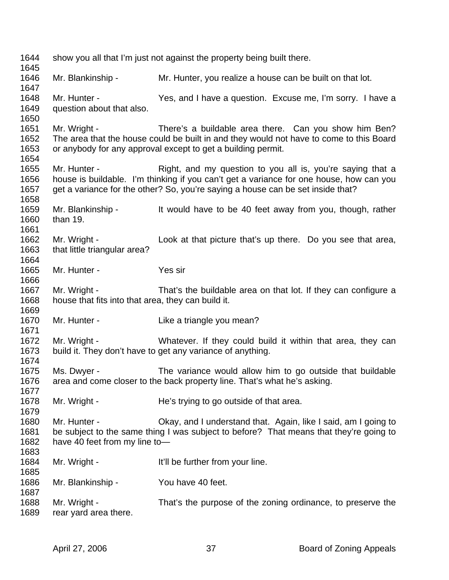| 1644<br>1645                 |                                                                    | show you all that I'm just not against the property being built there.                                                                                                                                                                   |
|------------------------------|--------------------------------------------------------------------|------------------------------------------------------------------------------------------------------------------------------------------------------------------------------------------------------------------------------------------|
| 1646<br>1647                 | Mr. Blankinship -                                                  | Mr. Hunter, you realize a house can be built on that lot.                                                                                                                                                                                |
| 1648<br>1649<br>1650         | Mr. Hunter -<br>question about that also.                          | Yes, and I have a question. Excuse me, I'm sorry. I have a                                                                                                                                                                               |
| 1651<br>1652<br>1653<br>1654 | Mr. Wright -                                                       | There's a buildable area there. Can you show him Ben?<br>The area that the house could be built in and they would not have to come to this Board<br>or anybody for any approval except to get a building permit.                         |
| 1655<br>1656<br>1657<br>1658 | Mr. Hunter -                                                       | Right, and my question to you all is, you're saying that a<br>house is buildable. I'm thinking if you can't get a variance for one house, how can you<br>get a variance for the other? So, you're saying a house can be set inside that? |
| 1659<br>1660<br>1661         | Mr. Blankinship -<br>than 19.                                      | It would have to be 40 feet away from you, though, rather                                                                                                                                                                                |
| 1662<br>1663<br>1664         | Mr. Wright -<br>that little triangular area?                       | Look at that picture that's up there. Do you see that area,                                                                                                                                                                              |
| 1665<br>1666                 | Mr. Hunter -                                                       | Yes sir                                                                                                                                                                                                                                  |
| 1667<br>1668<br>1669         | Mr. Wright -<br>house that fits into that area, they can build it. | That's the buildable area on that lot. If they can configure a                                                                                                                                                                           |
| 1670<br>1671                 | Mr. Hunter -                                                       | Like a triangle you mean?                                                                                                                                                                                                                |
| 1672<br>1673<br>1674         | Mr. Wright -                                                       | Whatever. If they could build it within that area, they can<br>build it. They don't have to get any variance of anything.                                                                                                                |
| 1675<br>1676<br>1677         | Ms. Dwyer -                                                        | The variance would allow him to go outside that buildable<br>area and come closer to the back property line. That's what he's asking.                                                                                                    |
| 1678<br>1679                 | Mr. Wright -                                                       | He's trying to go outside of that area.                                                                                                                                                                                                  |
| 1680<br>1681<br>1682<br>1683 | Mr. Hunter -<br>have 40 feet from my line to-                      | Okay, and I understand that. Again, like I said, am I going to<br>be subject to the same thing I was subject to before? That means that they're going to                                                                                 |
| 1684<br>1685                 | Mr. Wright -                                                       | It'll be further from your line.                                                                                                                                                                                                         |
| 1686<br>1687                 | Mr. Blankinship -                                                  | You have 40 feet.                                                                                                                                                                                                                        |
| 1688<br>1689                 | Mr. Wright -<br>rear yard area there.                              | That's the purpose of the zoning ordinance, to preserve the                                                                                                                                                                              |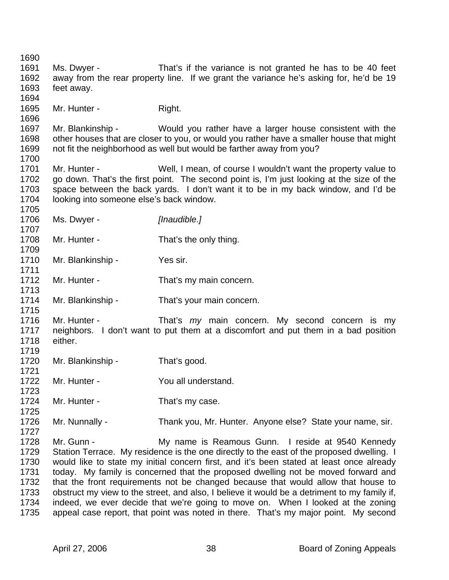1690 1691 Ms. Dwyer - That's if the variance is not granted he has to be 40 feet 1692 away from the rear property line. If we grant the variance he's asking for, he'd be 19 1693 feet away. 1694 1695 Mr. Hunter - Right. 1696 1697 Mr. Blankinship - Would you rather have a larger house consistent with the 1698 other houses that are closer to you, or would you rather have a smaller house that might 1699 not fit the neighborhood as well but would be farther away from you? 1700 1701 Mr. Hunter - Well, I mean, of course I wouldn't want the property value to 1702 go down. That's the first point. The second point is, I'm just looking at the size of the 1703 space between the back yards. I don't want it to be in my back window, and I'd be 1704 looking into someone else's back window. 1705 1706 Ms. Dwyer - *[Inaudible.]* 1707 1708 Mr. Hunter - That's the only thing. 1709 1710 Mr. Blankinship - Yes sir. 1711 1712 Mr. Hunter - That's my main concern. 1713 1714 Mr. Blankinship - That's your main concern. 1715 1716 Mr. Hunter - That's *my* main concern. My second concern is my 1717 neighbors. I don't want to put them at a discomfort and put them in a bad position 1718 either. 1719 1720 Mr. Blankinship - That's good. 1721 1722 Mr. Hunter - You all understand. 1723 1724 Mr. Hunter - That's my case. 1725 1726 Mr. Nunnally - Thank you, Mr. Hunter. Anyone else? State your name, sir. 1727 1728 Mr. Gunn - My name is Reamous Gunn. I reside at 9540 Kennedy 1729 Station Terrace. My residence is the one directly to the east of the proposed dwelling. I 1730 would like to state my initial concern first, and it's been stated at least once already 1731 today. My family is concerned that the proposed dwelling not be moved forward and 1732 that the front requirements not be changed because that would allow that house to 1733 obstruct my view to the street, and also, I believe it would be a detriment to my family if, 1734 indeed, we ever decide that we're going to move on. When I looked at the zoning 1735 appeal case report, that point was noted in there. That's my major point. My second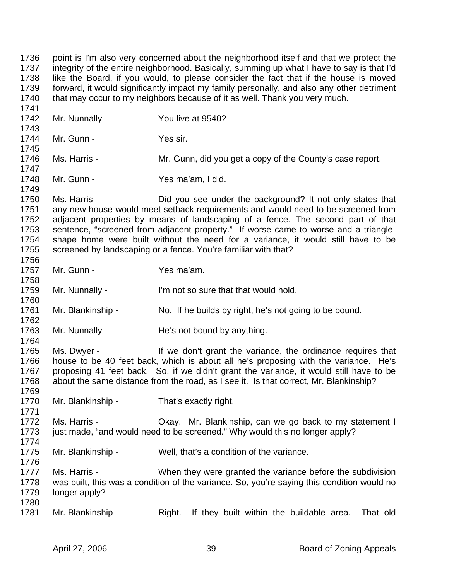1736 point is I'm also very concerned about the neighborhood itself and that we protect the 1737 integrity of the entire neighborhood. Basically, summing up what I have to say is that I'd 1738 like the Board, if you would, to please consider the fact that if the house is moved 1739 forward, it would significantly impact my family personally, and also any other detriment 1740 that may occur to my neighbors because of it as well. Thank you very much. 1741 1742 Mr. Nunnally - You live at 9540? 1743 1744 Mr. Gunn - Yes sir. 1745 1746 Ms. Harris - Mr. Gunn, did you get a copy of the County's case report. 1747 1748 Mr. Gunn - Yes ma'am, I did. 1749 1750 Ms. Harris - Did you see under the background? It not only states that 1751 any new house would meet setback requirements and would need to be screened from 1752 adjacent properties by means of landscaping of a fence. The second part of that 1753 sentence, "screened from adjacent property." If worse came to worse and a triangle-1754 shape home were built without the need for a variance, it would still have to be 1755 screened by landscaping or a fence. You're familiar with that? 1756 1757 Mr. Gunn - Yes ma'am. 1758 1759 Mr. Nunnally - I'm not so sure that that would hold. 1760 1761 Mr. Blankinship - No. If he builds by right, he's not going to be bound. 1762 1763 Mr. Nunnally - He's not bound by anything. 1764 1765 Ms. Dwyer - If we don't grant the variance, the ordinance requires that 1766 house to be 40 feet back, which is about all he's proposing with the variance. He's 1767 proposing 41 feet back. So, if we didn't grant the variance, it would still have to be 1768 about the same distance from the road, as I see it. Is that correct, Mr. Blankinship? 1769 1770 Mr. Blankinship - That's exactly right. 1771 1772 Ms. Harris - Ckay. Mr. Blankinship, can we go back to my statement I 1773 just made, "and would need to be screened." Why would this no longer apply? 1774 1775 Mr. Blankinship - Well, that's a condition of the variance. 1776 1777 Ms. Harris - When they were granted the variance before the subdivision 1778 was built, this was a condition of the variance. So, you're saying this condition would no 1779 longer apply? 1780 1781 Mr. Blankinship - Right. If they built within the buildable area. That old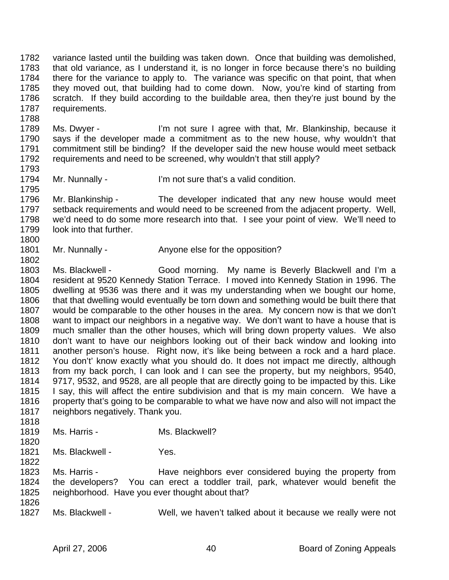1782 variance lasted until the building was taken down. Once that building was demolished, 1783 that old variance, as I understand it, is no longer in force because there's no building 1784 there for the variance to apply to. The variance was specific on that point, that when 1785 they moved out, that building had to come down. Now, you're kind of starting from 1786 scratch. If they build according to the buildable area, then they're just bound by the 1787 requirements.

1789 Ms. Dwyer - I'm not sure I agree with that, Mr. Blankinship, because it 1790 says if the developer made a commitment as to the new house, why wouldn't that 1791 commitment still be binding? If the developer said the new house would meet setback 1792 requirements and need to be screened, why wouldn't that still apply? 1793

1794 Mr. Nunnally - I'm not sure that's a valid condition.

1795<br>1796 Mr. Blankinship - The developer indicated that any new house would meet 1797 setback requirements and would need to be screened from the adjacent property. Well, 1798 we'd need to do some more research into that. I see your point of view. We'll need to 1799 look into that further.

1801 Mr. Nunnally - Anyone else for the opposition?

1803 Ms. Blackwell - Good morning. My name is Beverly Blackwell and I'm a 1804 resident at 9520 Kennedy Station Terrace. I moved into Kennedy Station in 1996. The 1805 dwelling at 9536 was there and it was my understanding when we bought our home, 1806 that that dwelling would eventually be torn down and something would be built there that 1807 would be comparable to the other houses in the area. My concern now is that we don't 1808 want to impact our neighbors in a negative way. We don't want to have a house that is 1809 much smaller than the other houses, which will bring down property values. We also 1810 don't want to have our neighbors looking out of their back window and looking into 1811 another person's house. Right now, it's like being between a rock and a hard place. 1812 You don't' know exactly what you should do. It does not impact me directly, although 1813 from my back porch, I can look and I can see the property, but my neighbors, 9540, 1814 9717, 9532, and 9528, are all people that are directly going to be impacted by this. Like 1815 I say, this will affect the entire subdivision and that is my main concern. We have a 1816 property that's going to be comparable to what we have now and also will not impact the 1817 neighbors negatively. Thank you. 1818

1819 Ms. Harris - Ms. Blackwell?

1820

1788

1800

1802

1821 Ms. Blackwell - Yes.

1822

1823 Ms. Harris - Have neighbors ever considered buying the property from 1824 the developers? You can erect a toddler trail, park, whatever would benefit the 1825 neighborhood. Have you ever thought about that?

1826

1827 Ms. Blackwell - Well, we haven't talked about it because we really were not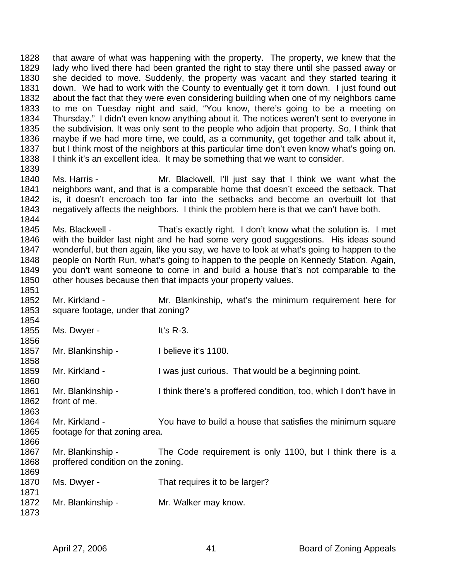1828 that aware of what was happening with the property. The property, we knew that the 1829 lady who lived there had been granted the right to stay there until she passed away or 1830 she decided to move. Suddenly, the property was vacant and they started tearing it 1831 down. We had to work with the County to eventually get it torn down. I just found out 1832 about the fact that they were even considering building when one of my neighbors came 1833 to me on Tuesday night and said, "You know, there's going to be a meeting on 1834 Thursday." I didn't even know anything about it. The notices weren't sent to everyone in 1835 the subdivision. It was only sent to the people who adjoin that property. So, I think that 1836 maybe if we had more time, we could, as a community, get together and talk about it, 1837 but I think most of the neighbors at this particular time don't even know what's going on. 1838 I think it's an excellent idea. It may be something that we want to consider. 1839

1840 Ms. Harris - Mr. Blackwell, I'll just say that I think we want what the 1841 neighbors want, and that is a comparable home that doesn't exceed the setback. That 1842 is it doesn't encroach too far into the setbacks and become an overbuilt lot that is, it doesn't encroach too far into the setbacks and become an overbuilt lot that 1843 negatively affects the neighbors. I think the problem here is that we can't have both. 1844

1845 Ms. Blackwell - That's exactly right. I don't know what the solution is. I met 1846 with the builder last night and he had some very good suggestions. His ideas sound 1847 wonderful, but then again, like you say, we have to look at what's going to happen to the 1848 people on North Run, what's going to happen to the people on Kennedy Station. Again, 1849 you don't want someone to come in and build a house that's not comparable to the 1850 other houses because then that impacts your property values.

1852 Mr. Kirkland - Mr. Blankinship, what's the minimum requirement here for 1853 square footage, under that zoning? 1854

1855 Ms. Dwyer - It's R-3. 1856

1851

1858

1860

1866

1869

1871

1873

1857 Mr. Blankinship - Ibelieve it's 1100.

1859 Mr. Kirkland - I was just curious. That would be a beginning point.

1861 Mr. Blankinship - I think there's a proffered condition, too, which I don't have in 1862 front of me. 1863

1864 Mr. Kirkland - You have to build a house that satisfies the minimum square 1865 footage for that zoning area.

1867 Mr. Blankinship - The Code requirement is only 1100, but I think there is a 1868 proffered condition on the zoning.

1870 Ms. Dwyer - That requires it to be larger?

1872 Mr. Blankinship - Mr. Walker may know.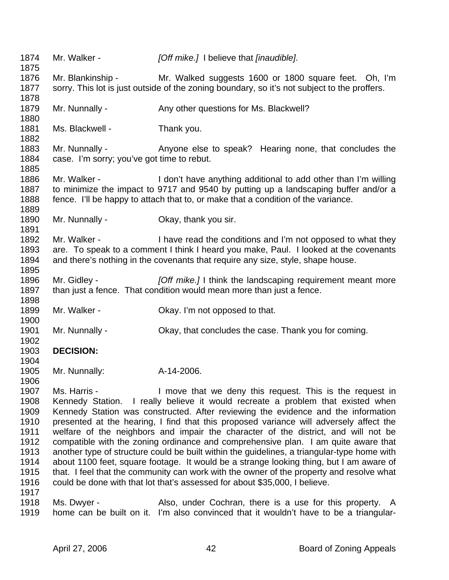1874 Mr. Walker - *[Off mike.]* I believe that *[inaudible]*. 1875 1876 Mr. Blankinship - Mr. Walked suggests 1600 or 1800 square feet. Oh, I'm 1877 sorry. This lot is just outside of the zoning boundary, so it's not subject to the proffers. 1878 1879 Mr. Nunnally - Any other questions for Ms. Blackwell? 1880 1881 Ms. Blackwell - Thank you. 1882 1883 Mr. Nunnally - Anyone else to speak? Hearing none, that concludes the 1884 case. I'm sorry; you've got time to rebut. 1885 1886 Mr. Walker - I don't have anything additional to add other than I'm willing 1887 to minimize the impact to 9717 and 9540 by putting up a landscaping buffer and/or a 1888 fence. I'll be happy to attach that to, or make that a condition of the variance. 1889 1890 Mr. Nunnally - Okay, thank you sir. 1891 1892 Mr. Walker - I have read the conditions and I'm not opposed to what they 1893 are. To speak to a comment I think I heard you make, Paul. I looked at the covenants 1894 and there's nothing in the covenants that require any size, style, shape house. 1895 1896 Mr. Gidley - *[Off mike.]* I think the landscaping requirement meant more 1897 than just a fence. That condition would mean more than just a fence. 1898 1899 Mr. Walker - Okay. I'm not opposed to that. 1900 1901 Mr. Nunnally - Okay, that concludes the case. Thank you for coming. 1902 1903 **DECISION:**  1904 1905 Mr. Nunnally: A-14-2006. 1906 1907 Ms. Harris - I move that we deny this request. This is the request in 1908 Kennedy Station. I really believe it would recreate a problem that existed when 1909 Kennedy Station was constructed. After reviewing the evidence and the information 1910 presented at the hearing, I find that this proposed variance will adversely affect the 1911 welfare of the neighbors and impair the character of the district, and will not be 1912 compatible with the zoning ordinance and comprehensive plan. I am quite aware that 1913 another type of structure could be built within the guidelines, a triangular-type home with 1914 about 1100 feet, square footage. It would be a strange looking thing, but I am aware of 1915 that. I feel that the community can work with the owner of the property and resolve what 1916 could be done with that lot that's assessed for about \$35,000, I believe. 1917 1918 Ms. Dwyer - Also, under Cochran, there is a use for this property. A 1919 home can be built on it. I'm also convinced that it wouldn't have to be a triangular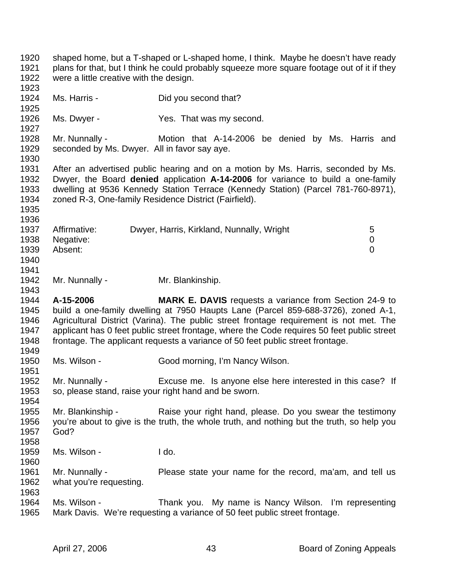1920 shaped home, but a T-shaped or L-shaped home, I think. Maybe he doesn't have ready 1921 plans for that, but I think he could probably squeeze more square footage out of it if they 1922 were a little creative with the design. 1923 1924 Ms. Harris - Did you second that? 1925 1926 Ms. Dwyer - Yes. That was my second. 1927 1928 Mr. Nunnally - Motion that A-14-2006 be denied by Ms. Harris and 1929 seconded by Ms. Dwyer. All in favor say aye. 1930 1931 After an advertised public hearing and on a motion by Ms. Harris, seconded by Ms. 1932 Dwyer, the Board **denied** application **A-14-2006** for variance to build a one-family 1933 dwelling at 9536 Kennedy Station Terrace (Kennedy Station) (Parcel 781-760-8971), 1934 zoned R-3, One-family Residence District (Fairfield). 1935 1936 1937 Affirmative: Dwyer, Harris, Kirkland, Nunnally, Wright 5 1938 Negative: 0 1939 Absent: 0 1940 1941 1942 Mr. Nunnally - Mr. Blankinship. 1943 1944 **A-15-2006 MARK E. DAVIS** requests a variance from Section 24-9 to 1945 build a one-family dwelling at 7950 Haupts Lane (Parcel 859-688-3726), zoned A-1, 1946 Agricultural District (Varina). The public street frontage requirement is not met. The 1947 applicant has 0 feet public street frontage, where the Code requires 50 feet public street 1948 frontage. The applicant requests a variance of 50 feet public street frontage. 1949 1950 Ms. Wilson - Good morning, I'm Nancy Wilson. 1951 1952 Mr. Nunnally - Excuse me. Is anyone else here interested in this case? If 1953 so, please stand, raise your right hand and be sworn. 1954 1955 Mr. Blankinship - Raise your right hand, please. Do you swear the testimony 1956 you're about to give is the truth, the whole truth, and nothing but the truth, so help you 1957 God? 1958 1959 Ms. Wilson - I do. 1960 1961 Mr. Nunnally - Please state your name for the record, ma'am, and tell us 1962 what you're requesting. 1963 1964 Ms. Wilson - Thank you. My name is Nancy Wilson. I'm representing 1965 Mark Davis. We're requesting a variance of 50 feet public street frontage.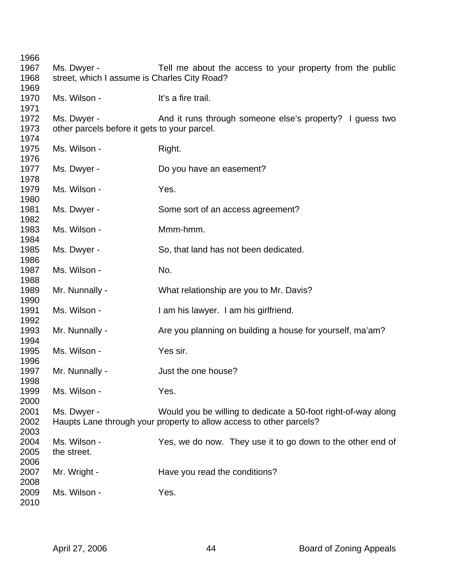| 1966         |                                              |                                                                     |
|--------------|----------------------------------------------|---------------------------------------------------------------------|
| 1967         | Ms. Dwyer -                                  | Tell me about the access to your property from the public           |
| 1968         | street, which I assume is Charles City Road? |                                                                     |
| 1969         |                                              |                                                                     |
| 1970         | Ms. Wilson -                                 | It's a fire trail.                                                  |
| 1971         |                                              |                                                                     |
| 1972         | Ms. Dwyer -                                  | And it runs through someone else's property? I guess two            |
| 1973         | other parcels before it gets to your parcel. |                                                                     |
| 1974         |                                              |                                                                     |
| 1975         | Ms. Wilson -                                 | Right.                                                              |
| 1976         |                                              |                                                                     |
| 1977         | Ms. Dwyer -                                  | Do you have an easement?                                            |
| 1978<br>1979 | Ms. Wilson -                                 | Yes.                                                                |
| 1980         |                                              |                                                                     |
| 1981         | Ms. Dwyer -                                  | Some sort of an access agreement?                                   |
| 1982         |                                              |                                                                     |
| 1983         | Ms. Wilson -                                 | Mmm-hmm.                                                            |
| 1984         |                                              |                                                                     |
| 1985         | Ms. Dwyer -                                  | So, that land has not been dedicated.                               |
| 1986         |                                              |                                                                     |
| 1987         | Ms. Wilson -                                 | No.                                                                 |
| 1988         |                                              |                                                                     |
| 1989         | Mr. Nunnally -                               | What relationship are you to Mr. Davis?                             |
| 1990         |                                              |                                                                     |
| 1991         | Ms. Wilson -                                 | I am his lawyer. I am his girlfriend.                               |
| 1992         |                                              |                                                                     |
| 1993         | Mr. Nunnally -                               | Are you planning on building a house for yourself, ma'am?           |
| 1994         |                                              |                                                                     |
| 1995         | Ms. Wilson -                                 | Yes sir.                                                            |
| 1996         |                                              |                                                                     |
| 1997         | Mr. Nunnally -                               | Just the one house?                                                 |
| 1998<br>1999 |                                              | Yes.                                                                |
| 2000         | Ms. Wilson -                                 |                                                                     |
| 2001         | Ms. Dwyer -                                  | Would you be willing to dedicate a 50-foot right-of-way along       |
| 2002         |                                              | Haupts Lane through your property to allow access to other parcels? |
| 2003         |                                              |                                                                     |
| 2004         | Ms. Wilson -                                 | Yes, we do now. They use it to go down to the other end of          |
| 2005         | the street.                                  |                                                                     |
| 2006         |                                              |                                                                     |
| 2007         | Mr. Wright -                                 | Have you read the conditions?                                       |
| 2008         |                                              |                                                                     |
| 2009         | Ms. Wilson -                                 | Yes.                                                                |
| 2010         |                                              |                                                                     |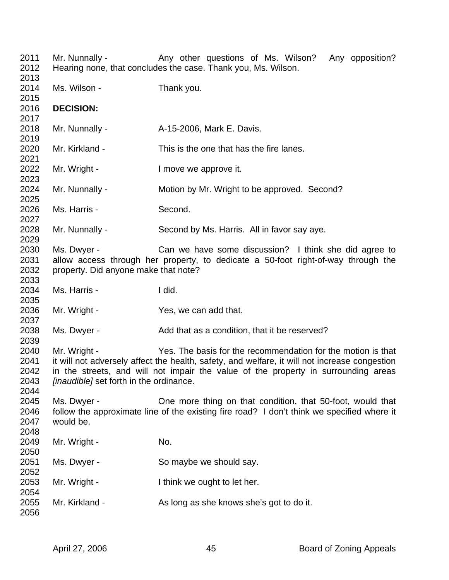| 2011<br>2012<br>2013                 | Mr. Nunnally -                                                                                                                                                                                                                                                                                                 | Any other questions of Ms. Wilson? Any opposition?<br>Hearing none, that concludes the case. Thank you, Ms. Wilson.                                      |  |  |  |
|--------------------------------------|----------------------------------------------------------------------------------------------------------------------------------------------------------------------------------------------------------------------------------------------------------------------------------------------------------------|----------------------------------------------------------------------------------------------------------------------------------------------------------|--|--|--|
| 2014<br>2015                         | Ms. Wilson -                                                                                                                                                                                                                                                                                                   | Thank you.                                                                                                                                               |  |  |  |
| 2016<br>2017                         | <b>DECISION:</b>                                                                                                                                                                                                                                                                                               |                                                                                                                                                          |  |  |  |
| 2018<br>2019                         | Mr. Nunnally -                                                                                                                                                                                                                                                                                                 | A-15-2006, Mark E. Davis.                                                                                                                                |  |  |  |
| 2020<br>2021                         | Mr. Kirkland -                                                                                                                                                                                                                                                                                                 | This is the one that has the fire lanes.                                                                                                                 |  |  |  |
| 2022<br>2023                         | Mr. Wright -                                                                                                                                                                                                                                                                                                   | I move we approve it.                                                                                                                                    |  |  |  |
| 2024<br>2025                         | Mr. Nunnally -                                                                                                                                                                                                                                                                                                 | Motion by Mr. Wright to be approved. Second?                                                                                                             |  |  |  |
| 2026<br>2027                         | Second.<br>Ms. Harris -                                                                                                                                                                                                                                                                                        |                                                                                                                                                          |  |  |  |
| 2028<br>2029                         | Mr. Nunnally -                                                                                                                                                                                                                                                                                                 | Second by Ms. Harris. All in favor say aye.                                                                                                              |  |  |  |
| 2030<br>2031                         | Ms. Dwyer -<br>Can we have some discussion? I think she did agree to<br>allow access through her property, to dedicate a 50-foot right-of-way through the                                                                                                                                                      |                                                                                                                                                          |  |  |  |
| 2032<br>2033                         | property. Did anyone make that note?                                                                                                                                                                                                                                                                           |                                                                                                                                                          |  |  |  |
| 2034<br>2035                         | Ms. Harris -                                                                                                                                                                                                                                                                                                   | I did.                                                                                                                                                   |  |  |  |
| 2036<br>2037                         | Mr. Wright -                                                                                                                                                                                                                                                                                                   | Yes, we can add that.                                                                                                                                    |  |  |  |
| 2038<br>2039                         | Ms. Dwyer -                                                                                                                                                                                                                                                                                                    | Add that as a condition, that it be reserved?                                                                                                            |  |  |  |
| 2040<br>2041<br>2042<br>2043<br>2044 | Mr. Wright -<br>Yes. The basis for the recommendation for the motion is that<br>it will not adversely affect the health, safety, and welfare, it will not increase congestion<br>in the streets, and will not impair the value of the property in surrounding areas<br>[inaudible] set forth in the ordinance. |                                                                                                                                                          |  |  |  |
| 2045<br>2046<br>2047<br>2048         | Ms. Dwyer -<br>would be.                                                                                                                                                                                                                                                                                       | One more thing on that condition, that 50-foot, would that<br>follow the approximate line of the existing fire road? I don't think we specified where it |  |  |  |
| 2049<br>2050                         | Mr. Wright -                                                                                                                                                                                                                                                                                                   | No.                                                                                                                                                      |  |  |  |
| 2051<br>2052                         | Ms. Dwyer -                                                                                                                                                                                                                                                                                                    | So maybe we should say.                                                                                                                                  |  |  |  |
| 2053<br>2054                         | Mr. Wright -                                                                                                                                                                                                                                                                                                   | I think we ought to let her.                                                                                                                             |  |  |  |
| 2055<br>2056                         | Mr. Kirkland -                                                                                                                                                                                                                                                                                                 | As long as she knows she's got to do it.                                                                                                                 |  |  |  |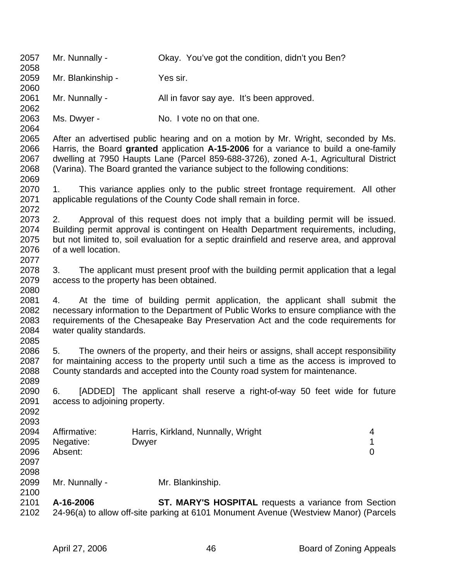2057 Mr. Nunnally - Okay. You've got the condition, didn't you Ben? 2058 2059 Mr. Blankinship - Yes sir. 2060 2061 Mr. Nunnally - All in favor say aye. It's been approved. 2062 2063 Ms. Dwyer - No. I vote no on that one. 2064 2065 After an advertised public hearing and on a motion by Mr. Wright, seconded by Ms. 2066 Harris, the Board **granted** application **A-15-2006** for a variance to build a one-family 2067 dwelling at 7950 Haupts Lane (Parcel 859-688-3726), zoned A-1, Agricultural District 2068 (Varina). The Board granted the variance subject to the following conditions: 2069 2070 1. This variance applies only to the public street frontage requirement. All other 2071 applicable regulations of the County Code shall remain in force. 2072 2073 2. Approval of this request does not imply that a building permit will be issued. 2074 Building permit approval is contingent on Health Department requirements, including, 2075 but not limited to, soil evaluation for a septic drainfield and reserve area, and approval 2076 of a well location. 2077 2078 3. The applicant must present proof with the building permit application that a legal 2079 access to the property has been obtained. 2080 2081 4. At the time of building permit application, the applicant shall submit the 2082 necessary information to the Department of Public Works to ensure compliance with the 2083 requirements of the Chesapeake Bay Preservation Act and the code requirements for 2084 water quality standards. 2085 2086 5. The owners of the property, and their heirs or assigns, shall accept responsibility 2087 for maintaining access to the property until such a time as the access is improved to 2088 County standards and accepted into the County road system for maintenance. 2089 2090 6. [ADDED] The applicant shall reserve a right-of-way 50 feet wide for future 2091 access to adjoining property. 2092 2093 2094 Affirmative: Harris, Kirkland, Nunnally, Wright 4 2095 Negative: Dwyer 2005 Negative: 1 2096 Absent: 0 2097 2098 2099 Mr. Nunnally - Mr. Blankinship. 2100 2101 **A-16-2006 ST. MARY'S HOSPITAL** requests a variance from Section 2102 24-96(a) to allow off-site parking at 6101 Monument Avenue (Westview Manor) (Parcels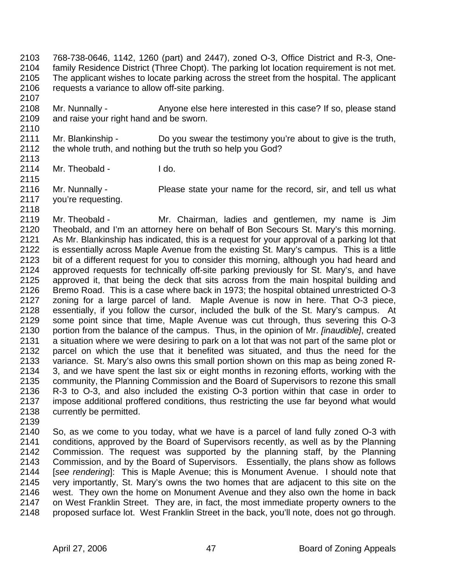2103 768-738-0646, 1142, 1260 (part) and 2447), zoned O-3, Office District and R-3, One-2104 family Residence District (Three Chopt). The parking lot location requirement is not met. 2105 The applicant wishes to locate parking across the street from the hospital. The applicant 2106 requests a variance to allow off-site parking. 2107

- 2108 Mr. Nunnally Anyone else here interested in this case? If so, please stand 2109 and raise your right hand and be sworn.
- 2111 Mr. Blankinship Do you swear the testimony you're about to give is the truth, 2112 the whole truth, and nothing but the truth so help you God? 2113
- 2114 Mr. Theobald Ido.
- 2116 Mr. Nunnally Please state your name for the record, sir, and tell us what 2117 you're requesting.
- 2118 2119 Mr. Theobald - Mr. Chairman, ladies and gentlemen, my name is Jim 2120 Theobald, and I'm an attorney here on behalf of Bon Secours St. Mary's this morning. 2121 As Mr. Blankinship has indicated, this is a request for your approval of a parking lot that 2122 is essentially across Maple Avenue from the existing St. Mary's campus. This is a little 2123 bit of a different request for you to consider this morning, although you had heard and 2124 approved requests for technically off-site parking previously for St. Mary's, and have 2125 approved it, that being the deck that sits across from the main hospital building and 2126 Bremo Road. This is a case where back in 1973; the hospital obtained unrestricted O-3 2127 zoning for a large parcel of land. Maple Avenue is now in here. That O-3 piece, 2128 essentially, if you follow the cursor, included the bulk of the St. Mary's campus. At 2129 some point since that time, Maple Avenue was cut through, thus severing this O-3 2130 portion from the balance of the campus. Thus, in the opinion of Mr. *[inaudible]*, created 2131 a situation where we were desiring to park on a lot that was not part of the same plot or 2132 parcel on which the use that it benefited was situated, and thus the need for the 2133 variance. St. Mary's also owns this small portion shown on this map as being zoned R-2134 3, and we have spent the last six or eight months in rezoning efforts, working with the 2135 community, the Planning Commission and the Board of Supervisors to rezone this small 2136 R-3 to O-3, and also included the existing O-3 portion within that case in order to 2137 impose additional proffered conditions, thus restricting the use far beyond what would 2138 currently be permitted.
- 2139

2110

2115

2140 So, as we come to you today, what we have is a parcel of land fully zoned O-3 with 2141 conditions, approved by the Board of Supervisors recently, as well as by the Planning 2142 Commission. The request was supported by the planning staff, by the Planning 2143 Commission, and by the Board of Supervisors. Essentially, the plans show as follows 2144 [*see rendering*]: This is Maple Avenue; this is Monument Avenue. I should note that 2145 very importantly, St. Mary's owns the two homes that are adjacent to this site on the 2146 west. They own the home on Monument Avenue and they also own the home in back 2147 on West Franklin Street. They are, in fact, the most immediate property owners to the 2148 proposed surface lot. West Franklin Street in the back, you'll note, does not go through.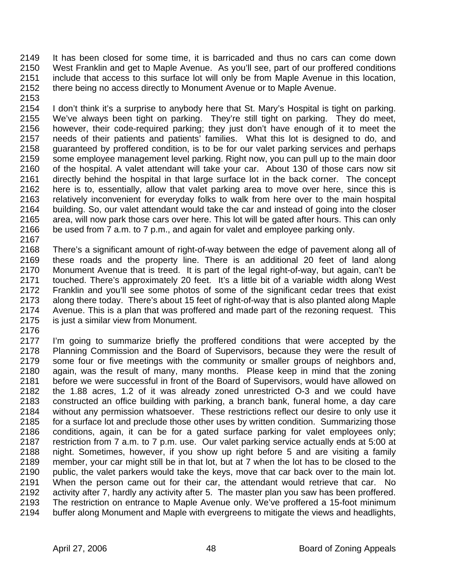2149 It has been closed for some time, it is barricaded and thus no cars can come down 2150 West Franklin and get to Maple Avenue. As you'll see, part of our proffered conditions 2151 include that access to this surface lot will only be from Maple Avenue in this location, 2152 there being no access directly to Monument Avenue or to Maple Avenue.

2153

2154 I don't think it's a surprise to anybody here that St. Mary's Hospital is tight on parking. 2155 We've always been tight on parking. They're still tight on parking. They do meet, 2156 however, their code-required parking; they just don't have enough of it to meet the 2157 needs of their patients and patients' families. What this lot is designed to do, and 2158 guaranteed by proffered condition, is to be for our valet parking services and perhaps 2159 some employee management level parking. Right now, you can pull up to the main door 2160 of the hospital. A valet attendant will take your car. About 130 of those cars now sit 2161 directly behind the hospital in that large surface lot in the back corner. The concept 2162 here is to, essentially, allow that valet parking area to move over here, since this is 2163 relatively inconvenient for everyday folks to walk from here over to the main hospital 2164 building. So, our valet attendant would take the car and instead of going into the closer 2165 area, will now park those cars over here. This lot will be gated after hours. This can only 2166 be used from 7 a.m. to 7 p.m., and again for valet and employee parking only. 2167

2168 There's a significant amount of right-of-way between the edge of pavement along all of 2169 these roads and the property line. There is an additional 20 feet of land along 2170 Monument Avenue that is treed. It is part of the legal right-of-way, but again, can't be 2171 touched. There's approximately 20 feet. It's a little bit of a variable width along West 2172 Franklin and you'll see some photos of some of the significant cedar trees that exist 2173 along there today. There's about 15 feet of right-of-way that is also planted along Maple 2174 Avenue. This is a plan that was proffered and made part of the rezoning request. This 2175 is just a similar view from Monument.

2176

2177 I'm going to summarize briefly the proffered conditions that were accepted by the 2178 Planning Commission and the Board of Supervisors, because they were the result of 2179 some four or five meetings with the community or smaller groups of neighbors and, 2180 again, was the result of many, many months. Please keep in mind that the zoning 2181 before we were successful in front of the Board of Supervisors, would have allowed on 2182 the 1.88 acres, 1.2 of it was already zoned unrestricted O-3 and we could have 2183 constructed an office building with parking, a branch bank, funeral home, a day care 2184 without any permission whatsoever. These restrictions reflect our desire to only use it 2185 for a surface lot and preclude those other uses by written condition. Summarizing those 2186 conditions, again, it can be for a gated surface parking for valet employees only; 2187 restriction from 7 a.m. to 7 p.m. use. Our valet parking service actually ends at 5:00 at 2188 night. Sometimes, however, if you show up right before 5 and are visiting a family 2189 member, your car might still be in that lot, but at 7 when the lot has to be closed to the 2190 public, the valet parkers would take the keys, move that car back over to the main lot. 2191 When the person came out for their car, the attendant would retrieve that car. No 2192 activity after 7, hardly any activity after 5. The master plan you saw has been proffered. 2193 The restriction on entrance to Maple Avenue only. We've proffered a 15-foot minimum 2194 buffer along Monument and Maple with evergreens to mitigate the views and headlights,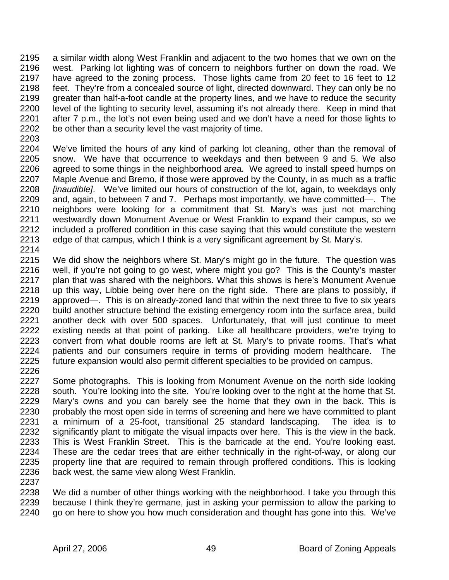2195 a similar width along West Franklin and adjacent to the two homes that we own on the 2196 west. Parking lot lighting was of concern to neighbors further on down the road. We 2197 have agreed to the zoning process. Those lights came from 20 feet to 16 feet to 12 2198 feet. They're from a concealed source of light, directed downward. They can only be no 2199 greater than half-a-foot candle at the property lines, and we have to reduce the security 2200 level of the lighting to security level, assuming it's not already there. Keep in mind that 2201 after 7 p.m., the lot's not even being used and we don't have a need for those lights to 2202 be other than a security level the vast majority of time.

2203

2204 We've limited the hours of any kind of parking lot cleaning, other than the removal of 2205 snow. We have that occurrence to weekdays and then between 9 and 5. We also 2206 agreed to some things in the neighborhood area. We agreed to install speed humps on 2207 Maple Avenue and Bremo, if those were approved by the County, in as much as a traffic 2208 *[inaudible]*. We've limited our hours of construction of the lot, again, to weekdays only 2209 and, again, to between 7 and 7. Perhaps most importantly, we have committed—. The 2210 neighbors were looking for a commitment that St. Mary's was just not marching 2211 westwardly down Monument Avenue or West Franklin to expand their campus, so we 2212 included a proffered condition in this case saying that this would constitute the western 2213 edge of that campus, which I think is a very significant agreement by St. Mary's.

2214

2237

2215 We did show the neighbors where St. Mary's might go in the future. The question was 2216 well, if you're not going to go west, where might you go? This is the County's master 2217 plan that was shared with the neighbors. What this shows is here's Monument Avenue 2218 up this way, Libbie being over here on the right side. There are plans to possibly, if 2219 approved—. This is on already-zoned land that within the next three to five to six years 2220 build another structure behind the existing emergency room into the surface area, build 2221 another deck with over 500 spaces. Unfortunately, that will just continue to meet 2222 existing needs at that point of parking. Like all healthcare providers, we're trying to 2223 convert from what double rooms are left at St. Mary's to private rooms. That's what 2224 patients and our consumers require in terms of providing modern healthcare. The 2225 future expansion would also permit different specialties to be provided on campus. 2226

- 2227 Some photographs. This is looking from Monument Avenue on the north side looking 2228 south. You're looking into the site. You're looking over to the right at the home that St. 2229 Mary's owns and you can barely see the home that they own in the back. This is 2230 probably the most open side in terms of screening and here we have committed to plant 2231 a minimum of a 25-foot, transitional 25 standard landscaping. The idea is to 2232 significantly plant to mitigate the visual impacts over here. This is the view in the back. 2233 This is West Franklin Street. This is the barricade at the end. You're looking east. 2234 These are the cedar trees that are either technically in the right-of-way, or along our 2235 property line that are required to remain through proffered conditions. This is looking 2236 back west, the same view along West Franklin.
- 2238 We did a number of other things working with the neighborhood. I take you through this 2239 because I think they're germane, just in asking your permission to allow the parking to 2240 go on here to show you how much consideration and thought has gone into this. We've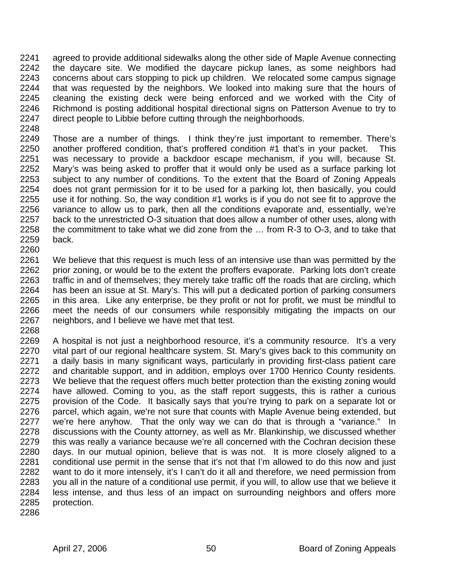2241 agreed to provide additional sidewalks along the other side of Maple Avenue connecting 2242 the daycare site. We modified the daycare pickup lanes, as some neighbors had 2243 concerns about cars stopping to pick up children. We relocated some campus signage 2244 that was requested by the neighbors. We looked into making sure that the hours of 2245 cleaning the existing deck were being enforced and we worked with the City of 2246 Richmond is posting additional hospital directional signs on Patterson Avenue to try to 2247 direct people to Libbie before cutting through the neighborhoods.

2248

2249 Those are a number of things. I think they're just important to remember. There's 2250 another proffered condition, that's proffered condition #1 that's in your packet. This 2251 was necessary to provide a backdoor escape mechanism, if you will, because St. 2252 Mary's was being asked to proffer that it would only be used as a surface parking lot 2253 subject to any number of conditions. To the extent that the Board of Zoning Appeals 2254 does not grant permission for it to be used for a parking lot, then basically, you could 2255 use it for nothing. So, the way condition #1 works is if you do not see fit to approve the 2256 variance to allow us to park, then all the conditions evaporate and, essentially, we're 2257 back to the unrestricted O-3 situation that does allow a number of other uses, along with 2258 the commitment to take what we did zone from the … from R-3 to O-3, and to take that 2259 back. 2260

2261 We believe that this request is much less of an intensive use than was permitted by the 2262 prior zoning, or would be to the extent the proffers evaporate. Parking lots don't create 2263 traffic in and of themselves; they merely take traffic off the roads that are circling, which 2264 has been an issue at St. Mary's. This will put a dedicated portion of parking consumers 2265 in this area. Like any enterprise, be they profit or not for profit, we must be mindful to 2266 meet the needs of our consumers while responsibly mitigating the impacts on our 2267 neighbors, and I believe we have met that test.

2269 A hospital is not just a neighborhood resource, it's a community resource. It's a very 2270 vital part of our regional healthcare system. St. Mary's gives back to this community on 2271 a daily basis in many significant ways, particularly in providing first-class patient care 2272 and charitable support, and in addition, employs over 1700 Henrico County residents. 2273 We believe that the request offers much better protection than the existing zoning would 2274 have allowed. Coming to you, as the staff report suggests, this is rather a curious 2275 provision of the Code. It basically says that you're trying to park on a separate lot or 2276 parcel, which again, we're not sure that counts with Maple Avenue being extended, but 2277 we're here anyhow. That the only way we can do that is through a "variance." In 2278 discussions with the County attorney, as well as Mr. Blankinship, we discussed whether 2279 this was really a variance because we're all concerned with the Cochran decision these 2280 days. In our mutual opinion, believe that is was not. It is more closely aligned to a 2281 conditional use permit in the sense that it's not that I'm allowed to do this now and just 2282 want to do it more intensely, it's I can't do it all and therefore, we need permission from 2283 you all in the nature of a conditional use permit, if you will, to allow use that we believe it 2284 less intense, and thus less of an impact on surrounding neighbors and offers more 2285 protection.

2286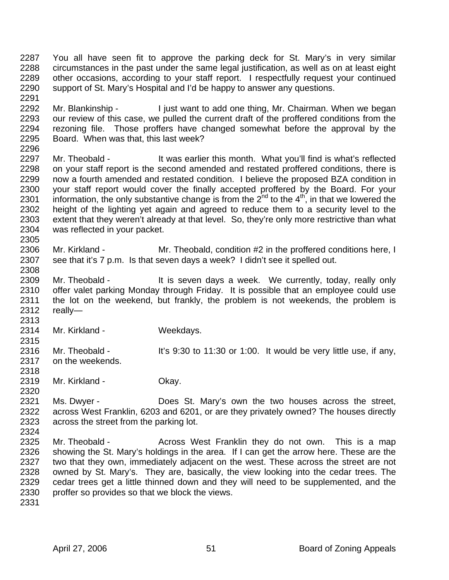2287 You all have seen fit to approve the parking deck for St. Mary's in very similar 2288 circumstances in the past under the same legal justification, as well as on at least eight 2289 other occasions, according to your staff report. I respectfully request your continued 2290 support of St. Mary's Hospital and I'd be happy to answer any questions. 2291

2292 Mr. Blankinship - I just want to add one thing, Mr. Chairman. When we began 2293 our review of this case, we pulled the current draft of the proffered conditions from the 2294 rezoning file. Those proffers have changed somewhat before the approval by the 2295 Board. When was that, this last week?

2296<br>2297 Mr. Theobald - It was earlier this month. What you'll find is what's reflected 2298 on your staff report is the second amended and restated proffered conditions, there is 2299 now a fourth amended and restated condition. I believe the proposed BZA condition in 2300 your staff report would cover the finally accepted proffered by the Board. For your  $\frac{1}{2301}$  information, the only substantive change is from the  $2^{nd}$  to the  $4^{th}$ , in that we lowered the 2302 height of the lighting yet again and agreed to reduce them to a security level to the 2303 extent that they weren't already at that level. So, they're only more restrictive than what 2304 was reflected in your packet.

2306 Mr. Kirkland - Mr. Theobald, condition #2 in the proffered conditions here, I 2307 see that it's 7 p.m. Is that seven days a week? I didn't see it spelled out.

2309 Mr. Theobald - It is seven days a week. We currently, today, really only 2310 offer valet parking Monday through Friday. It is possible that an employee could use 2311 the lot on the weekend, but frankly, the problem is not weekends, the problem is 2312 really— 2313

2314 Mr. Kirkland - Weekdays.

2316 Mr. Theobald - It's 9:30 to 11:30 or 1:00. It would be very little use, if any, 2317 on the weekends.

2319 Mr. Kirkland - Okay.

2321 Ms. Dwyer - Does St. Mary's own the two houses across the street, 2322 across West Franklin, 6203 and 6201, or are they privately owned? The houses directly 2323 across the street from the parking lot. 2324

2325 Mr. Theobald - Across West Franklin they do not own. This is a map 2326 showing the St. Mary's holdings in the area. If I can get the arrow here. These are the 2327 two that they own, immediately adjacent on the west. These across the street are not 2328 owned by St. Mary's. They are, basically, the view looking into the cedar trees. The 2329 cedar trees get a little thinned down and they will need to be supplemented, and the 2330 proffer so provides so that we block the views.

2331

2305

2308

2315

2318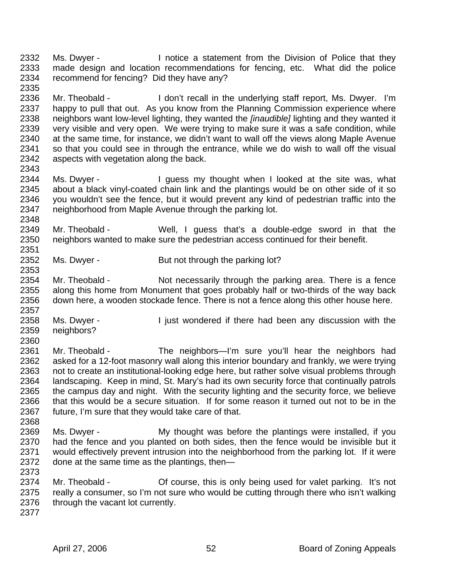2332 Ms. Dwyer - I notice a statement from the Division of Police that they 2333 made design and location recommendations for fencing, etc. What did the police 2334 recommend for fencing? Did they have any? 2335

2336 Mr. Theobald - I don't recall in the underlying staff report, Ms. Dwyer. I'm 2337 happy to pull that out. As you know from the Planning Commission experience where 2338 neighbors want low-level lighting, they wanted the *[inaudible]* lighting and they wanted it 2339 very visible and very open. We were trying to make sure it was a safe condition, while 2340 at the same time, for instance, we didn't want to wall off the views along Maple Avenue 2341 so that you could see in through the entrance, while we do wish to wall off the visual 2342 aspects with vegetation along the back. aspects with vegetation along the back.

2344 Ms. Dwyer - I guess my thought when I looked at the site was, what 2345 about a black vinyl-coated chain link and the plantings would be on other side of it so<br>2346 vou wouldn't see the fence, but it would prevent any kind of pedestrian traffic into the you wouldn't see the fence, but it would prevent any kind of pedestrian traffic into the 2347 neighborhood from Maple Avenue through the parking lot.

2349 Mr. Theobald - Well, I guess that's a double-edge sword in that the 2350 neighbors wanted to make sure the pedestrian access continued for their benefit. 2351

2352 Ms. Dwyer - But not through the parking lot?

2354 Mr. Theobald - Not necessarily through the parking area. There is a fence 2355 along this home from Monument that goes probably half or two-thirds of the way back 2356 down here, a wooden stockade fence. There is not a fence along this other house here.

2357 2358 Ms. Dwyer - I just wondered if there had been any discussion with the 2359 neighbors?

2361 Mr. Theobald - The neighbors—I'm sure you'll hear the neighbors had 2362 asked for a 12-foot masonry wall along this interior boundary and frankly, we were trying 2363 not to create an institutional-looking edge here, but rather solve visual problems through 2364 landscaping. Keep in mind, St. Mary's had its own security force that continually patrols 2365 the campus day and night. With the security lighting and the security force, we believe 2366 that this would be a secure situation. If for some reason it turned out not to be in the 2367 future, I'm sure that they would take care of that.

2369 Ms. Dwyer - My thought was before the plantings were installed, if you 2370 had the fence and you planted on both sides, then the fence would be invisible but it 2371 would effectively prevent intrusion into the neighborhood from the parking lot. If it were 2372 done at the same time as the plantings, then— 2373

2374 Mr. Theobald - Course, this is only being used for valet parking. It's not 2375 really a consumer, so I'm not sure who would be cutting through there who isn't walking 2376 through the vacant lot currently.

2377

2343

2348

2353

2360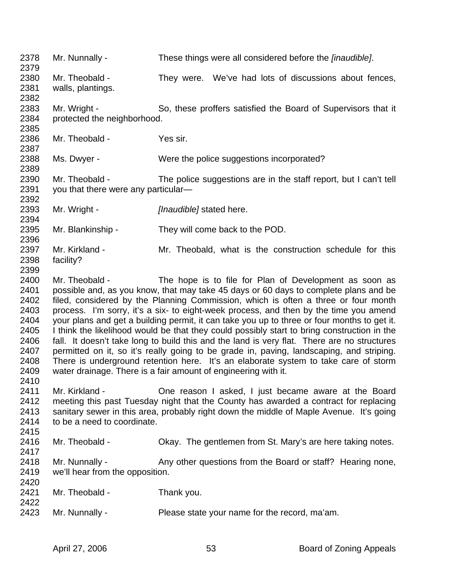2378 Mr. Nunnally - These things were all considered before the *[inaudible]*. 2379 2380 Mr. Theobald - They were. We've had lots of discussions about fences, 2381 walls, plantings. 2382 2383 Mr. Wright - So, these proffers satisfied the Board of Supervisors that it 2384 protected the neighborhood. 2385 2386 Mr. Theobald - Yes sir. 2387 2388 Ms. Dwyer - Were the police suggestions incorporated? 2389 2390 Mr. Theobald - The police suggestions are in the staff report, but I can't tell 2391 you that there were any particular— 2392 2393 Mr. Wright - *[Inaudible]* stated here. 2394 2395 Mr. Blankinship - They will come back to the POD. 2396 2397 Mr. Kirkland - Mr. Theobald, what is the construction schedule for this 2398 facility? 2399 2400 Mr. Theobald - The hope is to file for Plan of Development as soon as 2401 possible and, as you know, that may take 45 days or 60 days to complete plans and be<br>2402 filed, considered by the Planning Commission, which is often a three or four month filed, considered by the Planning Commission, which is often a three or four month 2403 process. I'm sorry, it's a six- to eight-week process, and then by the time you amend 2404 your plans and get a building permit, it can take you up to three or four months to get it. 2405 I think the likelihood would be that they could possibly start to bring construction in the 2406 fall. It doesn't take long to build this and the land is very flat. There are no structures 2407 permitted on it, so it's really going to be grade in, paving, landscaping, and striping. 2408 There is underground retention here. It's an elaborate system to take care of storm 2409 water drainage. There is a fair amount of engineering with it. 2410 2411 Mr. Kirkland - One reason I asked, I just became aware at the Board 2412 meeting this past Tuesday night that the County has awarded a contract for replacing 2413 sanitary sewer in this area, probably right down the middle of Maple Avenue. It's going 2414 to be a need to coordinate. 2415 2416 Mr. Theobald - Okay. The gentlemen from St. Mary's are here taking notes. 2417 2418 Mr. Nunnally - Any other questions from the Board or staff? Hearing none, 2419 we'll hear from the opposition. 2420 2421 Mr. Theobald - Thank you. 2422 2423 Mr. Nunnally - Please state your name for the record, ma'am.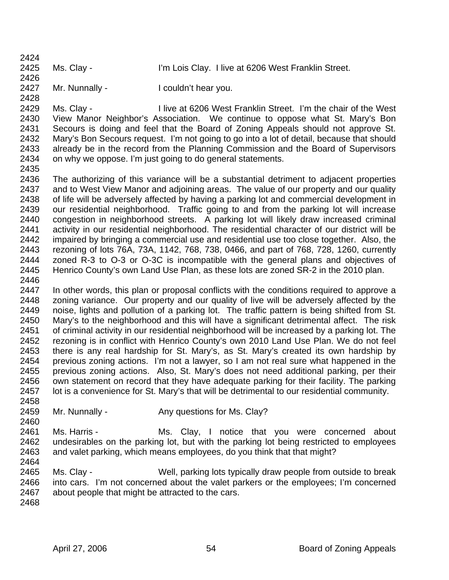| 2425<br>Ms. Clay - | 2424 |                                                     |
|--------------------|------|-----------------------------------------------------|
|                    | 2426 | I'm Lois Clay. I live at 6206 West Franklin Street. |

2427 Mr. Nunnally - I couldn't hear you. 2428

2429 Ms. Clay - I live at 6206 West Franklin Street. I'm the chair of the West 2430 View Manor Neighbor's Association. We continue to oppose what St. Mary's Bon 2431 Secours is doing and feel that the Board of Zoning Appeals should not approve St. 2432 Mary's Bon Secours request. I'm not going to go into a lot of detail, because that should 2433 already be in the record from the Planning Commission and the Board of Supervisors 2434 on why we oppose. I'm just going to do general statements.

2435

 $2424$ 

2436 The authorizing of this variance will be a substantial detriment to adjacent properties 2437 and to West View Manor and adjoining areas. The value of our property and our quality 2438 of life will be adversely affected by having a parking lot and commercial development in 2439 our residential neighborhood. Traffic going to and from the parking lot will increase 2440 congestion in neighborhood streets. A parking lot will likely draw increased criminal 2441 activity in our residential neighborhood. The residential character of our district will be 2442 impaired by bringing a commercial use and residential use too close together. Also, the 2443 rezoning of lots 76A, 73A, 1142, 768, 738, 0466, and part of 768, 728, 1260, currently 2444 zoned R-3 to O-3 or O-3C is incompatible with the general plans and objectives of 2445 Henrico County's own Land Use Plan, as these lots are zoned SR-2 in the 2010 plan. 2446

2447 In other words, this plan or proposal conflicts with the conditions required to approve a 2448 zoning variance. Our property and our quality of live will be adversely affected by the 2449 noise, lights and pollution of a parking lot. The traffic pattern is being shifted from St. 2450 Mary's to the neighborhood and this will have a significant detrimental affect. The risk 2451 of criminal activity in our residential neighborhood will be increased by a parking lot. The 2452 rezoning is in conflict with Henrico County's own 2010 Land Use Plan. We do not feel 2453 there is any real hardship for St. Mary's, as St. Mary's created its own hardship by 2454 previous zoning actions. I'm not a lawyer, so I am not real sure what happened in the 2455 previous zoning actions. Also, St. Mary's does not need additional parking, per their 2456 own statement on record that they have adequate parking for their facility. The parking 2457 lot is a convenience for St. Mary's that will be detrimental to our residential community.

- 2459 Mr. Nunnally Any questions for Ms. Clay?
- 2461 Ms. Harris Ms. Clay, I notice that you were concerned about 2462 undesirables on the parking lot, but with the parking lot being restricted to employees 2463 and valet parking, which means employees, do you think that that might?

2465 Ms. Clay - Well, parking lots typically draw people from outside to break 2466 into cars. I'm not concerned about the valet parkers or the employees; I'm concerned 2467 about people that might be attracted to the cars.

2468

2458

2460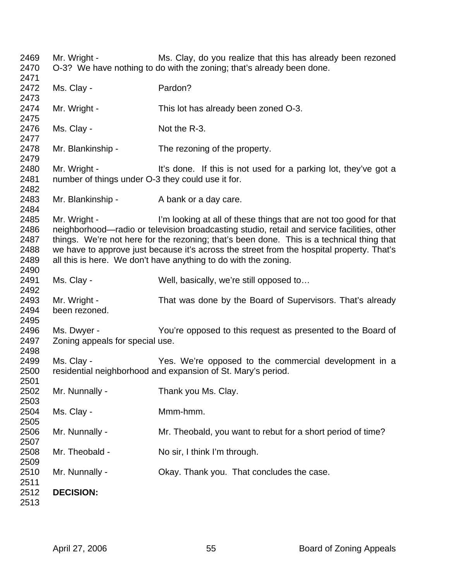2469 Mr. Wright - Ms. Clay, do you realize that this has already been rezoned 2470 O-3? We have nothing to do with the zoning; that's already been done. 2471 2472 Ms. Clay - Pardon? 2473 2474 Mr. Wright - This lot has already been zoned O-3. 2475 2476 Ms. Clay - Not the R-3. 2477 2478 Mr. Blankinship - The rezoning of the property. 2479 2480 Mr. Wright - It's done. If this is not used for a parking lot, they've got a 2481 number of things under O-3 they could use it for. 2482 2483 Mr. Blankinship - A bank or a day care. 2484 2485 Mr. Wright - I'm looking at all of these things that are not too good for that 2486 neighborhood—radio or television broadcasting studio, retail and service facilities, other 2487 things. We're not here for the rezoning; that's been done. This is a technical thing that 2488 we have to approve just because it's across the street from the hospital property. That's 2489 all this is here. We don't have anything to do with the zoning. 2490 2491 Ms. Clay - Well, basically, we're still opposed to... 2492 2493 Mr. Wright - That was done by the Board of Supervisors. That's already 2494 been rezoned. 2495 2496 Ms. Dwyer - You're opposed to this request as presented to the Board of 2497 Zoning appeals for special use. 2498 2499 Ms. Clay - Yes. We're opposed to the commercial development in a 2500 residential neighborhood and expansion of St. Mary's period. 2501 2502 Mr. Nunnally - Thank you Ms. Clay. 2503 2504 Ms. Clay - Mmm-hmm. 2505 2506 Mr. Nunnally - Mr. Theobald, you want to rebut for a short period of time? 2507 2508 Mr. Theobald - No sir, I think I'm through. 2509<br>2510 Mr. Nunnally - Chay. Thank you. That concludes the case. 2511 2512 **DECISION:**  2513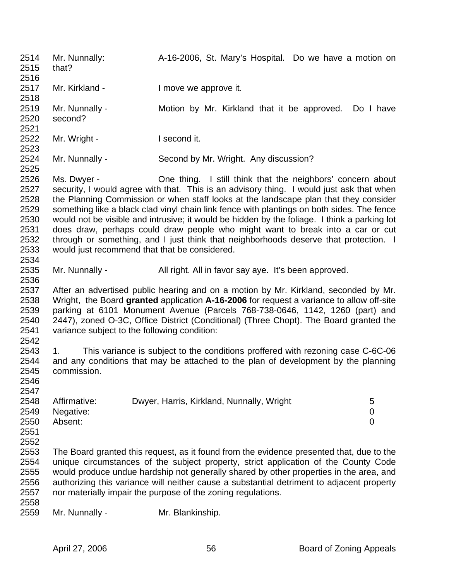2514 Mr. Nunnally: A-16-2006, St. Mary's Hospital. Do we have a motion on 2515 that? 2516 2517 Mr. Kirkland - I move we approve it. 2518 2519 Mr. Nunnally - Motion by Mr. Kirkland that it be approved. Do I have 2520 second? 2521 2522 Mr. Wright - I second it. 2523<br>2524 Mr. Nunnally - Second by Mr. Wright. Any discussion? 2525 2526 Ms. Dwyer - One thing. I still think that the neighbors' concern about 2527 security, I would agree with that. This is an advisory thing. I would just ask that when 2528 the Planning Commission or when staff looks at the landscape plan that they consider 2529 something like a black clad vinyl chain link fence with plantings on both sides. The fence 2530 would not be visible and intrusive; it would be hidden by the foliage. I think a parking lot 2531 does draw, perhaps could draw people who might want to break into a car or cut 2532 through or something, and I just think that neighborhoods deserve that protection. I 2533 would just recommend that that be considered. 2534 2535 Mr. Nunnally - All right. All in favor say aye. It's been approved. 2536 2537 After an advertised public hearing and on a motion by Mr. Kirkland, seconded by Mr. 2538 Wright, the Board **granted** application **A-16-2006** for request a variance to allow off-site 2539 parking at 6101 Monument Avenue (Parcels 768-738-0646, 1142, 1260 (part) and 2540 2447), zoned O-3C, Office District (Conditional) (Three Chopt). The Board granted the 2541 variance subject to the following condition: 2542 2543 1. This variance is subject to the conditions proffered with rezoning case C-6C-06 2544 and any conditions that may be attached to the plan of development by the planning 2545 commission. 2546 2547 2548 Affirmative: Dwyer, Harris, Kirkland, Nunnally, Wright 5 2549 Negative: 0 2550 Absent: 0 2551 2552 2553 The Board granted this request, as it found from the evidence presented that, due to the 2554 unique circumstances of the subject property, strict application of the County Code 2555 would produce undue hardship not generally shared by other properties in the area, and 2556 authorizing this variance will neither cause a substantial detriment to adjacent property 2557 nor materially impair the purpose of the zoning regulations. 2558 2559 Mr. Nunnally - Mr. Blankinship.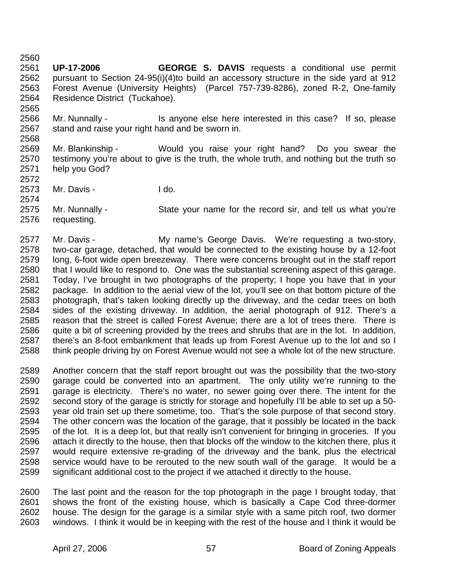2561 **UP-17-2006 GEORGE S. DAVIS** requests a conditional use permit 2562 pursuant to Section 24-95(i)(4)to build an accessory structure in the side yard at 912 2563 Forest Avenue (University Heights) (Parcel 757-739-8286), zoned R-2, One-family 2564 Residence District (Tuckahoe). 2565

2566 Mr. Nunnally - Is anyone else here interested in this case? If so, please 2567 stand and raise your right hand and be sworn in. 2568

- 2569 Mr. Blankinship Would you raise your right hand? Do you swear the 2570 testimony you're about to give is the truth, the whole truth, and nothing but the truth so 2571 help you God?
- 2573 Mr. Davis I do.

2560

2572

2574

2575 Mr. Nunnally - State your name for the record sir, and tell us what you're 2576 requesting.

2577 Mr. Davis - My name's George Davis. We're requesting a two-story, 2578 two-car garage, detached, that would be connected to the existing house by a 12-foot<br>2579 long. 6-foot wide open breezeway. There were concerns brought out in the staff report long, 6-foot wide open breezeway. There were concerns brought out in the staff report 2580 that I would like to respond to. One was the substantial screening aspect of this garage. 2581 Today, I've brought in two photographs of the property; I hope you have that in your 2582 package. In addition to the aerial view of the lot, you'll see on that bottom picture of the 2583 photograph, that's taken looking directly up the driveway, and the cedar trees on both 2584 sides of the existing driveway. In addition, the aerial photograph of 912. There's a 2585 reason that the street is called Forest Avenue; there are a lot of trees there. There is 2586 quite a bit of screening provided by the trees and shrubs that are in the lot. In addition. 2587 there's an 8-foot embankment that leads up from Forest Avenue up to the lot and so I 2588 think people driving by on Forest Avenue would not see a whole lot of the new structure.

2589 Another concern that the staff report brought out was the possibility that the two-story 2590 garage could be converted into an apartment. The only utility we're running to the 2591 garage is electricity. There's no water, no sewer going over there. The intent for the 2592 second story of the garage is strictly for storage and hopefully I'll be able to set up a 50- 2593 year old train set up there sometime, too. That's the sole purpose of that second story. 2594 The other concern was the location of the garage, that it possibly be located in the back 2595 of the lot. It is a deep lot, but that really isn't convenient for bringing in groceries. If you 2596 attach it directly to the house, then that blocks off the window to the kitchen there, plus it 2597 would require extensive re-grading of the driveway and the bank, plus the electrical 2598 service would have to be rerouted to the new south wall of the garage. It would be a 2599 significant additional cost to the project if we attached it directly to the house.

2600 The last point and the reason for the top photograph in the page I brought today, that 2601 shows the front of the existing house, which is basically a Cape Cod three-dormer 2602 house. The design for the garage is a similar style with a same pitch roof, two dormer 2603 windows. I think it would be in keeping with the rest of the house and I think it would be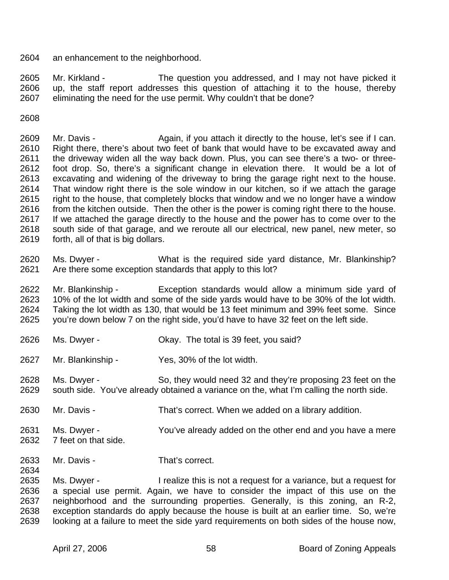2604 an enhancement to the neighborhood.

2605 Mr. Kirkland - The question you addressed, and I may not have picked it 2606 up, the staff report addresses this question of attaching it to the house, thereby 2607 eliminating the need for the use permit. Why couldn't that be done?

2608

2609 Mr. Davis - Again, if you attach it directly to the house, let's see if I can. 2610 Right there, there's about two feet of bank that would have to be excavated away and 2611 the driveway widen all the way back down. Plus, you can see there's a two- or three-2612 foot drop. So, there's a significant change in elevation there. It would be a lot of 2613 excavating and widening of the driveway to bring the garage right next to the house. 2614 That window right there is the sole window in our kitchen, so if we attach the garage 2615 right to the house, that completely blocks that window and we no longer have a window 2616 from the kitchen outside. Then the other is the power is coming right there to the house. 2617 If we attached the garage directly to the house and the power has to come over to the 2618 south side of that garage, and we reroute all our electrical, new panel, new meter, so 2619 forth, all of that is big dollars.

2620 Ms. Dwyer - What is the required side yard distance, Mr. Blankinship? 2621 Are there some exception standards that apply to this lot?

2622 Mr. Blankinship - Exception standards would allow a minimum side yard of 2623 10% of the lot width and some of the side yards would have to be 30% of the lot width. 2624 Taking the lot width as 130, that would be 13 feet minimum and 39% feet some. Since 2625 you're down below 7 on the right side, you'd have to have 32 feet on the left side.

- 2626 Ms. Dwyer Okay. The total is 39 feet, you said?
- 2627 Mr. Blankinship Yes, 30% of the lot width.
- 2628 Ms. Dwyer So, they would need 32 and they're proposing 23 feet on the 2629 south side. You've already obtained a variance on the, what I'm calling the north side.
- 2630 Mr. Davis That's correct. When we added on a library addition.
- 2631 Ms. Dwyer You've already added on the other end and you have a mere 2632 7 feet on that side.
- 2633 Mr. Davis That's correct.

2635 Ms. Dwyer - I realize this is not a request for a variance, but a request for 2636 a special use permit. Again, we have to consider the impact of this use on the 2637 neighborhood and the surrounding properties. Generally, is this zoning, an R-2, 2638 exception standards do apply because the house is built at an earlier time. So, we're 2639 looking at a failure to meet the side yard requirements on both sides of the house now,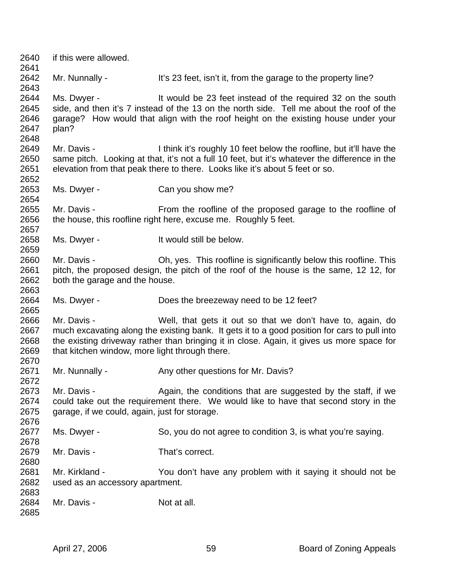2640 if this were allowed. 2641 2642 Mr. Nunnally - It's 23 feet, isn't it, from the garage to the property line? 2643 2644 Ms. Dwyer - It would be 23 feet instead of the required 32 on the south 2645 side, and then it's 7 instead of the 13 on the north side. Tell me about the roof of the 2646 garage? How would that align with the roof height on the existing house under your 2647 plan? 2648 2649 Mr. Davis - I think it's roughly 10 feet below the roofline, but it'll have the 2650 same pitch. Looking at that, it's not a full 10 feet, but it's whatever the difference in the 2651 elevation from that peak there to there. Looks like it's about 5 feet or so. 2652 2653 Ms. Dwyer - Can you show me? 2654 2655 Mr. Davis - From the roofline of the proposed garage to the roofline of 2656 the house, this roofline right here, excuse me. Roughly 5 feet. 2657 2658 Ms. Dwyer - It would still be below. 2659 2660 Mr. Davis - Oh, yes. This roofline is significantly below this roofline. This 2661 pitch, the proposed design, the pitch of the roof of the house is the same, 12 12, for 2662 both the garage and the house. 2663 2664 Ms. Dwyer - Does the breezeway need to be 12 feet? 2665 2666 Mr. Davis - Well, that gets it out so that we don't have to, again, do 2667 much excavating along the existing bank. It gets it to a good position for cars to pull into 2668 the existing driveway rather than bringing it in close. Again, it gives us more space for 2669 that kitchen window, more light through there. 2670 2671 Mr. Nunnally - Any other questions for Mr. Davis? 2672 2673 Mr. Davis - Again, the conditions that are suggested by the staff, if we 2674 could take out the requirement there. We would like to have that second story in the 2675 garage, if we could, again, just for storage. 2676 2677 Ms. Dwyer - So, you do not agree to condition 3, is what you're saying. 2678 2679 Mr. Davis - That's correct. 2680 2681 Mr. Kirkland - You don't have any problem with it saying it should not be 2682 used as an accessory apartment. 2683 2684 Mr. Davis - Not at all. 2685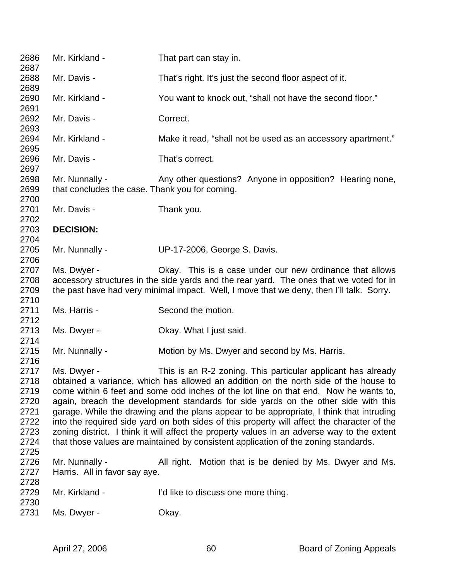| 2686<br>2687                                                         | Mr. Kirkland -                                                                                                                                                                                                                                                                                                                                                                                                                                                                                                                                                                                                                                                                                                                     | That part can stay in.                                       |  |  |
|----------------------------------------------------------------------|------------------------------------------------------------------------------------------------------------------------------------------------------------------------------------------------------------------------------------------------------------------------------------------------------------------------------------------------------------------------------------------------------------------------------------------------------------------------------------------------------------------------------------------------------------------------------------------------------------------------------------------------------------------------------------------------------------------------------------|--------------------------------------------------------------|--|--|
| 2688<br>2689                                                         | Mr. Davis -                                                                                                                                                                                                                                                                                                                                                                                                                                                                                                                                                                                                                                                                                                                        | That's right. It's just the second floor aspect of it.       |  |  |
| 2690<br>2691                                                         | Mr. Kirkland -                                                                                                                                                                                                                                                                                                                                                                                                                                                                                                                                                                                                                                                                                                                     | You want to knock out, "shall not have the second floor."    |  |  |
| 2692<br>2693                                                         | Mr. Davis -                                                                                                                                                                                                                                                                                                                                                                                                                                                                                                                                                                                                                                                                                                                        | Correct.                                                     |  |  |
| 2694<br>2695                                                         | Mr. Kirkland -                                                                                                                                                                                                                                                                                                                                                                                                                                                                                                                                                                                                                                                                                                                     | Make it read, "shall not be used as an accessory apartment." |  |  |
| 2696<br>2697                                                         | Mr. Davis -                                                                                                                                                                                                                                                                                                                                                                                                                                                                                                                                                                                                                                                                                                                        | That's correct.                                              |  |  |
| 2698<br>2699<br>2700                                                 | Mr. Nunnally -<br>that concludes the case. Thank you for coming.                                                                                                                                                                                                                                                                                                                                                                                                                                                                                                                                                                                                                                                                   | Any other questions? Anyone in opposition? Hearing none,     |  |  |
| 2701<br>2702                                                         | Mr. Davis -                                                                                                                                                                                                                                                                                                                                                                                                                                                                                                                                                                                                                                                                                                                        | Thank you.                                                   |  |  |
| 2703<br>2704                                                         | <b>DECISION:</b>                                                                                                                                                                                                                                                                                                                                                                                                                                                                                                                                                                                                                                                                                                                   |                                                              |  |  |
| 2705<br>2706                                                         | Mr. Nunnally -                                                                                                                                                                                                                                                                                                                                                                                                                                                                                                                                                                                                                                                                                                                     | UP-17-2006, George S. Davis.                                 |  |  |
| 2707<br>2708<br>2709                                                 | Ms. Dwyer -<br>Okay. This is a case under our new ordinance that allows<br>accessory structures in the side yards and the rear yard. The ones that we voted for in<br>the past have had very minimal impact. Well, I move that we deny, then I'll talk. Sorry.                                                                                                                                                                                                                                                                                                                                                                                                                                                                     |                                                              |  |  |
| 2710<br>2711<br>2712                                                 | Ms. Harris -                                                                                                                                                                                                                                                                                                                                                                                                                                                                                                                                                                                                                                                                                                                       | Second the motion.                                           |  |  |
| 2713<br>2714                                                         | Ms. Dwyer -                                                                                                                                                                                                                                                                                                                                                                                                                                                                                                                                                                                                                                                                                                                        | Okay. What I just said.                                      |  |  |
| 2715<br>2716                                                         | Mr. Nunnally -                                                                                                                                                                                                                                                                                                                                                                                                                                                                                                                                                                                                                                                                                                                     | Motion by Ms. Dwyer and second by Ms. Harris.                |  |  |
| 2717<br>2718<br>2719<br>2720<br>2721<br>2722<br>2723<br>2724<br>2725 | Ms. Dwyer -<br>This is an R-2 zoning. This particular applicant has already<br>obtained a variance, which has allowed an addition on the north side of the house to<br>come within 6 feet and some odd inches of the lot line on that end. Now he wants to,<br>again, breach the development standards for side yards on the other side with this<br>garage. While the drawing and the plans appear to be appropriate, I think that intruding<br>into the required side yard on both sides of this property will affect the character of the<br>zoning district. I think it will affect the property values in an adverse way to the extent<br>that those values are maintained by consistent application of the zoning standards. |                                                              |  |  |
| 2726<br>2727<br>2728                                                 | Mr. Nunnally -<br>Harris. All in favor say aye.                                                                                                                                                                                                                                                                                                                                                                                                                                                                                                                                                                                                                                                                                    | Motion that is be denied by Ms. Dwyer and Ms.<br>All right.  |  |  |
| 2729<br>2730                                                         | Mr. Kirkland -                                                                                                                                                                                                                                                                                                                                                                                                                                                                                                                                                                                                                                                                                                                     | I'd like to discuss one more thing.                          |  |  |
| 2731                                                                 | Ms. Dwyer -                                                                                                                                                                                                                                                                                                                                                                                                                                                                                                                                                                                                                                                                                                                        | Okay.                                                        |  |  |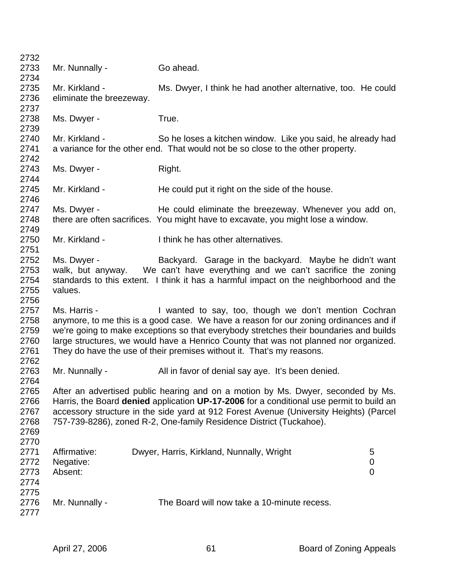| 2732 |                                                                                                                                                                       |                                                                                        |                |  |
|------|-----------------------------------------------------------------------------------------------------------------------------------------------------------------------|----------------------------------------------------------------------------------------|----------------|--|
| 2733 | Mr. Nunnally -                                                                                                                                                        | Go ahead.                                                                              |                |  |
| 2734 |                                                                                                                                                                       |                                                                                        |                |  |
| 2735 | Mr. Kirkland -                                                                                                                                                        | Ms. Dwyer, I think he had another alternative, too. He could                           |                |  |
| 2736 | eliminate the breezeway.                                                                                                                                              |                                                                                        |                |  |
| 2737 |                                                                                                                                                                       |                                                                                        |                |  |
| 2738 | Ms. Dwyer -                                                                                                                                                           | True.                                                                                  |                |  |
| 2739 |                                                                                                                                                                       |                                                                                        |                |  |
| 2740 | Mr. Kirkland -                                                                                                                                                        | So he loses a kitchen window. Like you said, he already had                            |                |  |
| 2741 |                                                                                                                                                                       | a variance for the other end. That would not be so close to the other property.        |                |  |
| 2742 |                                                                                                                                                                       |                                                                                        |                |  |
| 2743 | Ms. Dwyer -                                                                                                                                                           | Right.                                                                                 |                |  |
| 2744 |                                                                                                                                                                       |                                                                                        |                |  |
| 2745 | Mr. Kirkland -                                                                                                                                                        | He could put it right on the side of the house.                                        |                |  |
| 2746 |                                                                                                                                                                       |                                                                                        |                |  |
| 2747 | Ms. Dwyer -                                                                                                                                                           | He could eliminate the breezeway. Whenever you add on,                                 |                |  |
| 2748 |                                                                                                                                                                       | there are often sacrifices. You might have to excavate, you might lose a window.       |                |  |
| 2749 |                                                                                                                                                                       |                                                                                        |                |  |
| 2750 | Mr. Kirkland -                                                                                                                                                        | I think he has other alternatives.                                                     |                |  |
| 2751 |                                                                                                                                                                       |                                                                                        |                |  |
| 2752 | Ms. Dwyer -                                                                                                                                                           | Backyard. Garage in the backyard. Maybe he didn't want                                 |                |  |
| 2753 |                                                                                                                                                                       |                                                                                        |                |  |
| 2754 | walk, but anyway. We can't have everything and we can't sacrifice the zoning<br>standards to this extent. I think it has a harmful impact on the neighborhood and the |                                                                                        |                |  |
| 2755 | values.                                                                                                                                                               |                                                                                        |                |  |
| 2756 |                                                                                                                                                                       |                                                                                        |                |  |
| 2757 | Ms. Harris -                                                                                                                                                          |                                                                                        |                |  |
| 2758 |                                                                                                                                                                       | I wanted to say, too, though we don't mention Cochran                                  |                |  |
|      |                                                                                                                                                                       | anymore, to me this is a good case. We have a reason for our zoning ordinances and if  |                |  |
| 2759 |                                                                                                                                                                       | we're going to make exceptions so that everybody stretches their boundaries and builds |                |  |
| 2760 |                                                                                                                                                                       | large structures, we would have a Henrico County that was not planned nor organized.   |                |  |
| 2761 |                                                                                                                                                                       | They do have the use of their premises without it. That's my reasons.                  |                |  |
| 2762 |                                                                                                                                                                       |                                                                                        |                |  |
| 2763 | Mr. Nunnally -                                                                                                                                                        | All in favor of denial say aye. It's been denied.                                      |                |  |
| 2764 |                                                                                                                                                                       |                                                                                        |                |  |
| 2765 | After an advertised public hearing and on a motion by Ms. Dwyer, seconded by Ms.                                                                                      |                                                                                        |                |  |
| 2766 | Harris, the Board denied application UP-17-2006 for a conditional use permit to build an                                                                              |                                                                                        |                |  |
| 2767 | accessory structure in the side yard at 912 Forest Avenue (University Heights) (Parcel                                                                                |                                                                                        |                |  |
| 2768 |                                                                                                                                                                       | 757-739-8286), zoned R-2, One-family Residence District (Tuckahoe).                    |                |  |
| 2769 |                                                                                                                                                                       |                                                                                        |                |  |
| 2770 |                                                                                                                                                                       |                                                                                        |                |  |
| 2771 | Affirmative:                                                                                                                                                          | Dwyer, Harris, Kirkland, Nunnally, Wright                                              | 5              |  |
| 2772 | Negative:                                                                                                                                                             |                                                                                        | 0              |  |
| 2773 | Absent:                                                                                                                                                               |                                                                                        | $\overline{0}$ |  |
| 2774 |                                                                                                                                                                       |                                                                                        |                |  |
| 2775 |                                                                                                                                                                       |                                                                                        |                |  |
| 2776 | Mr. Nunnally -                                                                                                                                                        | The Board will now take a 10-minute recess.                                            |                |  |
| 2777 |                                                                                                                                                                       |                                                                                        |                |  |
|      |                                                                                                                                                                       |                                                                                        |                |  |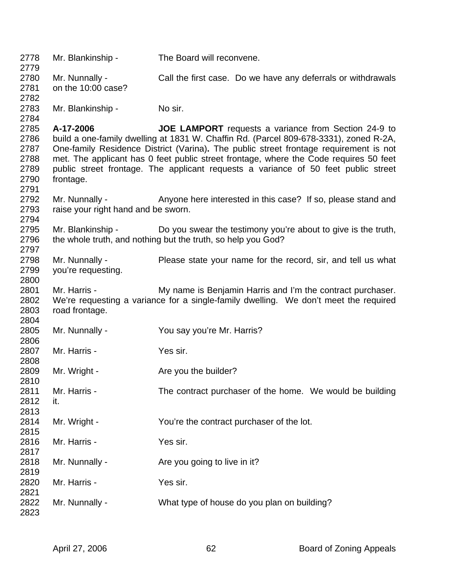2778 Mr. Blankinship - The Board will reconvene. 2779 2780 Mr. Nunnally - Call the first case. Do we have any deferrals or withdrawals 2781 on the 10:00 case? 2782 2783 Mr. Blankinship - No sir. 2784 2785 **A-17-2006 JOE LAMPORT** requests a variance from Section 24-9 to 2786 build a one-family dwelling at 1831 W. Chaffin Rd. (Parcel 809-678-3331), zoned R-2A, 2787 One-family Residence District (Varina)**.** The public street frontage requirement is not 2788 met. The applicant has 0 feet public street frontage, where the Code requires 50 feet 2789 public street frontage. The applicant requests a variance of 50 feet public street 2790 frontage. 2791 2792 Mr. Nunnally - Anyone here interested in this case? If so, please stand and 2793 raise your right hand and be sworn. 2794 2795 Mr. Blankinship - Do you swear the testimony you're about to give is the truth, 2796 the whole truth, and nothing but the truth, so help you God? 2797 2798 Mr. Nunnally - Please state your name for the record, sir, and tell us what 2799 you're requesting. 2800 2801 Mr. Harris - My name is Benjamin Harris and I'm the contract purchaser. 2802 We're requesting a variance for a single-family dwelling. We don't meet the required 2803 road frontage. 2804 2805 Mr. Nunnally - You say you're Mr. Harris? 2806 2807 Mr. Harris - Yes sir. 2808 2809 Mr. Wright - Are you the builder? 2810 2811 Mr. Harris - The contract purchaser of the home. We would be building 2812 it. 2813 2814 Mr. Wright - You're the contract purchaser of the lot. 2815 2816 Mr. Harris - Yes sir. 2817 2818 Mr. Nunnally - Are you going to live in it? 2819 2820 Mr. Harris - Yes sir. 2821 2822 Mr. Nunnally - What type of house do you plan on building? 2823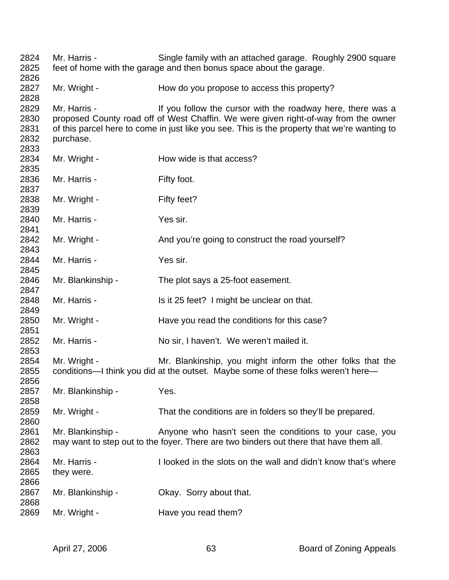2824 Mr. Harris - Single family with an attached garage. Roughly 2900 square 2825 feet of home with the garage and then bonus space about the garage. 2826 2827 Mr. Wright - How do you propose to access this property? 2828 2829 Mr. Harris - If you follow the cursor with the roadway here, there was a 2830 proposed County road off of West Chaffin. We were given right-of-way from the owner 2831 of this parcel here to come in just like you see. This is the property that we're wanting to 2832 purchase. 2833 2834 Mr. Wright - How wide is that access? 2835 2836 Mr. Harris - Fifty foot. 2837 2838 Mr. Wright - Fifty feet? 2839 2840 Mr. Harris - Yes sir. 2841 2842 Mr. Wright - And you're going to construct the road yourself? 2843 2844 Mr. Harris - Yes sir. 2845 2846 Mr. Blankinship - The plot says a 25-foot easement. 2847 2848 Mr. Harris - Is it 25 feet? I might be unclear on that. 2849 2850 Mr. Wright - Have you read the conditions for this case? 2851 2852 Mr. Harris - No sir, I haven't. We weren't mailed it. 2853 2854 Mr. Wright - Mr. Blankinship, you might inform the other folks that the 2855 conditions—I think you did at the outset. Maybe some of these folks weren't here— 2856 2857 Mr. Blankinship - Yes. 2858 2859 Mr. Wright - That the conditions are in folders so they'll be prepared. 2860 2861 Mr. Blankinship - Anyone who hasn't seen the conditions to your case, you 2862 may want to step out to the foyer. There are two binders out there that have them all. 2863 2864 Mr. Harris - I looked in the slots on the wall and didn't know that's where 2865 they were. 2866 2867 Mr. Blankinship - Okay. Sorry about that. 2868 2869 Mr. Wright - Have you read them?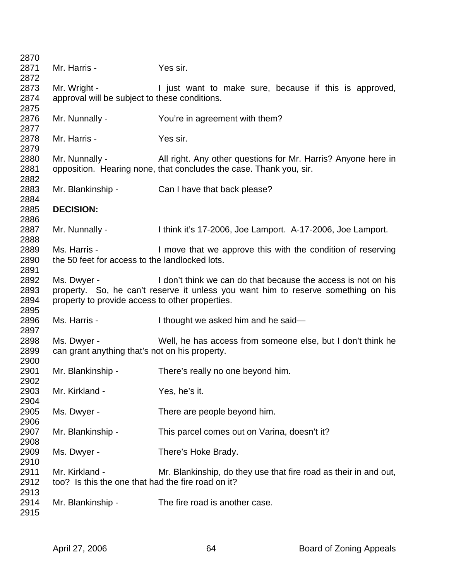| 2871<br>Yes sir.                                                                             |                                                                                   |  |  |  |  |
|----------------------------------------------------------------------------------------------|-----------------------------------------------------------------------------------|--|--|--|--|
| Mr. Harris -                                                                                 |                                                                                   |  |  |  |  |
| 2872                                                                                         |                                                                                   |  |  |  |  |
| 2873<br>Mr. Wright -                                                                         | I just want to make sure, because if this is approved,                            |  |  |  |  |
| approval will be subject to these conditions.                                                |                                                                                   |  |  |  |  |
|                                                                                              |                                                                                   |  |  |  |  |
| 2875<br>2876<br>Mr. Nunnally -<br>You're in agreement with them?                             |                                                                                   |  |  |  |  |
| 2877                                                                                         |                                                                                   |  |  |  |  |
| 2878<br>Mr. Harris -<br>Yes sir.                                                             |                                                                                   |  |  |  |  |
| 2879                                                                                         |                                                                                   |  |  |  |  |
| 2880<br>Mr. Nunnally -<br>All right. Any other questions for Mr. Harris? Anyone here in      |                                                                                   |  |  |  |  |
| 2881<br>opposition. Hearing none, that concludes the case. Thank you, sir.                   |                                                                                   |  |  |  |  |
| 2882                                                                                         |                                                                                   |  |  |  |  |
| 2883<br>Mr. Blankinship -<br>Can I have that back please?                                    |                                                                                   |  |  |  |  |
| 2884                                                                                         |                                                                                   |  |  |  |  |
| 2885<br><b>DECISION:</b>                                                                     |                                                                                   |  |  |  |  |
| 2886                                                                                         |                                                                                   |  |  |  |  |
| 2887<br>Mr. Nunnally -<br>I think it's 17-2006, Joe Lamport. A-17-2006, Joe Lamport.         |                                                                                   |  |  |  |  |
| 2888                                                                                         |                                                                                   |  |  |  |  |
| 2889<br>Ms. Harris -                                                                         |                                                                                   |  |  |  |  |
| 2890<br>the 50 feet for access to the landlocked lots.                                       | I move that we approve this with the condition of reserving                       |  |  |  |  |
|                                                                                              |                                                                                   |  |  |  |  |
| 2891<br>2892<br>Ms. Dwyer -<br>I don't think we can do that because the access is not on his |                                                                                   |  |  |  |  |
| 2893                                                                                         | property. So, he can't reserve it unless you want him to reserve something on his |  |  |  |  |
| 2894<br>property to provide access to other properties.                                      |                                                                                   |  |  |  |  |
| 2895                                                                                         |                                                                                   |  |  |  |  |
| 2896<br>Ms. Harris -<br>I thought we asked him and he said-                                  |                                                                                   |  |  |  |  |
| 2897                                                                                         |                                                                                   |  |  |  |  |
| 2898<br>Ms. Dwyer -<br>Well, he has access from someone else, but I don't think he           |                                                                                   |  |  |  |  |
| 2899<br>can grant anything that's not on his property.                                       |                                                                                   |  |  |  |  |
|                                                                                              |                                                                                   |  |  |  |  |
| 2900<br>2901<br>Mr. Blankinship -<br>There's really no one beyond him.                       |                                                                                   |  |  |  |  |
| 2902                                                                                         |                                                                                   |  |  |  |  |
| Mr. Kirkland -<br>2903<br>Yes, he's it.                                                      |                                                                                   |  |  |  |  |
| 2904                                                                                         |                                                                                   |  |  |  |  |
| 2905<br>Ms. Dwyer -<br>There are people beyond him.                                          |                                                                                   |  |  |  |  |
| 2906                                                                                         |                                                                                   |  |  |  |  |
| 2907<br>Mr. Blankinship -<br>This parcel comes out on Varina, doesn't it?                    |                                                                                   |  |  |  |  |
| 2908                                                                                         |                                                                                   |  |  |  |  |
| 2909<br>Ms. Dwyer -<br>There's Hoke Brady.                                                   |                                                                                   |  |  |  |  |
| 2910                                                                                         |                                                                                   |  |  |  |  |
|                                                                                              |                                                                                   |  |  |  |  |
|                                                                                              | Mr. Blankinship, do they use that fire road as their in and out,                  |  |  |  |  |
| 2911<br>Mr. Kirkland -                                                                       |                                                                                   |  |  |  |  |
| 2912<br>too? Is this the one that had the fire road on it?                                   |                                                                                   |  |  |  |  |
| 2913<br>Mr. Blankinship -<br>The fire road is another case.<br>2914                          |                                                                                   |  |  |  |  |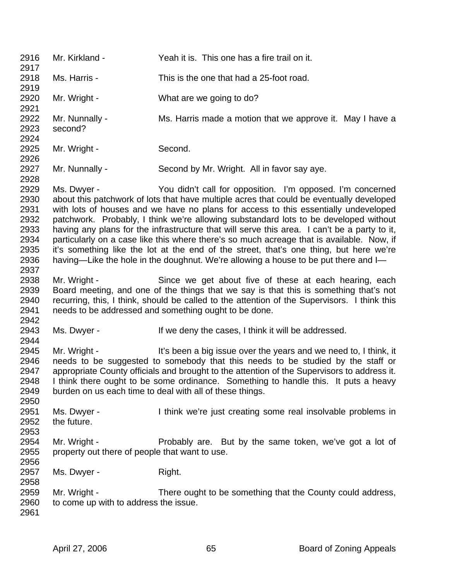2916 Mr. Kirkland - Yeah it is. This one has a fire trail on it. 2917 2918 Ms. Harris - This is the one that had a 25-foot road. 2919 2920 Mr. Wright - What are we going to do? 2921 2922 Mr. Nunnally - Ms. Harris made a motion that we approve it. May I have a 2923 second? 2924 2925 Mr. Wright - Second. 2926 2927 Mr. Nunnally - Second by Mr. Wright. All in favor say aye. 2928 2929 Ms. Dwyer - You didn't call for opposition. I'm opposed. I'm concerned 2930 about this patchwork of lots that have multiple acres that could be eventually developed 2931 with lots of houses and we have no plans for access to this essentially undeveloped 2932 patchwork. Probably, I think we're allowing substandard lots to be developed without 2933 having any plans for the infrastructure that will serve this area. I can't be a party to it, 2934 particularly on a case like this where there's so much acreage that is available. Now, if 2935 it's something like the lot at the end of the street, that's one thing, but here we're 2936 having—Like the hole in the doughnut. We're allowing a house to be put there and I— 2937 2938 Mr. Wright - Since we get about five of these at each hearing, each 2939 Board meeting, and one of the things that we say is that this is something that's not 2940 recurring, this, I think, should be called to the attention of the Supervisors. I think this 2941 needs to be addressed and something ought to be done. 2942 2943 Ms. Dwyer - If we deny the cases, I think it will be addressed. 2944 2945 Mr. Wright - It's been a big issue over the years and we need to, I think, it 2946 needs to be suggested to somebody that this needs to be studied by the staff or 2947 appropriate County officials and brought to the attention of the Supervisors to address it. 2948 I think there ought to be some ordinance. Something to handle this. It puts a heavy 2949 burden on us each time to deal with all of these things. 2950 2951 Ms. Dwyer - I think we're just creating some real insolvable problems in 2952 the future. 2953 2954 Mr. Wright - Probably are. But by the same token, we've got a lot of 2955 property out there of people that want to use. 2956 2957 Ms. Dwyer - Right. 2958 2959 Mr. Wright - There ought to be something that the County could address, 2960 to come up with to address the issue. 2961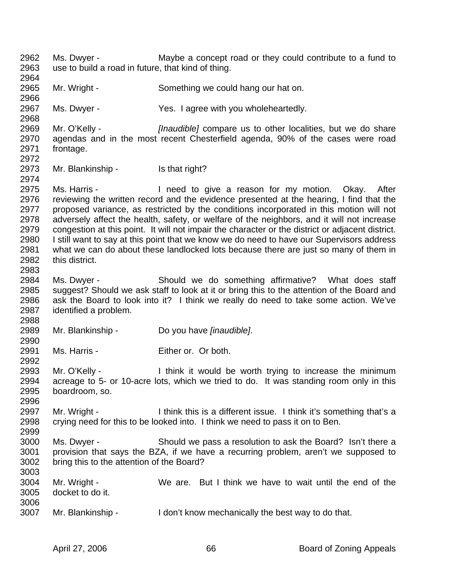2962 Ms. Dwyer - Maybe a concept road or they could contribute to a fund to 2963 use to build a road in future, that kind of thing. 2964 2965 Mr. Wright - Something we could hang our hat on. 2966 2967 Ms. Dwyer - Yes. I agree with you wholeheartedly. 2968 2969 Mr. O'Kelly - *[Inaudible]* compare us to other localities, but we do share 2970 agendas and in the most recent Chesterfield agenda, 90% of the cases were road 2971 frontage. 2972 2973 Mr. Blankinship - Is that right? 2974 2975 Ms. Harris - I need to give a reason for my motion. Okay. After 2976 reviewing the written record and the evidence presented at the hearing, I find that the 2977 proposed variance, as restricted by the conditions incorporated in this motion will not 2978 adversely affect the health, safety, or welfare of the neighbors, and it will not increase 2979 congestion at this point. It will not impair the character or the district or adjacent district. 2980 I still want to say at this point that we know we do need to have our Supervisors address 2981 what we can do about these landlocked lots because there are just so many of them in 2982 this district. 2983 2984 Ms. Dwyer - Should we do something affirmative? What does staff 2985 suggest? Should we ask staff to look at it or bring this to the attention of the Board and 2986 ask the Board to look into it? I think we really do need to take some action. We've 2987 identified a problem. 2988 2989 Mr. Blankinship - Do you have *[inaudible]*. 2990 2991 Ms. Harris - Either or. Or both. 2992 2993 Mr. O'Kelly - I think it would be worth trying to increase the minimum 2994 acreage to 5- or 10-acre lots, which we tried to do. It was standing room only in this 2995 boardroom, so. 2996 2997 Mr. Wright - Ithink this is a different issue. I think it's something that's a 2998 crying need for this to be looked into. I think we need to pass it on to Ben. 2999 3000 Ms. Dwyer - Should we pass a resolution to ask the Board? Isn't there a 3001 provision that says the BZA, if we have a recurring problem, aren't we supposed to 3002 bring this to the attention of the Board? 3003 3004 Mr. Wright - We are. But I think we have to wait until the end of the 3005 docket to do it. 3006 3007 Mr. Blankinship - I don't know mechanically the best way to do that.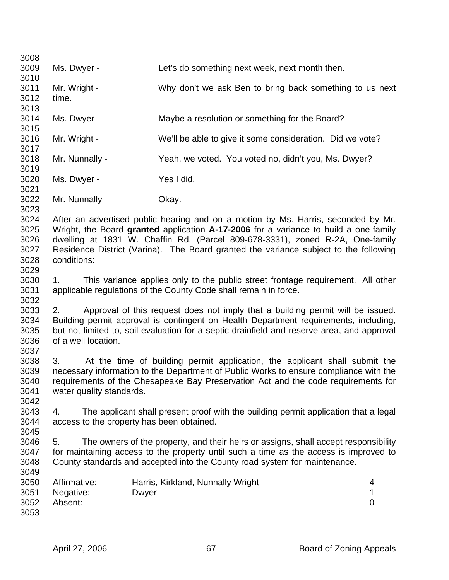| 3008 |                                                                                                                   |       |                                   |                                                                                      |                |
|------|-------------------------------------------------------------------------------------------------------------------|-------|-----------------------------------|--------------------------------------------------------------------------------------|----------------|
| 3009 | Ms. Dwyer -                                                                                                       |       |                                   | Let's do something next week, next month then.                                       |                |
| 3010 |                                                                                                                   |       |                                   |                                                                                      |                |
| 3011 | Mr. Wright -                                                                                                      |       |                                   | Why don't we ask Ben to bring back something to us next                              |                |
| 3012 | time.                                                                                                             |       |                                   |                                                                                      |                |
| 3013 |                                                                                                                   |       |                                   |                                                                                      |                |
| 3014 | Ms. Dwyer -                                                                                                       |       |                                   | Maybe a resolution or something for the Board?                                       |                |
| 3015 |                                                                                                                   |       |                                   |                                                                                      |                |
| 3016 | Mr. Wright -                                                                                                      |       |                                   | We'll be able to give it some consideration. Did we vote?                            |                |
| 3017 |                                                                                                                   |       |                                   |                                                                                      |                |
| 3018 | Mr. Nunnally -                                                                                                    |       |                                   | Yeah, we voted. You voted no, didn't you, Ms. Dwyer?                                 |                |
|      |                                                                                                                   |       |                                   |                                                                                      |                |
| 3019 |                                                                                                                   |       |                                   |                                                                                      |                |
| 3020 | Ms. Dwyer -                                                                                                       |       | Yes I did.                        |                                                                                      |                |
| 3021 |                                                                                                                   |       |                                   |                                                                                      |                |
| 3022 | Mr. Nunnally -                                                                                                    |       | Okay.                             |                                                                                      |                |
| 3023 |                                                                                                                   |       |                                   |                                                                                      |                |
| 3024 |                                                                                                                   |       |                                   | After an advertised public hearing and on a motion by Ms. Harris, seconded by Mr.    |                |
| 3025 |                                                                                                                   |       |                                   | Wright, the Board granted application A-17-2006 for a variance to build a one-family |                |
| 3026 |                                                                                                                   |       |                                   | dwelling at 1831 W. Chaffin Rd. (Parcel 809-678-3331), zoned R-2A, One-family        |                |
| 3027 |                                                                                                                   |       |                                   | Residence District (Varina). The Board granted the variance subject to the following |                |
| 3028 | conditions:                                                                                                       |       |                                   |                                                                                      |                |
| 3029 |                                                                                                                   |       |                                   |                                                                                      |                |
| 3030 | This variance applies only to the public street frontage requirement. All other<br>1.                             |       |                                   |                                                                                      |                |
| 3031 | applicable regulations of the County Code shall remain in force.                                                  |       |                                   |                                                                                      |                |
| 3032 |                                                                                                                   |       |                                   |                                                                                      |                |
| 3033 | Approval of this request does not imply that a building permit will be issued.<br>2.                              |       |                                   |                                                                                      |                |
| 3034 | Building permit approval is contingent on Health Department requirements, including,                              |       |                                   |                                                                                      |                |
| 3035 |                                                                                                                   |       |                                   |                                                                                      |                |
| 3036 | but not limited to, soil evaluation for a septic drainfield and reserve area, and approval<br>of a well location. |       |                                   |                                                                                      |                |
| 3037 |                                                                                                                   |       |                                   |                                                                                      |                |
| 3038 | 3.                                                                                                                |       |                                   | At the time of building permit application, the applicant shall submit the           |                |
| 3039 |                                                                                                                   |       |                                   |                                                                                      |                |
|      | necessary information to the Department of Public Works to ensure compliance with the                             |       |                                   |                                                                                      |                |
| 3040 | requirements of the Chesapeake Bay Preservation Act and the code requirements for<br>water quality standards.     |       |                                   |                                                                                      |                |
| 3041 |                                                                                                                   |       |                                   |                                                                                      |                |
| 3042 |                                                                                                                   |       |                                   |                                                                                      |                |
| 3043 | The applicant shall present proof with the building permit application that a legal<br>4.                         |       |                                   |                                                                                      |                |
| 3044 | access to the property has been obtained.                                                                         |       |                                   |                                                                                      |                |
| 3045 |                                                                                                                   |       |                                   |                                                                                      |                |
| 3046 | The owners of the property, and their heirs or assigns, shall accept responsibility<br>5.                         |       |                                   |                                                                                      |                |
| 3047 | for maintaining access to the property until such a time as the access is improved to                             |       |                                   |                                                                                      |                |
| 3048 |                                                                                                                   |       |                                   | County standards and accepted into the County road system for maintenance.           |                |
| 3049 |                                                                                                                   |       |                                   |                                                                                      |                |
| 3050 | Affirmative:                                                                                                      |       | Harris, Kirkland, Nunnally Wright |                                                                                      | 4              |
| 3051 | Negative:                                                                                                         | Dwyer |                                   |                                                                                      | 1              |
| 3052 | Absent:                                                                                                           |       |                                   |                                                                                      | $\overline{0}$ |
| 3053 |                                                                                                                   |       |                                   |                                                                                      |                |
|      |                                                                                                                   |       |                                   |                                                                                      |                |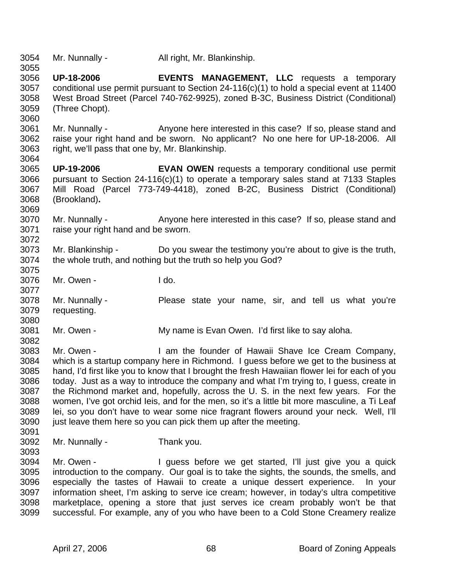3054 Mr. Nunnally - All right, Mr. Blankinship.

- 3056 **UP-18-2006 EVENTS MANAGEMENT, LLC** requests a temporary 3057 conditional use permit pursuant to Section 24-116(c)(1) to hold a special event at 11400 3058 West Broad Street (Parcel 740-762-9925), zoned B-3C, Business District (Conditional) 3059 (Three Chopt).
- 3061 Mr. Nunnally Anyone here interested in this case? If so, please stand and 3062 raise your right hand and be sworn. No applicant? No one here for UP-18-2006. All 3063 right, we'll pass that one by, Mr. Blankinship.
- 3065 **UP-19-2006 EVAN OWEN** requests a temporary conditional use permit 3066 pursuant to Section 24-116(c)(1) to operate a temporary sales stand at 7133 Staples 3067 Mill Road (Parcel 773-749-4418), zoned B-2C, Business District (Conditional) 3068 (Brookland)**.**
- 3070 Mr. Nunnally Anyone here interested in this case? If so, please stand and 3071 raise your right hand and be sworn. 3072
- 3073 Mr. Blankinship Do you swear the testimony you're about to give is the truth, 3074 the whole truth, and nothing but the truth so help you God? 3075
- 3076 Mr. Owen I do.
- 3078 Mr. Nunnally Please state your name, sir, and tell us what you're 3079 requesting. 3080
- 3081 Mr. Owen My name is Evan Owen. I'd first like to say aloha.
- 3083 Mr. Owen I am the founder of Hawaii Shave Ice Cream Company, 3084 which is a startup company here in Richmond. I guess before we get to the business at 3085 hand, I'd first like you to know that I brought the fresh Hawaiian flower lei for each of you 3086 today. Just as a way to introduce the company and what I'm trying to, I guess, create in 3087 the Richmond market and, hopefully, across the U. S. in the next few years. For the 3088 women, I've got orchid Ieis, and for the men, so it's a little bit more masculine, a Ti Leaf 3089 lei, so you don't have to wear some nice fragrant flowers around your neck. Well, I'll 3090 just leave them here so you can pick them up after the meeting.
- 3091

3055

3060

3064

3069

3077

- 3092 Mr. Nunnally Thank you.
- 3093
- 
- 3094 Mr. Owen I guess before we get started, I'll just give you a quick 3095 introduction to the company. Our goal is to take the sights, the sounds, the smells, and 3096 especially the tastes of Hawaii to create a unique dessert experience. In your 3097 information sheet, I'm asking to serve ice cream; however, in today's ultra competitive 3098 marketplace, opening a store that just serves ice cream probably won't be that 3099 successful. For example, any of you who have been to a Cold Stone Creamery realize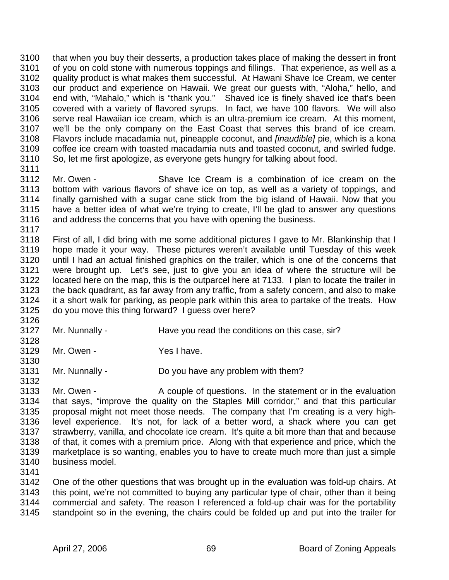3100 that when you buy their desserts, a production takes place of making the dessert in front 3101 of you on cold stone with numerous toppings and fillings. That experience, as well as a 3102 quality product is what makes them successful. At Hawani Shave Ice Cream, we center 3103 our product and experience on Hawaii. We great our guests with, "Aloha," hello, and 3104 end with, "Mahalo," which is "thank you." Shaved ice is finely shaved ice that's been 3105 covered with a variety of flavored syrups. In fact, we have 100 flavors. We will also 3106 serve real Hawaiian ice cream, which is an ultra-premium ice cream. At this moment, 3107 we'll be the only company on the East Coast that serves this brand of ice cream. 3108 Flavors include macadamia nut, pineapple coconut, and *[inaudible]* pie, which is a kona 3109 coffee ice cream with toasted macadamia nuts and toasted coconut, and swirled fudge. 3110 So, let me first apologize, as everyone gets hungry for talking about food.

- 3112 Mr. Owen Shave Ice Cream is a combination of ice cream on the 3113 bottom with various flavors of shave ice on top, as well as a variety of toppings, and 3114 finally garnished with a sugar cane stick from the big island of Hawaii. Now that you 3115 have a better idea of what we're trying to create, I'll be glad to answer any questions 3116 and address the concerns that you have with opening the business. 3117
- 3118 First of all, I did bring with me some additional pictures I gave to Mr. Blankinship that I 3119 hope made it your way. These pictures weren't available until Tuesday of this week 3120 until I had an actual finished graphics on the trailer, which is one of the concerns that 3121 were brought up. Let's see, just to give you an idea of where the structure will be 3122 located here on the map, this is the outparcel here at 7133. I plan to locate the trailer in 3123 the back quadrant, as far away from any traffic, from a safety concern, and also to make 3124 it a short walk for parking, as people park within this area to partake of the treats. How 3125 do you move this thing forward? I guess over here?
- 3126

3130

3132

3111

- 3127 Mr. Nunnally Have you read the conditions on this case, sir? 3128
- 3129 Mr. Owen Yes I have.
- 3131 Mr. Nunnally Do you have any problem with them?
- 3133 Mr. Owen A couple of questions. In the statement or in the evaluation 3134 that says, "improve the quality on the Staples Mill corridor," and that this particular 3135 proposal might not meet those needs. The company that I'm creating is a very high-3136 level experience. It's not, for lack of a better word, a shack where you can get 3137 strawberry, vanilla, and chocolate ice cream. It's quite a bit more than that and because 3138 of that, it comes with a premium price. Along with that experience and price, which the 3139 marketplace is so wanting, enables you to have to create much more than just a simple 3140 business model.
- 3141

3142 One of the other questions that was brought up in the evaluation was fold-up chairs. At 3143 this point, we're not committed to buying any particular type of chair, other than it being 3144 commercial and safety. The reason I referenced a fold-up chair was for the portability 3145 standpoint so in the evening, the chairs could be folded up and put into the trailer for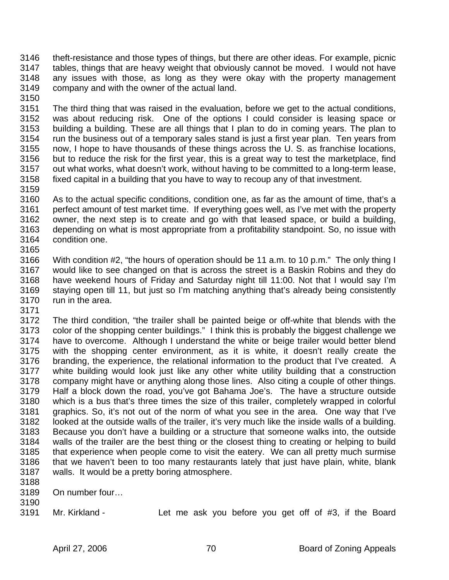- 3146 theft-resistance and those types of things, but there are other ideas. For example, picnic 3147 tables, things that are heavy weight that obviously cannot be moved. I would not have 3148 any issues with those, as long as they were okay with the property management 3149 company and with the owner of the actual land.
- 3150

3151 The third thing that was raised in the evaluation, before we get to the actual conditions, 3152 was about reducing risk. One of the options I could consider is leasing space or 3153 building a building. These are all things that I plan to do in coming years. The plan to 3154 run the business out of a temporary sales stand is just a first year plan. Ten years from 3155 now, I hope to have thousands of these things across the U. S. as franchise locations, 3156 but to reduce the risk for the first year, this is a great way to test the marketplace, find 3157 out what works, what doesn't work, without having to be committed to a long-term lease, 3158 fixed capital in a building that you have to way to recoup any of that investment.

3159

3160 As to the actual specific conditions, condition one, as far as the amount of time, that's a 3161 perfect amount of test market time. If everything goes well, as I've met with the property 3162 owner, the next step is to create and go with that leased space, or build a building, 3163 depending on what is most appropriate from a profitability standpoint. So, no issue with 3164 condition one. 3165

3166 With condition #2, "the hours of operation should be 11 a.m. to 10 p.m." The only thing I 3167 would like to see changed on that is across the street is a Baskin Robins and they do 3168 have weekend hours of Friday and Saturday night till 11:00. Not that I would say I'm 3169 staying open till 11, but just so I'm matching anything that's already being consistently 3170 run in the area.

3171

3172 The third condition, "the trailer shall be painted beige or off-white that blends with the 3173 color of the shopping center buildings." I think this is probably the biggest challenge we 3174 have to overcome. Although I understand the white or beige trailer would better blend 3175 with the shopping center environment, as it is white, it doesn't really create the 3176 branding, the experience, the relational information to the product that I've created. A 3177 white building would look just like any other white utility building that a construction 3178 company might have or anything along those lines. Also citing a couple of other things. 3179 Half a block down the road, you've got Bahama Joe's. The have a structure outside 3180 which is a bus that's three times the size of this trailer, completely wrapped in colorful 3181 graphics. So, it's not out of the norm of what you see in the area. One way that I've 3182 looked at the outside walls of the trailer, it's very much like the inside walls of a building. 3183 Because you don't have a building or a structure that someone walks into, the outside 3184 walls of the trailer are the best thing or the closest thing to creating or helping to build 3185 that experience when people come to visit the eatery. We can all pretty much surmise 3186 that we haven't been to too many restaurants lately that just have plain, white, blank 3187 walls. It would be a pretty boring atmosphere.

- 3188
- 3189 On number four… 3190
- 3191 Mr. Kirkland Let me ask you before you get off of #3, if the Board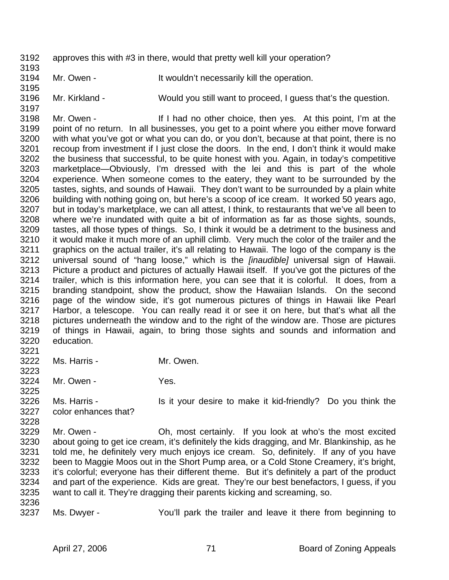- 3192 approves this with #3 in there, would that pretty well kill your operation?
- 3194 Mr. Owen It wouldn't necessarily kill the operation.
- 3196 Mr. Kirkland Would you still want to proceed, I guess that's the question.

3198 Mr. Owen - If I had no other choice, then yes. At this point, I'm at the 3199 point of no return. In all businesses, you get to a point where you either move forward 3200 with what you've got or what you can do, or you don't, because at that point, there is no 3201 recoup from investment if I just close the doors. In the end, I don't think it would make 3202 the business that successful, to be quite honest with you. Again, in today's competitive 3203 marketplace—Obviously, I'm dressed with the lei and this is part of the whole 3204 experience. When someone comes to the eatery, they want to be surrounded by the 3205 tastes, sights, and sounds of Hawaii. They don't want to be surrounded by a plain white<br>3206 building with nothing going on, but here's a scoop of ice cream. It worked 50 years ago. building with nothing going on, but here's a scoop of ice cream. It worked 50 years ago, 3207 but in today's marketplace, we can all attest, I think, to restaurants that we've all been to 3208 where we're inundated with quite a bit of information as far as those sights, sounds, 3209 tastes, all those types of things. So, I think it would be a detriment to the business and 3210 it would make it much more of an uphill climb. Very much the color of the trailer and the 3211 graphics on the actual trailer, it's all relating to Hawaii. The logo of the company is the 3212 universal sound of "hang loose," which is the *[inaudible]* universal sign of Hawaii. 3213 Picture a product and pictures of actually Hawaii itself. If you've got the pictures of the 3214 trailer, which is this information here, you can see that it is colorful. It does, from a 3215 branding standpoint, show the product, show the Hawaiian Islands. On the second 3216 page of the window side, it's got numerous pictures of things in Hawaii like Pearl 3217 Harbor, a telescope. You can really read it or see it on here, but that's what all the 3218 pictures underneath the window and to the right of the window are. Those are pictures 3219 of things in Hawaii, again, to bring those sights and sounds and information and 3220 education.

- 3222 Ms. Harris Mr. Owen.
- 3224 Mr. Owen Yes.

3226 Ms. Harris - Is it your desire to make it kid-friendly? Do you think the 3227 color enhances that?

- 3229 Mr. Owen Oh, most certainly. If you look at who's the most excited 3230 about going to get ice cream, it's definitely the kids dragging, and Mr. Blankinship, as he 3231 told me, he definitely very much enjoys ice cream. So, definitely. If any of you have 3232 been to Maggie Moos out in the Short Pump area, or a Cold Stone Creamery, it's bright, 3233 it's colorful; everyone has their different theme. But it's definitely a part of the product 3234 and part of the experience. Kids are great. They're our best benefactors, I guess, if you 3235 want to call it. They're dragging their parents kicking and screaming, so.
- 3236

3221

3223

3225

3228

3193

3195

3197

3237 Ms. Dwyer - You'll park the trailer and leave it there from beginning to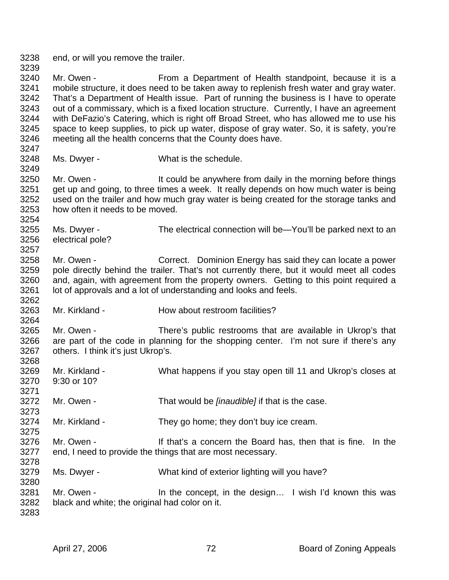3238 end, or will you remove the trailer. 3239

3240 Mr. Owen - From a Department of Health standpoint, because it is a 3241 mobile structure, it does need to be taken away to replenish fresh water and gray water. 3242 That's a Department of Health issue. Part of running the business is I have to operate 3243 out of a commissary, which is a fixed location structure. Currently, I have an agreement 3244 with DeFazio's Catering, which is right off Broad Street, who has allowed me to use his 3245 space to keep supplies, to pick up water, dispose of gray water. So, it is safety, you're 3246 meeting all the health concerns that the County does have.

3247

3249

3257

3262

3264

3268

3271

3273

3275

3278

3280

3248 Ms. Dwyer - What is the schedule.

3250 Mr. Owen - It could be anywhere from daily in the morning before things 3251 get up and going, to three times a week. It really depends on how much water is being 3252 used on the trailer and how much gray water is being created for the storage tanks and 3253 how often it needs to be moved. 3254

3255 Ms. Dwyer - The electrical connection will be—You'll be parked next to an 3256 electrical pole?

3258 Mr. Owen - Correct. Dominion Energy has said they can locate a power 3259 pole directly behind the trailer. That's not currently there, but it would meet all codes 3260 and, again, with agreement from the property owners. Getting to this point required a 3261 lot of approvals and a lot of understanding and looks and feels.

3263 Mr. Kirkland - How about restroom facilities?

3265 Mr. Owen - There's public restrooms that are available in Ukrop's that 3266 are part of the code in planning for the shopping center. I'm not sure if there's any 3267 others. I think it's just Ukrop's.

- 3269 Mr. Kirkland What happens if you stay open till 11 and Ukrop's closes at 3270 9:30 or 10?
- 3272 Mr. Owen That would be *[inaudible]* if that is the case.
- 3274 Mr. Kirkland They go home; they don't buy ice cream.
- 3276 Mr. Owen If that's a concern the Board has, then that is fine. In the 3277 end, I need to provide the things that are most necessary.
- 3279 Ms. Dwyer What kind of exterior lighting will you have?
- 3281 Mr. Owen In the concept, in the design... I wish I'd known this was 3282 black and white; the original had color on it.
- 3283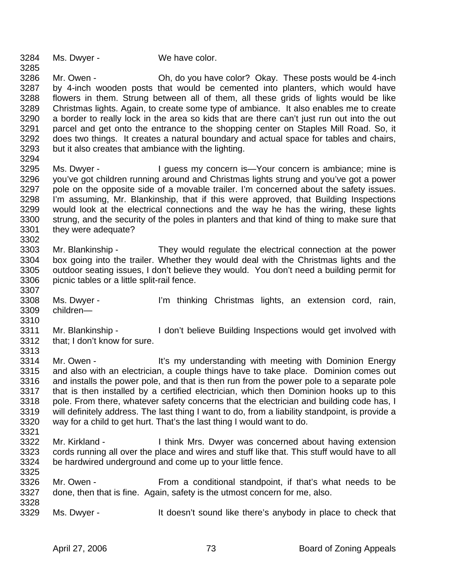3284 Ms. Dwyer - We have color.

3285

3302

3310

3286 Mr. Owen - Oh, do you have color? Okay. These posts would be 4-inch 3287 by 4-inch wooden posts that would be cemented into planters, which would have 3288 flowers in them. Strung between all of them, all these grids of lights would be like 3289 Christmas lights. Again, to create some type of ambiance. It also enables me to create 3290 a border to really lock in the area so kids that are there can't just run out into the out 3291 parcel and get onto the entrance to the shopping center on Staples Mill Road. So, it 3292 does two things. It creates a natural boundary and actual space for tables and chairs, 3293 but it also creates that ambiance with the lighting. 3294

- 3295 Ms. Dwyer I guess my concern is—Your concern is ambiance; mine is 3296 you've got children running around and Christmas lights strung and you've got a power 3297 pole on the opposite side of a movable trailer. I'm concerned about the safety issues. 3298 I'm assuming, Mr. Blankinship, that if this were approved, that Building Inspections 3299 would look at the electrical connections and the way he has the wiring, these lights 3300 strung, and the security of the poles in planters and that kind of thing to make sure that 3301 they were adequate?
- 3303 Mr. Blankinship They would regulate the electrical connection at the power 3304 box going into the trailer. Whether they would deal with the Christmas lights and the 3305 outdoor seating issues, I don't believe they would. You don't need a building permit for 3306 picnic tables or a little split-rail fence. 3307
- 3308 Ms. Dwyer I'm thinking Christmas lights, an extension cord, rain, 3309 children—
- 3311 Mr. Blankinship I don't believe Building Inspections would get involved with 3312 that; I don't know for sure. 3313
- 3314 Mr. Owen It's my understanding with meeting with Dominion Energy 3315 and also with an electrician, a couple things have to take place. Dominion comes out 3316 and installs the power pole, and that is then run from the power pole to a separate pole 3317 that is then installed by a certified electrician, which then Dominion hooks up to this 3318 pole. From there, whatever safety concerns that the electrician and building code has, I 3319 will definitely address. The last thing I want to do, from a liability standpoint, is provide a 3320 way for a child to get hurt. That's the last thing I would want to do. 3321
- 3322 Mr. Kirkland I think Mrs. Dwyer was concerned about having extension 3323 cords running all over the place and wires and stuff like that. This stuff would have to all 3324 be hardwired underground and come up to your little fence. 3325
- 3326 Mr. Owen From a conditional standpoint, if that's what needs to be 3327 done, then that is fine. Again, safety is the utmost concern for me, also. 3328
- 3329 Ms. Dwyer It doesn't sound like there's anybody in place to check that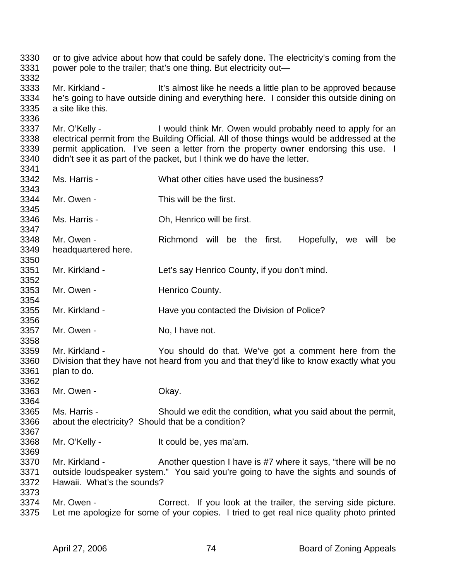3330 or to give advice about how that could be safely done. The electricity's coming from the 3331 power pole to the trailer; that's one thing. But electricity out— 3332 3333 Mr. Kirkland - It's almost like he needs a little plan to be approved because 3334 he's going to have outside dining and everything here. I consider this outside dining on 3335 a site like this. 3336 3337 Mr. O'Kelly - I would think Mr. Owen would probably need to apply for an 3338 electrical permit from the Building Official. All of those things would be addressed at the 3339 permit application. I've seen a letter from the property owner endorsing this use. I 3340 didn't see it as part of the packet, but I think we do have the letter. 3341 3342 Ms. Harris - What other cities have used the business? 3343<br>3344 Mr. Owen - This will be the first. 3345 3346 Ms. Harris - Oh, Henrico will be first. 3347 3348 Mr. Owen - Richmond will be the first. Hopefully, we will be 3349 headquartered here. 3350 3351 Mr. Kirkland - Let's say Henrico County, if you don't mind. 3352 3353 Mr. Owen - Henrico County. 3354 3355 Mr. Kirkland - Have you contacted the Division of Police? 3356 3357 Mr. Owen - No, I have not. 3358 3359 Mr. Kirkland - You should do that. We've got a comment here from the 3360 Division that they have not heard from you and that they'd like to know exactly what you 3361 plan to do. 3362 3363 Mr. Owen - Okay. 3364 3365 Ms. Harris - Should we edit the condition, what you said about the permit, 3366 about the electricity? Should that be a condition? 3367 3368 Mr. O'Kelly - It could be, yes ma'am. 3369 3370 Mr. Kirkland - Another question I have is #7 where it says, "there will be no 3371 outside loudspeaker system." You said you're going to have the sights and sounds of 3372 Hawaii. What's the sounds? 3373 3374 Mr. Owen - Correct. If you look at the trailer, the serving side picture. 3375 Let me apologize for some of your copies. I tried to get real nice quality photo printed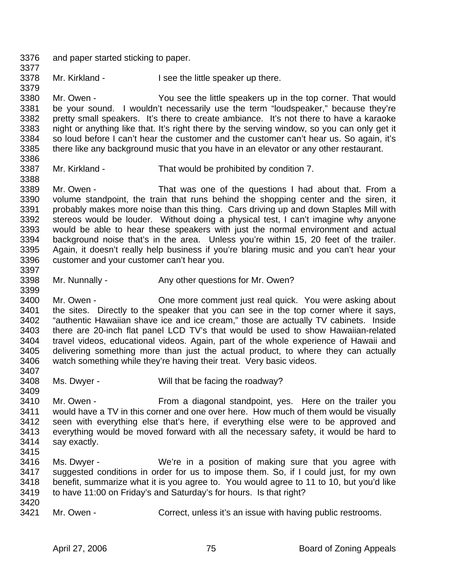3376 and paper started sticking to paper. 3377

3378 Mr. Kirkland - I see the little speaker up there.

3380 Mr. Owen - You see the little speakers up in the top corner. That would 3381 be your sound. I wouldn't necessarily use the term "loudspeaker," because they're 3382 pretty small speakers. It's there to create ambiance. It's not there to have a karaoke 3383 night or anything like that. It's right there by the serving window, so you can only get it 3384 so loud before I can't hear the customer and the customer can't hear us. So again, it's 3385 there like any background music that you have in an elevator or any other restaurant.

3386

3379

3388

3399

3387 Mr. Kirkland - That would be prohibited by condition 7.

3389 Mr. Owen - That was one of the questions I had about that. From a 3390 volume standpoint, the train that runs behind the shopping center and the siren, it 3391 probably makes more noise than this thing. Cars driving up and down Staples Mill with 3392 stereos would be louder. Without doing a physical test, I can't imagine why anyone 3393 would be able to hear these speakers with just the normal environment and actual 3394 background noise that's in the area. Unless you're within 15, 20 feet of the trailer. 3395 Again, it doesn't really help business if you're blaring music and you can't hear your 3396 customer and your customer can't hear you. 3397

3398 Mr. Nunnally - Any other questions for Mr. Owen?

3400 Mr. Owen - One more comment just real quick. You were asking about 3401 the sites. Directly to the speaker that you can see in the top corner where it says, 3402 "authentic Hawaiian shave ice and ice cream," those are actually TV cabinets. Inside 3403 there are 20-inch flat panel LCD TV's that would be used to show Hawaiian-related 3404 travel videos, educational videos. Again, part of the whole experience of Hawaii and 3405 delivering something more than just the actual product, to where they can actually 3406 watch something while they're having their treat. Very basic videos. 3407

3408 Ms. Dwyer - Will that be facing the roadway? 3409

3410 Mr. Owen - From a diagonal standpoint, yes. Here on the trailer you 3411 would have a TV in this corner and one over here. How much of them would be visually 3412 seen with everything else that's here, if everything else were to be approved and 3413 everything would be moved forward with all the necessary safety, it would be hard to 3414 say exactly. 3415

- 3416 Ms. Dwyer We're in a position of making sure that you agree with 3417 suggested conditions in order for us to impose them. So, if I could just, for my own 3418 benefit, summarize what it is you agree to. You would agree to 11 to 10, but you'd like 3419 to have 11:00 on Friday's and Saturday's for hours. Is that right?
- 3420<br>3421

Mr. Owen - Correct, unless it's an issue with having public restrooms.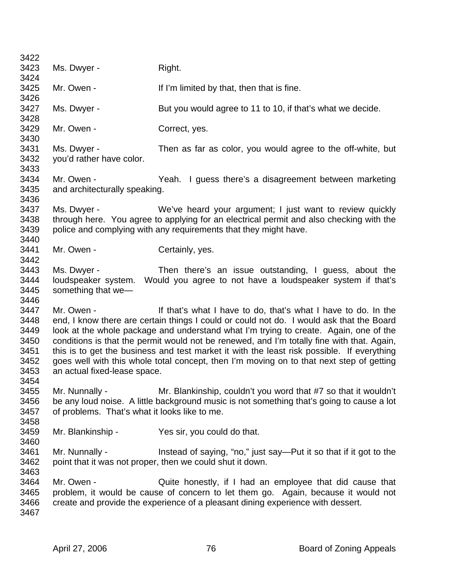| 3422         |                                                                                          |                                                                                                                                |  |
|--------------|------------------------------------------------------------------------------------------|--------------------------------------------------------------------------------------------------------------------------------|--|
| 3423         | Ms. Dwyer -                                                                              | Right.                                                                                                                         |  |
| 3424         |                                                                                          |                                                                                                                                |  |
| 3425         | Mr. Owen -                                                                               | If I'm limited by that, then that is fine.                                                                                     |  |
| 3426         |                                                                                          |                                                                                                                                |  |
| 3427         | Ms. Dwyer -                                                                              | But you would agree to 11 to 10, if that's what we decide.                                                                     |  |
| 3428         |                                                                                          |                                                                                                                                |  |
| 3429         | Mr. Owen -                                                                               | Correct, yes.                                                                                                                  |  |
| 3430         |                                                                                          |                                                                                                                                |  |
| 3431         | Ms. Dwyer -                                                                              | Then as far as color, you would agree to the off-white, but                                                                    |  |
| 3432<br>3433 | you'd rather have color.                                                                 |                                                                                                                                |  |
| 3434         | Mr. Owen -                                                                               | Yeah. I guess there's a disagreement between marketing                                                                         |  |
| 3435         | and architecturally speaking.                                                            |                                                                                                                                |  |
| 3436         |                                                                                          |                                                                                                                                |  |
| 3437         | Ms. Dwyer -                                                                              | We've heard your argument; I just want to review quickly                                                                       |  |
| 3438         |                                                                                          | through here. You agree to applying for an electrical permit and also checking with the                                        |  |
| 3439         |                                                                                          | police and complying with any requirements that they might have.                                                               |  |
| 3440         |                                                                                          |                                                                                                                                |  |
| 3441         | Mr. Owen -                                                                               | Certainly, yes.                                                                                                                |  |
| 3442         |                                                                                          |                                                                                                                                |  |
| 3443         | Ms. Dwyer -                                                                              | Then there's an issue outstanding, I guess, about the                                                                          |  |
| 3444         |                                                                                          | loudspeaker system. Would you agree to not have a loudspeaker system if that's                                                 |  |
| 3445         | something that we-                                                                       |                                                                                                                                |  |
| 3446         |                                                                                          |                                                                                                                                |  |
| 3447         | Mr. Owen -                                                                               | If that's what I have to do, that's what I have to do. In the                                                                  |  |
| 3448         |                                                                                          | end, I know there are certain things I could or could not do. I would ask that the Board                                       |  |
| 3449         |                                                                                          | look at the whole package and understand what I'm trying to create. Again, one of the                                          |  |
| 3450         |                                                                                          | conditions is that the permit would not be renewed, and I'm totally fine with that. Again,                                     |  |
| 3451         |                                                                                          | this is to get the business and test market it with the least risk possible. If everything                                     |  |
| 3452         | goes well with this whole total concept, then I'm moving on to that next step of getting |                                                                                                                                |  |
| 3453         | an actual fixed-lease space.                                                             |                                                                                                                                |  |
| 3454         |                                                                                          |                                                                                                                                |  |
| 3455         | Mr. Nunnally -                                                                           | Mr. Blankinship, couldn't you word that #7 so that it wouldn't                                                                 |  |
| 3456         |                                                                                          | be any loud noise. A little background music is not something that's going to cause a lot                                      |  |
| 3457         | of problems. That's what it looks like to me.                                            |                                                                                                                                |  |
| 3458         |                                                                                          |                                                                                                                                |  |
| 3459         | Mr. Blankinship -                                                                        | Yes sir, you could do that.                                                                                                    |  |
| 3460<br>3461 |                                                                                          |                                                                                                                                |  |
| 3462         | Mr. Nunnally -                                                                           | Instead of saying, "no," just say-Put it so that if it got to the<br>point that it was not proper, then we could shut it down. |  |
| 3463         |                                                                                          |                                                                                                                                |  |
| 3464         | Mr. Owen -                                                                               | Quite honestly, if I had an employee that did cause that                                                                       |  |
| 3465         |                                                                                          | problem, it would be cause of concern to let them go. Again, because it would not                                              |  |
| 3466         |                                                                                          | create and provide the experience of a pleasant dining experience with dessert.                                                |  |
| 3467         |                                                                                          |                                                                                                                                |  |
|              |                                                                                          |                                                                                                                                |  |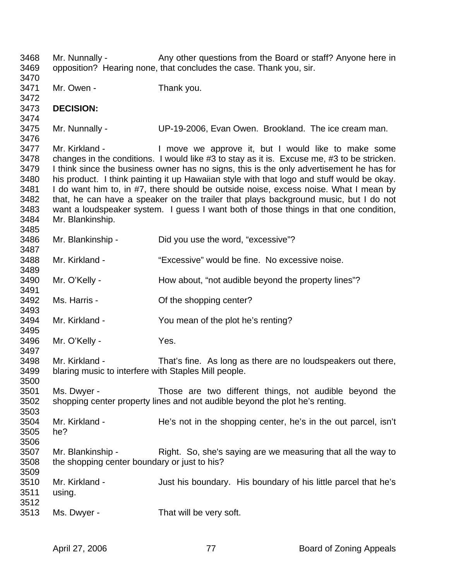3468 Mr. Nunnally - Any other questions from the Board or staff? Anyone here in 3469 opposition? Hearing none, that concludes the case. Thank you, sir. 3470 3471 Mr. Owen - Thank you. 3472 3473 **DECISION:**  3474 3475 Mr. Nunnally - UP-19-2006, Evan Owen. Brookland. The ice cream man. 3476 3477 Mr. Kirkland - I move we approve it, but I would like to make some 3478 changes in the conditions. I would like #3 to stay as it is. Excuse me, #3 to be stricken. 3479 I think since the business owner has no signs, this is the only advertisement he has for 3480 his product. I think painting it up Hawaiian style with that logo and stuff would be okay. 3481 I do want him to, in #7, there should be outside noise, excess noise. What I mean by 3482 that, he can have a speaker on the trailer that plays background music, but I do not 3483 want a loudspeaker system. I guess I want both of those things in that one condition, 3484 Mr. Blankinship. 3485 3486 Mr. Blankinship - Did you use the word, "excessive"? 3487 3488 Mr. Kirkland - "Excessive" would be fine. No excessive noise. 3489 3490 Mr. O'Kelly - How about, "not audible beyond the property lines"? 3491 3492 Ms. Harris - Of the shopping center? 3493 3494 Mr. Kirkland - You mean of the plot he's renting? 3495 3496 Mr. O'Kelly - Yes. 3497 3498 Mr. Kirkland - That's fine. As long as there are no loudspeakers out there, 3499 blaring music to interfere with Staples Mill people. 3500 3501 Ms. Dwyer - Those are two different things, not audible beyond the 3502 shopping center property lines and not audible beyond the plot he's renting. 3503 3504 Mr. Kirkland - He's not in the shopping center, he's in the out parcel, isn't 3505 he? 3506 3507 Mr. Blankinship - Right. So, she's saying are we measuring that all the way to 3508 the shopping center boundary or just to his? 3509 3510 Mr. Kirkland - Just his boundary. His boundary of his little parcel that he's 3511 using. 3512 3513 Ms. Dwyer - That will be very soft.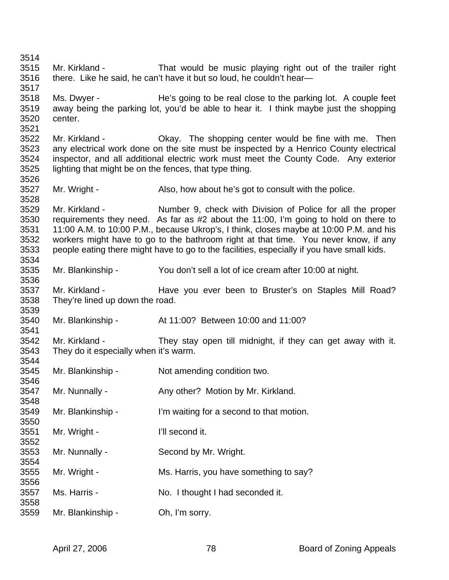3514 3515 Mr. Kirkland - That would be music playing right out of the trailer right 3516 there. Like he said, he can't have it but so loud, he couldn't hear— 3517 3518 Ms. Dwyer - He's going to be real close to the parking lot. A couple feet 3519 away being the parking lot, you'd be able to hear it. I think maybe just the shopping 3520 center. 3521 3522 Mr. Kirkland - Okay. The shopping center would be fine with me. Then 3523 any electrical work done on the site must be inspected by a Henrico County electrical 3524 inspector, and all additional electric work must meet the County Code. Any exterior 3525 lighting that might be on the fences, that type thing. 3526 3527 Mr. Wright - Also, how about he's got to consult with the police. 3528 3529 Mr. Kirkland - Number 9, check with Division of Police for all the proper 3530 requirements they need. As far as #2 about the 11:00, I'm going to hold on there to 3531 11:00 A.M. to 10:00 P.M., because Ukrop's, I think, closes maybe at 10:00 P.M. and his 3532 workers might have to go to the bathroom right at that time. You never know, if any 3533 people eating there might have to go to the facilities, especially if you have small kids. 3534 3535 Mr. Blankinship - You don't sell a lot of ice cream after 10:00 at night. 3536 3537 Mr. Kirkland - Have you ever been to Bruster's on Staples Mill Road? 3538 They're lined up down the road. 3539 3540 Mr. Blankinship - At 11:00? Between 10:00 and 11:00? 3541 3542 Mr. Kirkland - They stay open till midnight, if they can get away with it. 3543 They do it especially when it's warm. 3544 3545 Mr. Blankinship - Not amending condition two. 3546 3547 Mr. Nunnally - Any other? Motion by Mr. Kirkland. 3548 3549 Mr. Blankinship - I'm waiting for a second to that motion. 3550 3551 Mr. Wright - I'll second it. 3552 3553 Mr. Nunnally - Second by Mr. Wright. 3554 3555 Mr. Wright - Ms. Harris, you have something to say? 3556 3557 Ms. Harris - No. I thought I had seconded it. 3558 3559 Mr. Blankinship - Oh, I'm sorry.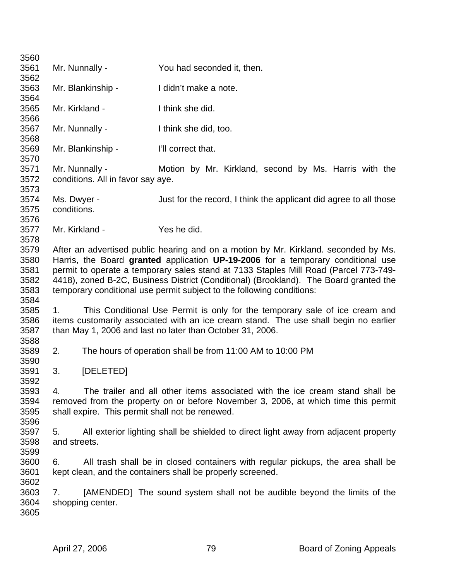| 3560 |                |                                   |                                                                                       |
|------|----------------|-----------------------------------|---------------------------------------------------------------------------------------|
| 3561 |                | Mr. Nunnally -                    | You had seconded it, then.                                                            |
| 3562 |                |                                   |                                                                                       |
| 3563 |                | Mr. Blankinship -                 | I didn't make a note.                                                                 |
| 3564 |                |                                   |                                                                                       |
| 3565 | Mr. Kirkland - |                                   | I think she did.                                                                      |
| 3566 |                |                                   |                                                                                       |
| 3567 |                | Mr. Nunnally -                    | I think she did, too.                                                                 |
| 3568 |                |                                   |                                                                                       |
| 3569 |                | Mr. Blankinship -                 | I'll correct that.                                                                    |
| 3570 |                |                                   |                                                                                       |
| 3571 |                | Mr. Nunnally -                    | Motion by Mr. Kirkland, second by Ms. Harris with the                                 |
| 3572 |                | conditions. All in favor say aye. |                                                                                       |
| 3573 |                |                                   |                                                                                       |
| 3574 | Ms. Dwyer -    |                                   | Just for the record, I think the applicant did agree to all those                     |
| 3575 | conditions.    |                                   |                                                                                       |
| 3576 |                |                                   |                                                                                       |
| 3577 | Mr. Kirkland - |                                   | Yes he did.                                                                           |
| 3578 |                |                                   |                                                                                       |
| 3579 |                |                                   | After an advertised public hearing and on a motion by Mr. Kirkland. seconded by Ms.   |
| 3580 |                |                                   | Harris, the Board granted application UP-19-2006 for a temporary conditional use      |
| 3581 |                |                                   | permit to operate a temporary sales stand at 7133 Staples Mill Road (Parcel 773-749-  |
| 3582 |                |                                   | 4418), zoned B-2C, Business District (Conditional) (Brookland). The Board granted the |
| 3583 |                |                                   | temporary conditional use permit subject to the following conditions:                 |
| 3584 |                |                                   |                                                                                       |
| 3585 | 1.             |                                   | This Conditional Use Permit is only for the temporary sale of ice cream and           |
| 3586 |                |                                   | items customarily associated with an ice cream stand. The use shall begin no earlier  |
| 3587 |                |                                   | than May 1, 2006 and last no later than October 31, 2006.                             |
| 3588 |                |                                   |                                                                                       |
| 3589 | 2.             |                                   | The hours of operation shall be from 11:00 AM to 10:00 PM                             |
| 3590 |                |                                   |                                                                                       |
| 3591 | 3.             | [DELETED]                         |                                                                                       |
| 3592 |                |                                   |                                                                                       |
| 3593 | 4.             |                                   | The trailer and all other items associated with the ice cream stand shall be          |
| 3594 |                |                                   | removed from the property on or before November 3, 2006, at which time this permit    |
| 3595 |                |                                   | shall expire. This permit shall not be renewed.                                       |
| 3596 |                |                                   |                                                                                       |
| 3597 | 5.             |                                   | All exterior lighting shall be shielded to direct light away from adjacent property   |
| 3598 | and streets.   |                                   |                                                                                       |
| 3599 |                |                                   |                                                                                       |
| 3600 | 6.             |                                   | All trash shall be in closed containers with regular pickups, the area shall be       |
| 3601 |                |                                   | kept clean, and the containers shall be properly screened.                            |
| 3602 |                |                                   |                                                                                       |
| 3603 | 7.             |                                   | [AMENDED] The sound system shall not be audible beyond the limits of the              |
| 3604 |                | shopping center.                  |                                                                                       |
| 3605 |                |                                   |                                                                                       |
|      |                |                                   |                                                                                       |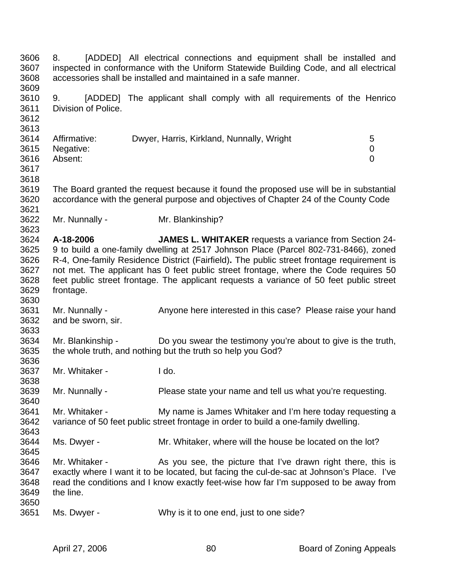3606 8. [ADDED] All electrical connections and equipment shall be installed and 3607 inspected in conformance with the Uniform Statewide Building Code, and all electrical 3608 accessories shall be installed and maintained in a safe manner. 3609 3610 9. [ADDED] The applicant shall comply with all requirements of the Henrico 3611 Division of Police. 3612 3613 3614 Affirmative: Dwyer, Harris, Kirkland, Nunnally, Wright 5 3615 Negative: 0 3616 Absent: 0 3617 3618 3619 The Board granted the request because it found the proposed use will be in substantial 3620 accordance with the general purpose and objectives of Chapter 24 of the County Code 3621 3622 Mr. Nunnally - Mr. Blankinship? 3623 3624 **A-18-2006 JAMES L. WHITAKER** requests a variance from Section 24- 3625 9 to build a one-family dwelling at 2517 Johnson Place (Parcel 802-731-8466), zoned 3626 R-4, One-family Residence District (Fairfield)**.** The public street frontage requirement is 3627 not met. The applicant has 0 feet public street frontage, where the Code requires 50 3628 feet public street frontage. The applicant requests a variance of 50 feet public street 3629 frontage. 3630 3631 Mr. Nunnally - Anyone here interested in this case? Please raise your hand 3632 and be sworn, sir. 3633 3634 Mr. Blankinship - Do you swear the testimony you're about to give is the truth, 3635 the whole truth, and nothing but the truth so help you God? 3636 3637 Mr. Whitaker - I do. 3638 3639 Mr. Nunnally - Please state your name and tell us what you're requesting. 3640 3641 Mr. Whitaker - My name is James Whitaker and I'm here today requesting a 3642 variance of 50 feet public street frontage in order to build a one-family dwelling. 3643 3644 Ms. Dwyer - Mr. Whitaker, where will the house be located on the lot? 3645 3646 Mr. Whitaker - As you see, the picture that I've drawn right there, this is 3647 exactly where I want it to be located, but facing the cul-de-sac at Johnson's Place. I've 3648 read the conditions and I know exactly feet-wise how far I'm supposed to be away from 3649 the line. 3650 3651 Ms. Dwyer - Why is it to one end, just to one side?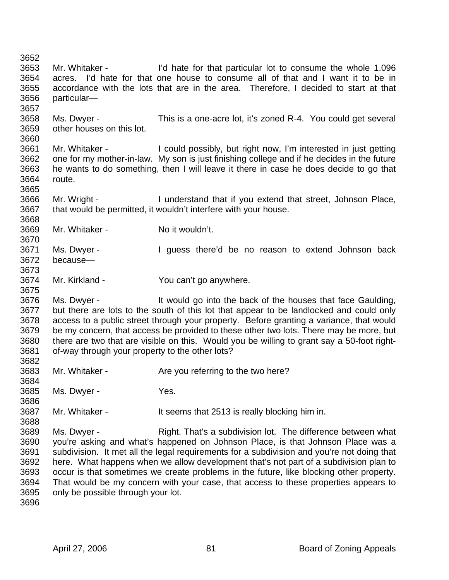3652 3653 Mr. Whitaker - I'd hate for that particular lot to consume the whole 1.096 3654 acres. I'd hate for that one house to consume all of that and I want it to be in 3655 accordance with the lots that are in the area. Therefore, I decided to start at that 3656 particular— 3657 3658 Ms. Dwyer - This is a one-acre lot, it's zoned R-4. You could get several 3659 other houses on this lot. 3660 3661 Mr. Whitaker - I could possibly, but right now, I'm interested in just getting 3662 one for my mother-in-law. My son is just finishing college and if he decides in the future 3663 he wants to do something, then I will leave it there in case he does decide to go that 3664 route. 3665<br>3666 Mr. Wright - I understand that if you extend that street, Johnson Place, 3667 that would be permitted, it wouldn't interfere with your house. 3668 3669 Mr. Whitaker - No it wouldn't. 3670 3671 Ms. Dwyer - I guess there'd be no reason to extend Johnson back 3672 because— 3673 3674 Mr. Kirkland - You can't go anywhere. 3675 3676 Ms. Dwyer - It would go into the back of the houses that face Gaulding, 3677 but there are lots to the south of this lot that appear to be landlocked and could only 3678 access to a public street through your property. Before granting a variance, that would 3679 be my concern, that access be provided to these other two lots. There may be more, but 3680 there are two that are visible on this. Would you be willing to grant say a 50-foot right-3681 of-way through your property to the other lots? 3682 3683 Mr. Whitaker - Are you referring to the two here? 3684 3685 Ms. Dwyer - Yes. 3686 3687 Mr. Whitaker - It seems that 2513 is really blocking him in. 3688 3689 Ms. Dwyer - Right. That's a subdivision lot. The difference between what 3690 you're asking and what's happened on Johnson Place, is that Johnson Place was a 3691 subdivision. It met all the legal requirements for a subdivision and you're not doing that 3692 here. What happens when we allow development that's not part of a subdivision plan to 3693 occur is that sometimes we create problems in the future, like blocking other property. 3694 That would be my concern with your case, that access to these properties appears to 3695 only be possible through your lot. 3696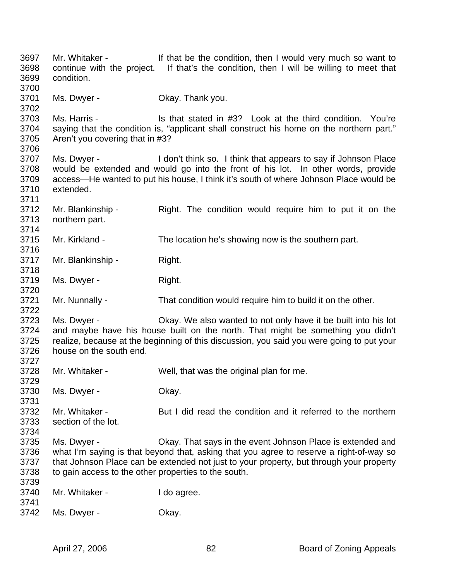3697 Mr. Whitaker - If that be the condition, then I would very much so want to 3698 continue with the project. If that's the condition, then I will be willing to meet that 3699 condition. 3700 3701 Ms. Dwyer - Okay. Thank you. 3702<br>3703 Ms. Harris - Is that stated in #3? Look at the third condition. You're 3704 saying that the condition is, "applicant shall construct his home on the northern part." 3705 Aren't you covering that in #3? 3706 3707 Ms. Dwyer - I don't think so. I think that appears to say if Johnson Place 3708 would be extended and would go into the front of his lot. In other words, provide 3709 access—He wanted to put his house, I think it's south of where Johnson Place would be 3710 extended. 3711 3712 Mr. Blankinship - Right. The condition would require him to put it on the 3713 northern part. 3714 3715 Mr. Kirkland - The location he's showing now is the southern part. 3716 3717 Mr. Blankinship - Right. 3718 3719 Ms. Dwyer - Right. 3720 3721 Mr. Nunnally - That condition would require him to build it on the other. 3722 3723 Ms. Dwyer - Okay. We also wanted to not only have it be built into his lot 3724 and maybe have his house built on the north. That might be something you didn't 3725 realize, because at the beginning of this discussion, you said you were going to put your 3726 house on the south end. 3727 3728 Mr. Whitaker - Well, that was the original plan for me. 3729 3730 Ms. Dwyer - Okay. 3731 3732 Mr. Whitaker - But I did read the condition and it referred to the northern 3733 section of the lot. 3734 3735 Ms. Dwyer - Okay. That says in the event Johnson Place is extended and 3736 what I'm saying is that beyond that, asking that you agree to reserve a right-of-way so 3737 that Johnson Place can be extended not just to your property, but through your property 3738 to gain access to the other properties to the south. 3739 3740 Mr. Whitaker - I do agree. 3741 3742 Ms. Dwyer - Okay.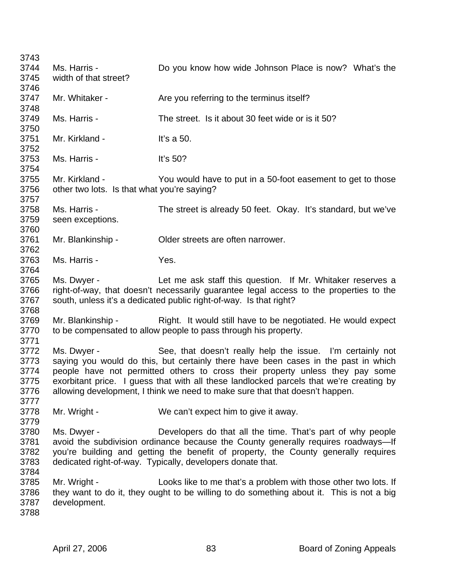3743 3744 Ms. Harris - Do you know how wide Johnson Place is now? What's the 3745 width of that street? 3746 3747 Mr. Whitaker - Are you referring to the terminus itself? 3748 3749 Ms. Harris - The street. Is it about 30 feet wide or is it 50? 3750 3751 Mr. Kirkland - It's a 50. 3752<br>3753 3753 Ms. Harris - It's 50? 3754 3755 Mr. Kirkland - You would have to put in a 50-foot easement to get to those 3756 other two lots. Is that what you're saying? 3757 3758 Ms. Harris - The street is already 50 feet. Okay. It's standard, but we've 3759 seen exceptions. 3760 3761 Mr. Blankinship - Older streets are often narrower. 3762 3763 Ms. Harris - Yes. 3764 3765 Ms. Dwyer - Let me ask staff this question. If Mr. Whitaker reserves a 3766 right-of-way, that doesn't necessarily guarantee legal access to the properties to the 3767 south, unless it's a dedicated public right-of-way. Is that right? 3768 3769 Mr. Blankinship - Right. It would still have to be negotiated. He would expect 3770 to be compensated to allow people to pass through his property. 3771 3772 Ms. Dwyer - See, that doesn't really help the issue. I'm certainly not 3773 saying you would do this, but certainly there have been cases in the past in which 3774 people have not permitted others to cross their property unless they pay some 3775 exorbitant price. I guess that with all these landlocked parcels that we're creating by 3776 allowing development, I think we need to make sure that that doesn't happen. 3777 3778 Mr. Wright - We can't expect him to give it away. 3779 3780 Ms. Dwyer - Developers do that all the time. That's part of why people 3781 avoid the subdivision ordinance because the County generally requires roadways—If 3782 you're building and getting the benefit of property, the County generally requires 3783 dedicated right-of-way. Typically, developers donate that. 3784 3785 Mr. Wright - Looks like to me that's a problem with those other two lots. If 3786 they want to do it, they ought to be willing to do something about it. This is not a big 3787 development. 3788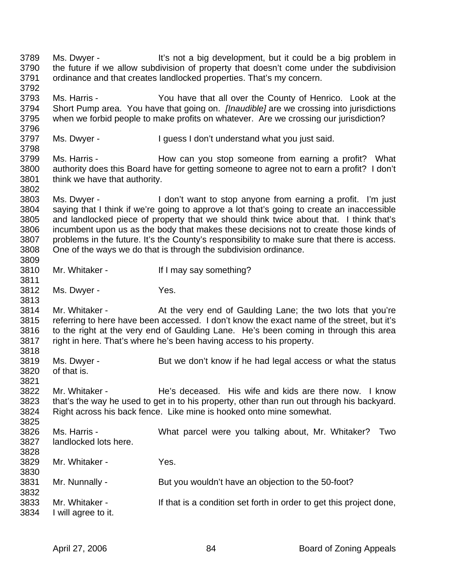3789 Ms. Dwyer - It's not a big development, but it could be a big problem in 3790 the future if we allow subdivision of property that doesn't come under the subdivision 3791 ordinance and that creates landlocked properties. That's my concern. 3792 3793 Ms. Harris - You have that all over the County of Henrico. Look at the 3794 Short Pump area. You have that going on. *[Inaudible]* are we crossing into jurisdictions 3795 when we forbid people to make profits on whatever. Are we crossing our jurisdiction? 3796 3797 Ms. Dwyer - I guess I don't understand what you just said. 3798 3799 Ms. Harris - How can you stop someone from earning a profit? What 3800 authority does this Board have for getting someone to agree not to earn a profit? I don't 3801 think we have that authority. 3802 3803 Ms. Dwyer - I don't want to stop anyone from earning a profit. I'm just 3804 saying that I think if we're going to approve a lot that's going to create an inaccessible 3805 and landlocked piece of property that we should think twice about that. I think that's 3806 incumbent upon us as the body that makes these decisions not to create those kinds of 3807 problems in the future. It's the County's responsibility to make sure that there is access. 3808 One of the ways we do that is through the subdivision ordinance. 3809 3810 Mr. Whitaker - If I may say something? 3811 3812 Ms. Dwyer - Yes. 3813 3814 Mr. Whitaker - At the very end of Gaulding Lane; the two lots that you're 3815 referring to here have been accessed. I don't know the exact name of the street, but it's 3816 to the right at the very end of Gaulding Lane. He's been coming in through this area 3817 right in here. That's where he's been having access to his property. 3818 3819 Ms. Dwyer - But we don't know if he had legal access or what the status 3820 of that is. 3821 3822 Mr. Whitaker - He's deceased. His wife and kids are there now. I know 3823 that's the way he used to get in to his property, other than run out through his backyard. 3824 Right across his back fence. Like mine is hooked onto mine somewhat. 3825 3826 Ms. Harris - What parcel were you talking about, Mr. Whitaker? Two 3827 landlocked lots here. 3828 3829 Mr. Whitaker - Yes. 3830 3831 Mr. Nunnally - But you wouldn't have an objection to the 50-foot? 3832 3833 Mr. Whitaker - If that is a condition set forth in order to get this project done, 3834 I will agree to it.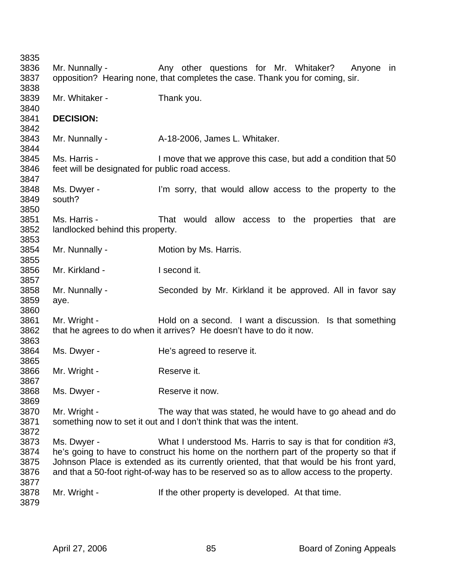3835 3836 Mr. Nunnally - Any other questions for Mr. Whitaker? Anyone in 3837 opposition? Hearing none, that completes the case. Thank you for coming, sir. 3838 3839 Mr. Whitaker - Thank you. 3840 3841 **DECISION:**  3842 3843 Mr. Nunnally - <br>A-18-2006, James L. Whitaker. 3844 3845 Ms. Harris - I move that we approve this case, but add a condition that 50 3846 feet will be designated for public road access. 3847 3848 Ms. Dwyer - I'm sorry, that would allow access to the property to the 3849 south? 3850 3851 Ms. Harris - That would allow access to the properties that are 3852 landlocked behind this property. 3853 3854 Mr. Nunnally - Motion by Ms. Harris. 3855 3856 Mr. Kirkland - I second it. 3857 3858 Mr. Nunnally - Seconded by Mr. Kirkland it be approved. All in favor say 3859 aye. 3860 3861 Mr. Wright - Hold on a second. I want a discussion. Is that something 3862 that he agrees to do when it arrives? He doesn't have to do it now. 3863 3864 Ms. Dwyer - He's agreed to reserve it. 3865 3866 Mr. Wright - Reserve it. 3867 3868 Ms. Dwyer - Reserve it now. 3869 3870 Mr. Wright - The way that was stated, he would have to go ahead and do 3871 something now to set it out and I don't think that was the intent. 3872 3873 Ms. Dwyer - What I understood Ms. Harris to say is that for condition #3, 3874 he's going to have to construct his home on the northern part of the property so that if 3875 Johnson Place is extended as its currently oriented, that that would be his front yard, 3876 and that a 50-foot right-of-way has to be reserved so as to allow access to the property. 3877 3878 Mr. Wright - If the other property is developed. At that time. 3879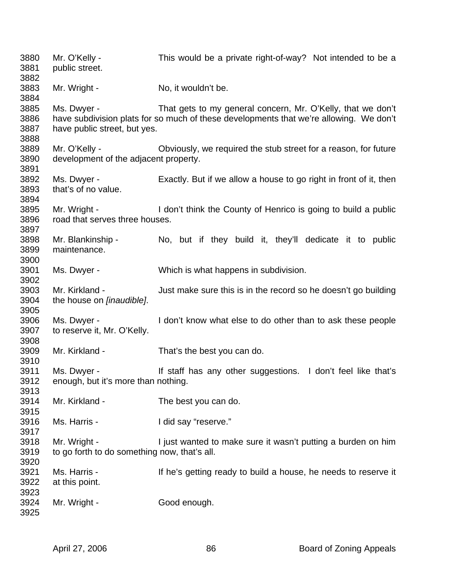| 3880<br>3881                 | Mr. O'Kelly -<br>public street.                              | This would be a private right-of-way? Not intended to be a                                                                                            |  |  |
|------------------------------|--------------------------------------------------------------|-------------------------------------------------------------------------------------------------------------------------------------------------------|--|--|
| 3882<br>3883<br>3884         | Mr. Wright -                                                 | No, it wouldn't be.                                                                                                                                   |  |  |
| 3885<br>3886<br>3887<br>3888 | Ms. Dwyer -<br>have public street, but yes.                  | That gets to my general concern, Mr. O'Kelly, that we don't<br>have subdivision plats for so much of these developments that we're allowing. We don't |  |  |
| 3889<br>3890<br>3891         | Mr. O'Kelly -<br>development of the adjacent property.       | Obviously, we required the stub street for a reason, for future                                                                                       |  |  |
| 3892<br>3893<br>3894         | Ms. Dwyer -<br>that's of no value.                           | Exactly. But if we allow a house to go right in front of it, then                                                                                     |  |  |
| 3895<br>3896<br>3897         | Mr. Wright -<br>road that serves three houses.               | I don't think the County of Henrico is going to build a public                                                                                        |  |  |
| 3898<br>3899<br>3900         | Mr. Blankinship -<br>maintenance.                            | No, but if they build it, they'll dedicate it to public                                                                                               |  |  |
| 3901<br>3902                 | Ms. Dwyer -                                                  | Which is what happens in subdivision.                                                                                                                 |  |  |
| 3903<br>3904<br>3905         | Mr. Kirkland -<br>the house on [inaudible].                  | Just make sure this is in the record so he doesn't go building                                                                                        |  |  |
| 3906<br>3907<br>3908         | Ms. Dwyer -<br>to reserve it, Mr. O'Kelly.                   | I don't know what else to do other than to ask these people                                                                                           |  |  |
| 3909<br>3910                 | Mr. Kirkland -                                               | That's the best you can do.                                                                                                                           |  |  |
| 3911<br>3912<br>3913         | Ms. Dwyer -<br>enough, but it's more than nothing.           | If staff has any other suggestions. I don't feel like that's                                                                                          |  |  |
| 3914<br>3915                 | Mr. Kirkland -                                               | The best you can do.                                                                                                                                  |  |  |
| 3916<br>3917                 | Ms. Harris -                                                 | I did say "reserve."                                                                                                                                  |  |  |
| 3918<br>3919<br>3920         | Mr. Wright -<br>to go forth to do something now, that's all. | I just wanted to make sure it wasn't putting a burden on him                                                                                          |  |  |
| 3921<br>3922<br>3923         | Ms. Harris -<br>at this point.                               | If he's getting ready to build a house, he needs to reserve it                                                                                        |  |  |
| 3924<br>3925                 | Mr. Wright -                                                 | Good enough.                                                                                                                                          |  |  |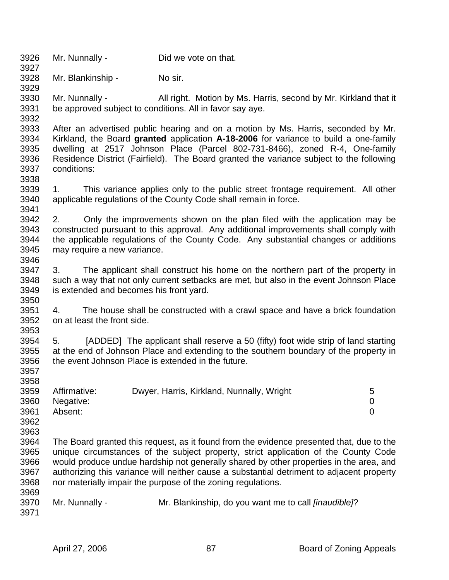3926 Mr. Nunnally - Did we vote on that. 3927 3928 Mr. Blankinship - No sir. 3929 3930 Mr. Nunnally - All right. Motion by Ms. Harris, second by Mr. Kirkland that it 3931 be approved subject to conditions. All in favor say aye. 3932 3933 After an advertised public hearing and on a motion by Ms. Harris, seconded by Mr. 3934 Kirkland, the Board **granted** application **A-18-2006** for variance to build a one-family 3935 dwelling at 2517 Johnson Place (Parcel 802-731-8466), zoned R-4, One-family 3936 Residence District (Fairfield). The Board granted the variance subject to the following 3937 conditions: 3938 3939 1. This variance applies only to the public street frontage requirement. All other 3940 applicable regulations of the County Code shall remain in force. 3941 3942 2. Only the improvements shown on the plan filed with the application may be 3943 constructed pursuant to this approval. Any additional improvements shall comply with 3944 the applicable regulations of the County Code. Any substantial changes or additions 3945 may require a new variance. 3946 3947 3. The applicant shall construct his home on the northern part of the property in 3948 such a way that not only current setbacks are met, but also in the event Johnson Place 3949 is extended and becomes his front yard. 3950 3951 4. The house shall be constructed with a crawl space and have a brick foundation 3952 on at least the front side. 3953 3954 5. [ADDED] The applicant shall reserve a 50 (fifty) foot wide strip of land starting 3955 at the end of Johnson Place and extending to the southern boundary of the property in 3956 the event Johnson Place is extended in the future. 3957 3958 3959 Affirmative: Dwyer, Harris, Kirkland, Nunnally, Wright 5 3960 Negative: 0 3961 Absent: 0 3962 3963 3964 The Board granted this request, as it found from the evidence presented that, due to the 3965 unique circumstances of the subject property, strict application of the County Code 3966 would produce undue hardship not generally shared by other properties in the area, and 3967 authorizing this variance will neither cause a substantial detriment to adjacent property 3968 nor materially impair the purpose of the zoning regulations. 3969 3970 Mr. Nunnally - Mr. Blankinship, do you want me to call *[inaudible]*? 3971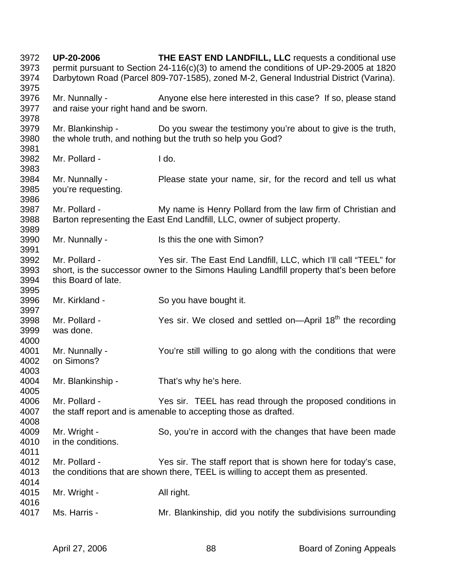3972 **UP-20-2006 THE EAST END LANDFILL, LLC** requests a conditional use 3973 permit pursuant to Section 24-116(c)(3) to amend the conditions of UP-29-2005 at 1820 3974 Darbytown Road (Parcel 809-707-1585), zoned M-2, General Industrial District (Varina). 3975 3976 Mr. Nunnally - Anyone else here interested in this case? If so, please stand 3977 and raise your right hand and be sworn. 3978 3979 Mr. Blankinship - Do you swear the testimony you're about to give is the truth, 3980 the whole truth, and nothing but the truth so help you God? 3981 3982 Mr. Pollard - I do. 3983 3984 Mr. Nunnally - Please state your name, sir, for the record and tell us what 3985 you're requesting. 3986 3987 Mr. Pollard - My name is Henry Pollard from the law firm of Christian and 3988 Barton representing the East End Landfill, LLC, owner of subject property. 3989 3990 Mr. Nunnally - Is this the one with Simon? 3991 3992 Mr. Pollard - Yes sir. The East End Landfill, LLC, which I'll call "TEEL" for 3993 short, is the successor owner to the Simons Hauling Landfill property that's been before 3994 this Board of late. 3995 3996 Mr. Kirkland - So you have bought it. 3997  $3998$  Mr. Pollard - Yes sir. We closed and settled on—April  $18<sup>th</sup>$  the recording 3999 was done. 4000 4001 Mr. Nunnally - You're still willing to go along with the conditions that were 4002 on Simons? 4003 4004 Mr. Blankinship - That's why he's here. 4005 4006 Mr. Pollard - Yes sir. TEEL has read through the proposed conditions in 4007 the staff report and is amenable to accepting those as drafted. 4008 4009 Mr. Wright - So, you're in accord with the changes that have been made 4010 in the conditions. 4011 4012 Mr. Pollard - Yes sir. The staff report that is shown here for today's case, 4013 the conditions that are shown there, TEEL is willing to accept them as presented. 4014 4015 Mr. Wright - All right. 4016 4017 Ms. Harris - Mr. Blankinship, did you notify the subdivisions surrounding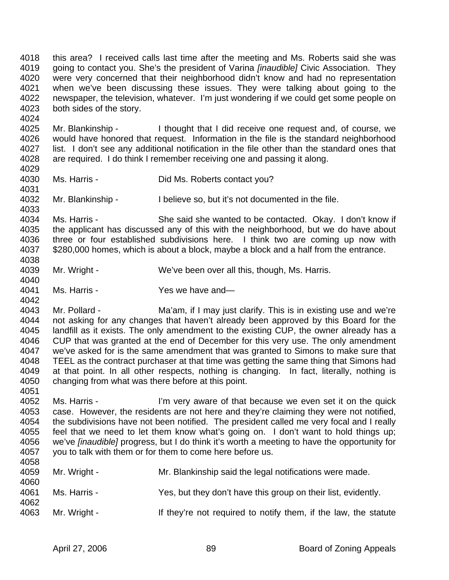4018 this area? I received calls last time after the meeting and Ms. Roberts said she was 4019 going to contact you. She's the president of Varina *[inaudible]* Civic Association. They 4020 were very concerned that their neighborhood didn't know and had no representation 4021 when we've been discussing these issues. They were talking about going to the 4022 newspaper, the television, whatever. I'm just wondering if we could get some people on 4023 both sides of the story.

4025 Mr. Blankinship - I thought that I did receive one request and, of course, we 4026 would have honored that request. Information in the file is the standard neighborhood 4027 list. I don't see any additional notification in the file other than the standard ones that 4028 are required. I do think I remember receiving one and passing it along.

4029

4033

4040

4024

4030 Ms. Harris - Did Ms. Roberts contact you?

4031<br>4032 Mr. Blankinship - I believe so, but it's not documented in the file.

4034 Ms. Harris - She said she wanted to be contacted. Okay. I don't know if 4035 the applicant has discussed any of this with the neighborhood, but we do have about 4036 three or four established subdivisions here. I think two are coming up now with 4037 \$280,000 homes, which is about a block, maybe a block and a half from the entrance. 4038

- 4039 Mr. Wright We've been over all this, though, Ms. Harris.
- 4041 Ms. Harris Yes we have and— 4042

4043 Mr. Pollard - Ma'am, if I may just clarify. This is in existing use and we're 4044 not asking for any changes that haven't already been approved by this Board for the 4045 landfill as it exists. The only amendment to the existing CUP, the owner already has a 4046 CUP that was granted at the end of December for this very use. The only amendment 4047 we've asked for is the same amendment that was granted to Simons to make sure that 4048 TEEL as the contract purchaser at that time was getting the same thing that Simons had 4049 at that point. In all other respects, nothing is changing. In fact, literally, nothing is 4050 changing from what was there before at this point. 4051

4052 Ms. Harris - I'm very aware of that because we even set it on the quick 4053 case. However, the residents are not here and they're claiming they were not notified, 4054 the subdivisions have not been notified. The president called me very focal and I really 4055 feel that we need to let them know what's going on. I don't want to hold things up; 4056 we've *[inaudible]* progress, but I do think it's worth a meeting to have the opportunity for 4057 you to talk with them or for them to come here before us. 4058

| 4059<br>4060 | Mr. Wright - | Mr. Blankinship said the legal notifications were made.         |
|--------------|--------------|-----------------------------------------------------------------|
| 4061<br>4062 | Ms. Harris - | Yes, but they don't have this group on their list, evidently.   |
| 4063         | Mr. Wright - | If they're not required to notify them, if the law, the statute |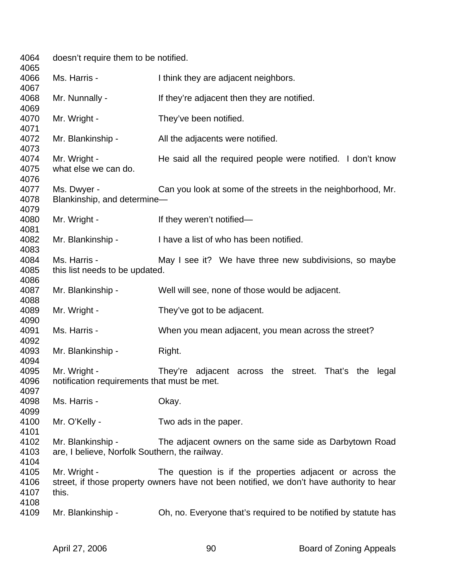| 4064<br>4065                 | doesn't require them to be notified.                                |                                                                                                                                                      |  |
|------------------------------|---------------------------------------------------------------------|------------------------------------------------------------------------------------------------------------------------------------------------------|--|
| 4066<br>4067                 | Ms. Harris -                                                        | I think they are adjacent neighbors.                                                                                                                 |  |
| 4068<br>4069                 | Mr. Nunnally -                                                      | If they're adjacent then they are notified.                                                                                                          |  |
| 4070<br>4071                 | Mr. Wright -                                                        | They've been notified.                                                                                                                               |  |
| 4072<br>4073                 | Mr. Blankinship -                                                   | All the adjacents were notified.                                                                                                                     |  |
| 4074<br>4075<br>4076         | Mr. Wright -<br>what else we can do.                                | He said all the required people were notified. I don't know                                                                                          |  |
| 4077<br>4078<br>4079         | Ms. Dwyer -<br>Blankinship, and determine-                          | Can you look at some of the streets in the neighborhood, Mr.                                                                                         |  |
| 4080<br>4081                 | Mr. Wright -                                                        | If they weren't notified-                                                                                                                            |  |
| 4082<br>4083                 | Mr. Blankinship -                                                   | I have a list of who has been notified.                                                                                                              |  |
| 4084<br>4085<br>4086         | Ms. Harris -<br>this list needs to be updated.                      | May I see it? We have three new subdivisions, so maybe                                                                                               |  |
| 4087<br>4088                 | Mr. Blankinship -                                                   | Well will see, none of those would be adjacent.                                                                                                      |  |
| 4089<br>4090                 | Mr. Wright -                                                        | They've got to be adjacent.                                                                                                                          |  |
| 4091<br>4092                 | Ms. Harris -                                                        | When you mean adjacent, you mean across the street?                                                                                                  |  |
| 4093<br>4094                 | Mr. Blankinship -                                                   | Right.                                                                                                                                               |  |
| 4095<br>4096<br>4097         | Mr. Wright -<br>notification requirements that must be met.         | They're adjacent across the street. That's the legal                                                                                                 |  |
| 4098<br>4099                 | Ms. Harris -                                                        | Okay.                                                                                                                                                |  |
| 4100<br>4101                 | Mr. O'Kelly -                                                       | Two ads in the paper.                                                                                                                                |  |
| 4102<br>4103<br>4104         | Mr. Blankinship -<br>are, I believe, Norfolk Southern, the railway. | The adjacent owners on the same side as Darbytown Road                                                                                               |  |
| 4105<br>4106<br>4107<br>4108 | Mr. Wright -<br>this.                                               | The question is if the properties adjacent or across the<br>street, if those property owners have not been notified, we don't have authority to hear |  |
| 4109                         | Mr. Blankinship -                                                   | Oh, no. Everyone that's required to be notified by statute has                                                                                       |  |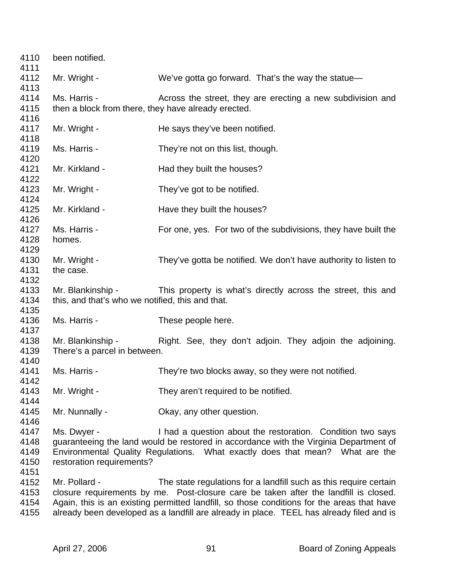| 4110 | been notified.                                      |                                                                                            |  |
|------|-----------------------------------------------------|--------------------------------------------------------------------------------------------|--|
| 4111 |                                                     |                                                                                            |  |
| 4112 | Mr. Wright -                                        | We've gotta go forward. That's the way the statue—                                         |  |
| 4113 |                                                     |                                                                                            |  |
| 4114 | Ms. Harris -                                        | Across the street, they are erecting a new subdivision and                                 |  |
| 4115 | then a block from there, they have already erected. |                                                                                            |  |
| 4116 |                                                     |                                                                                            |  |
| 4117 | Mr. Wright -                                        | He says they've been notified.                                                             |  |
| 4118 |                                                     |                                                                                            |  |
| 4119 | Ms. Harris -                                        | They're not on this list, though.                                                          |  |
| 4120 |                                                     |                                                                                            |  |
| 4121 | Mr. Kirkland -                                      | Had they built the houses?                                                                 |  |
| 4122 |                                                     |                                                                                            |  |
| 4123 | Mr. Wright -                                        | They've got to be notified.                                                                |  |
| 4124 |                                                     |                                                                                            |  |
| 4125 | Mr. Kirkland -                                      | Have they built the houses?                                                                |  |
| 4126 |                                                     |                                                                                            |  |
| 4127 | Ms. Harris -                                        | For one, yes. For two of the subdivisions, they have built the                             |  |
| 4128 | homes.                                              |                                                                                            |  |
| 4129 |                                                     |                                                                                            |  |
| 4130 | Mr. Wright -                                        | They've gotta be notified. We don't have authority to listen to                            |  |
| 4131 | the case.                                           |                                                                                            |  |
| 4132 |                                                     |                                                                                            |  |
| 4133 | Mr. Blankinship -                                   | This property is what's directly across the street, this and                               |  |
| 4134 | this, and that's who we notified, this and that.    |                                                                                            |  |
| 4135 |                                                     |                                                                                            |  |
| 4136 | Ms. Harris -                                        | These people here.                                                                         |  |
| 4137 |                                                     |                                                                                            |  |
| 4138 | Mr. Blankinship -                                   | Right. See, they don't adjoin. They adjoin the adjoining.                                  |  |
| 4139 | There's a parcel in between.                        |                                                                                            |  |
| 4140 |                                                     |                                                                                            |  |
| 4141 | Ms. Harris -                                        | They're two blocks away, so they were not notified.                                        |  |
| 4142 |                                                     |                                                                                            |  |
| 4143 | Mr. Wright -                                        | They aren't required to be notified.                                                       |  |
| 4144 |                                                     |                                                                                            |  |
| 4145 | Mr. Nunnally -                                      | Okay, any other question.                                                                  |  |
| 4146 |                                                     |                                                                                            |  |
| 4147 | Ms. Dwyer -                                         | I had a question about the restoration. Condition two says                                 |  |
| 4148 |                                                     | guaranteeing the land would be restored in accordance with the Virginia Department of      |  |
| 4149 |                                                     | Environmental Quality Regulations. What exactly does that mean? What are the               |  |
| 4150 | restoration requirements?                           |                                                                                            |  |
| 4151 |                                                     |                                                                                            |  |
| 4152 | Mr. Pollard -                                       | The state regulations for a landfill such as this require certain                          |  |
| 4153 |                                                     | closure requirements by me. Post-closure care be taken after the landfill is closed.       |  |
| 4154 |                                                     | Again, this is an existing permitted landfill, so those conditions for the areas that have |  |
| 4155 |                                                     | already been developed as a landfill are already in place. TEEL has already filed and is   |  |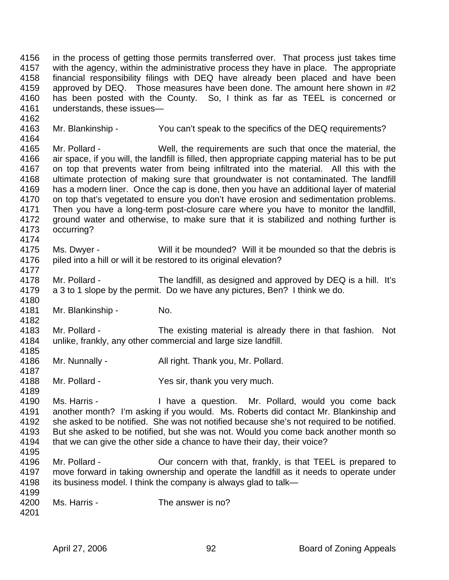4156 in the process of getting those permits transferred over. That process just takes time 4157 with the agency, within the administrative process they have in place. The appropriate 4158 financial responsibility filings with DEQ have already been placed and have been 4159 approved by DEQ. Those measures have been done. The amount here shown in #2 4160 has been posted with the County. So, I think as far as TEEL is concerned or 4161 understands, these issues—

- 4163 Mr. Blankinship You can't speak to the specifics of the DEQ requirements?
- 4164 4165 Mr. Pollard - Well, the requirements are such that once the material, the 4166 air space, if you will, the landfill is filled, then appropriate capping material has to be put 4167 on top that prevents water from being infiltrated into the material. All this with the 4168 ultimate protection of making sure that groundwater is not contaminated. The landfill 4169 has a modern liner. Once the cap is done, then you have an additional layer of material 4170 on top that's vegetated to ensure you don't have erosion and sedimentation problems. on top that's vegetated to ensure you don't have erosion and sedimentation problems. 4171 Then you have a long-term post-closure care where you have to monitor the landfill, 4172 ground water and otherwise, to make sure that it is stabilized and nothing further is 4173 occurring? 4174
- 4175 Ms. Dwyer Will it be mounded? Will it be mounded so that the debris is 4176 piled into a hill or will it be restored to its original elevation?
- 4178 Mr. Pollard The landfill, as designed and approved by DEQ is a hill. It's 4179 a 3 to 1 slope by the permit. Do we have any pictures, Ben? I think we do. 4180
- 4181 Mr. Blankinship No.
- 4183 Mr. Pollard The existing material is already there in that fashion. Not 4184 unlike, frankly, any other commercial and large size landfill. 4185
- 4186 Mr. Nunnally All right. Thank you, Mr. Pollard. 4187
- 4188 Mr. Pollard Yes sir, thank you very much.
- 4190 Ms. Harris I have a question. Mr. Pollard, would you come back 4191 another month? I'm asking if you would. Ms. Roberts did contact Mr. Blankinship and 4192 she asked to be notified. She was not notified because she's not required to be notified. 4193 But she asked to be notified, but she was not. Would you come back another month so 4194 that we can give the other side a chance to have their day, their voice? 4195
- 4196 Mr. Pollard Our concern with that, frankly, is that TEEL is prepared to 4197 move forward in taking ownership and operate the landfill as it needs to operate under 4198 its business model. I think the company is always glad to talk— 4199
- 4200 Ms. Harris The answer is no?
- 4201

4162

4177

4182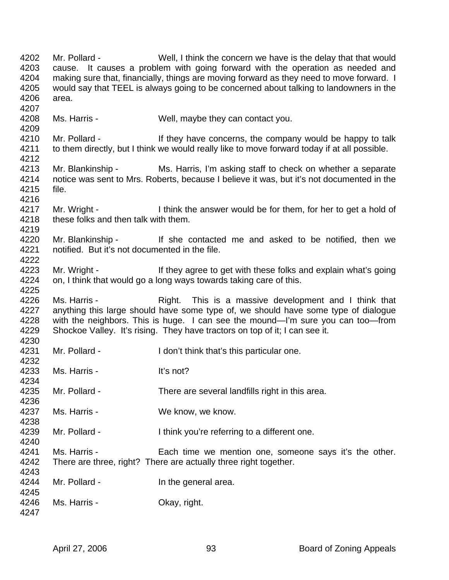4202 Mr. Pollard - Well, I think the concern we have is the delay that that would 4203 cause. It causes a problem with going forward with the operation as needed and 4204 making sure that, financially, things are moving forward as they need to move forward. I 4205 would say that TEEL is always going to be concerned about talking to landowners in the 4206 area. 4207 4208 Ms. Harris - Well, maybe they can contact you. 4209 4210 Mr. Pollard - If they have concerns, the company would be happy to talk 4211 to them directly, but I think we would really like to move forward today if at all possible. 4212 4213 Mr. Blankinship - Ms. Harris, I'm asking staff to check on whether a separate 4214 notice was sent to Mrs. Roberts, because I believe it was, but it's not documented in the 4215 file. 4216 4217 Mr. Wright - I think the answer would be for them, for her to get a hold of 4218 these folks and then talk with them. 4219 4220 Mr. Blankinship - If she contacted me and asked to be notified, then we 4221 notified. But it's not documented in the file. 4222 4223 Mr. Wright - If they agree to get with these folks and explain what's going 4224 on, I think that would go a long ways towards taking care of this. 4225 4226 Ms. Harris - Right. This is a massive development and I think that 4227 anything this large should have some type of, we should have some type of dialogue 4228 with the neighbors. This is huge. I can see the mound—I'm sure you can too—from 4229 Shockoe Valley. It's rising. They have tractors on top of it; I can see it. 4230 4231 Mr. Pollard - I don't think that's this particular one. 4232 4233 Ms. Harris - It's not? 4234 4235 Mr. Pollard - There are several landfills right in this area. 4236 4237 Ms. Harris - We know, we know. 4238 4239 Mr. Pollard - I think you're referring to a different one. 4240 4241 Ms. Harris - Each time we mention one, someone says it's the other. 4242 There are three, right? There are actually three right together. 4243 4244 Mr. Pollard - In the general area. 4245 4246 Ms. Harris - Okay, right. 4247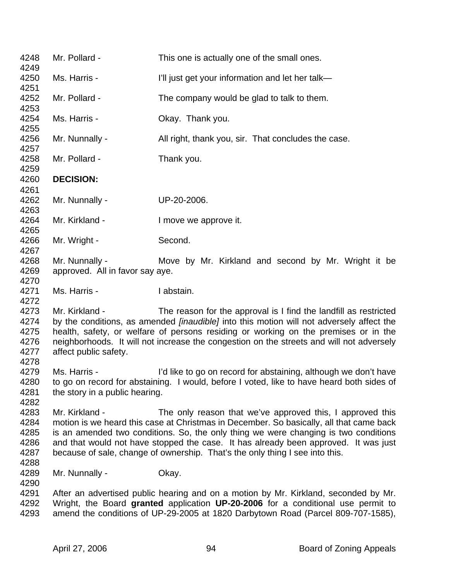| 4248<br>4249                                 | Mr. Pollard -                                     | This one is actually one of the small ones.                                                                                                                                                                                                                                                                                                                                                                        |
|----------------------------------------------|---------------------------------------------------|--------------------------------------------------------------------------------------------------------------------------------------------------------------------------------------------------------------------------------------------------------------------------------------------------------------------------------------------------------------------------------------------------------------------|
| 4250<br>4251                                 | Ms. Harris -                                      | I'll just get your information and let her talk-                                                                                                                                                                                                                                                                                                                                                                   |
| 4252<br>4253                                 | Mr. Pollard -                                     | The company would be glad to talk to them.                                                                                                                                                                                                                                                                                                                                                                         |
| 4254<br>4255                                 | Ms. Harris -                                      | Okay. Thank you.                                                                                                                                                                                                                                                                                                                                                                                                   |
| 4256<br>4257                                 | Mr. Nunnally -                                    | All right, thank you, sir. That concludes the case.                                                                                                                                                                                                                                                                                                                                                                |
| 4258<br>4259                                 | Mr. Pollard -                                     | Thank you.                                                                                                                                                                                                                                                                                                                                                                                                         |
| 4260<br>4261                                 | <b>DECISION:</b>                                  |                                                                                                                                                                                                                                                                                                                                                                                                                    |
| 4262<br>4263                                 | Mr. Nunnally -                                    | UP-20-2006.                                                                                                                                                                                                                                                                                                                                                                                                        |
| 4264<br>4265                                 | Mr. Kirkland -                                    | I move we approve it.                                                                                                                                                                                                                                                                                                                                                                                              |
| 4266<br>4267                                 | Mr. Wright -                                      | Second.                                                                                                                                                                                                                                                                                                                                                                                                            |
| 4268<br>4269                                 | Mr. Nunnally -<br>approved. All in favor say aye. | Move by Mr. Kirkland and second by Mr. Wright it be                                                                                                                                                                                                                                                                                                                                                                |
| 4270<br>4271<br>4272                         | Ms. Harris -                                      | I abstain.                                                                                                                                                                                                                                                                                                                                                                                                         |
| 4273<br>4274<br>4275<br>4276<br>4277<br>4278 | Mr. Kirkland -<br>affect public safety.           | The reason for the approval is I find the landfill as restricted<br>by the conditions, as amended <i>[inaudible]</i> into this motion will not adversely affect the<br>health, safety, or welfare of persons residing or working on the premises or in the<br>neighborhoods. It will not increase the congestion on the streets and will not adversely                                                             |
| 4279<br>4280<br>4281<br>4282                 | Ms. Harris -<br>the story in a public hearing.    | I'd like to go on record for abstaining, although we don't have<br>to go on record for abstaining. I would, before I voted, like to have heard both sides of                                                                                                                                                                                                                                                       |
| 4283<br>4284<br>4285<br>4286<br>4287<br>4288 | Mr. Kirkland -                                    | The only reason that we've approved this, I approved this<br>motion is we heard this case at Christmas in December. So basically, all that came back<br>is an amended two conditions. So, the only thing we were changing is two conditions<br>and that would not have stopped the case. It has already been approved. It was just<br>because of sale, change of ownership. That's the only thing I see into this. |
| 4289<br>4290                                 | Mr. Nunnally -                                    | Okay.                                                                                                                                                                                                                                                                                                                                                                                                              |
| 4291<br>4292<br>4293                         |                                                   | After an advertised public hearing and on a motion by Mr. Kirkland, seconded by Mr.<br>Wright, the Board granted application UP-20-2006 for a conditional use permit to<br>amend the conditions of UP-29-2005 at 1820 Darbytown Road (Parcel 809-707-1585),                                                                                                                                                        |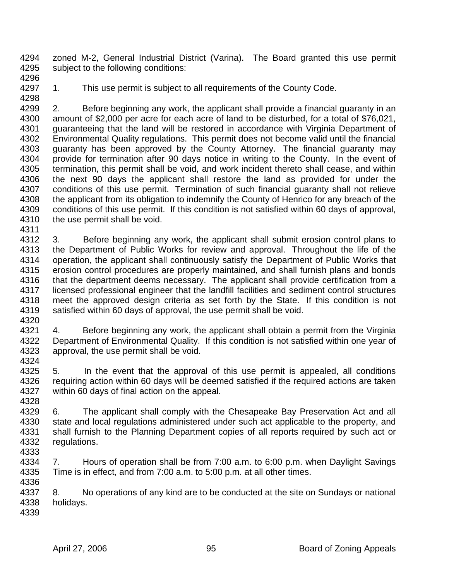4294 zoned M-2, General Industrial District (Varina). The Board granted this use permit 4295 subject to the following conditions:

4296

4298

4297 1. This use permit is subject to all requirements of the County Code.

- 4299 2. Before beginning any work, the applicant shall provide a financial guaranty in an 4300 amount of \$2,000 per acre for each acre of land to be disturbed, for a total of \$76,021, 4301 guaranteeing that the land will be restored in accordance with Virginia Department of 4302 Environmental Quality regulations. This permit does not become valid until the financial 4303 guaranty has been approved by the County Attorney. The financial guaranty may 4304 provide for termination after 90 days notice in writing to the County. In the event of 4305 termination, this permit shall be void, and work incident thereto shall cease, and within 4306 the next 90 days the applicant shall restore the land as provided for under the 4307 conditions of this use permit. Termination of such financial guaranty shall not relieve<br>4308 the applicant from its obligation to indemnify the County of Henrico for any breach of the the applicant from its obligation to indemnify the County of Henrico for any breach of the 4309 conditions of this use permit. If this condition is not satisfied within 60 days of approval, 4310 the use permit shall be void.
- 4311 4312 3. Before beginning any work, the applicant shall submit erosion control plans to 4313 the Department of Public Works for review and approval. Throughout the life of the 4314 operation, the applicant shall continuously satisfy the Department of Public Works that 4315 erosion control procedures are properly maintained, and shall furnish plans and bonds 4316 that the department deems necessary. The applicant shall provide certification from a 4317 licensed professional engineer that the landfill facilities and sediment control structures<br>4318 meet the approved design criteria as set forth by the State. If this condition is not meet the approved design criteria as set forth by the State. If this condition is not 4319 satisfied within 60 days of approval, the use permit shall be void.
- 4320
- 4321 4. Before beginning any work, the applicant shall obtain a permit from the Virginia 4322 Department of Environmental Quality. If this condition is not satisfied within one year of 4323 approval, the use permit shall be void. 4324
- 4325 5. In the event that the approval of this use permit is appealed, all conditions 4326 requiring action within 60 days will be deemed satisfied if the required actions are taken 4327 within 60 days of final action on the appeal. 4328
- 4329 6. The applicant shall comply with the Chesapeake Bay Preservation Act and all 4330 state and local regulations administered under such act applicable to the property, and 4331 shall furnish to the Planning Department copies of all reports required by such act or 4332 regulations. 4333
- 4334 7. Hours of operation shall be from 7:00 a.m. to 6:00 p.m. when Daylight Savings 4335 Time is in effect, and from 7:00 a.m. to 5:00 p.m. at all other times. 4336
- 4337 8. No operations of any kind are to be conducted at the site on Sundays or national 4338 holidays.
- 4339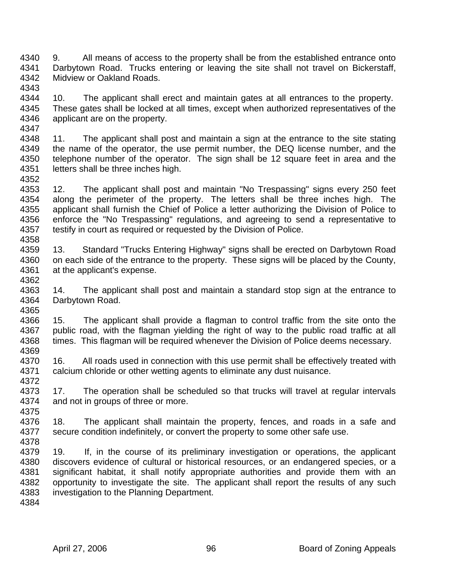4340 9. All means of access to the property shall be from the established entrance onto 4341 Darbytown Road. Trucks entering or leaving the site shall not travel on Bickerstaff, 4342 Midview or Oakland Roads. 4343

4344 10. The applicant shall erect and maintain gates at all entrances to the property. 4345 These gates shall be locked at all times, except when authorized representatives of the 4346 applicant are on the property. 4347

4348 11. The applicant shall post and maintain a sign at the entrance to the site stating 4349 the name of the operator, the use permit number, the DEQ license number, and the 4350 telephone number of the operator. The sign shall be 12 square feet in area and the 4351 letters shall be three inches high.

4353 12. The applicant shall post and maintain "No Trespassing" signs every 250 feet<br>4354 along the perimeter of the property. The letters shall be three inches high. The along the perimeter of the property. The letters shall be three inches high. The 4355 applicant shall furnish the Chief of Police a letter authorizing the Division of Police to 4356 enforce the "No Trespassing" regulations, and agreeing to send a representative to 4357 testify in court as required or requested by the Division of Police. 4358

4359 13. Standard "Trucks Entering Highway" signs shall be erected on Darbytown Road 4360 on each side of the entrance to the property. These signs will be placed by the County, 4361 at the applicant's expense.

4363 14. The applicant shall post and maintain a standard stop sign at the entrance to 4364 Darbytown Road. Darbytown Road. 4365

4366 15. The applicant shall provide a flagman to control traffic from the site onto the 4367 public road, with the flagman yielding the right of way to the public road traffic at all 4368 times. This flagman will be required whenever the Division of Police deems necessary. 4369

4370 16. All roads used in connection with this use permit shall be effectively treated with 4371 calcium chloride or other wetting agents to eliminate any dust nuisance. 4372

4373 17. The operation shall be scheduled so that trucks will travel at regular intervals 4374 and not in groups of three or more.

4376 18. The applicant shall maintain the property, fences, and roads in a safe and 4377 secure condition indefinitely, or convert the property to some other safe use. 4378

4379 19. If, in the course of its preliminary investigation or operations, the applicant 4380 discovers evidence of cultural or historical resources, or an endangered species, or a 4381 significant habitat, it shall notify appropriate authorities and provide them with an 4382 opportunity to investigate the site. The applicant shall report the results of any such 4383 investigation to the Planning Department.

4384

4375

4352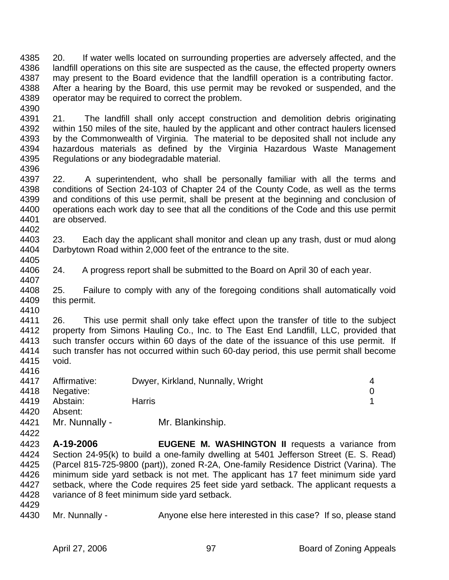4385 20. If water wells located on surrounding properties are adversely affected, and the 4386 landfill operations on this site are suspected as the cause, the effected property owners 4387 may present to the Board evidence that the landfill operation is a contributing factor. 4388 After a hearing by the Board, this use permit may be revoked or suspended, and the 4389 operator may be required to correct the problem.

4391 21. The landfill shall only accept construction and demolition debris originating 4392 within 150 miles of the site, hauled by the applicant and other contract haulers licensed 4393 by the Commonwealth of Virginia. The material to be deposited shall not include any 4394 hazardous materials as defined by the Virginia Hazardous Waste Management 4395 Regulations or any biodegradable material. 4396

4397 22. A superintendent, who shall be personally familiar with all the terms and 4398 conditions of Section 24-103 of Chapter 24 of the County Code, as well as the terms<br>4399 and conditions of this use permit, shall be present at the beginning and conclusion of and conditions of this use permit, shall be present at the beginning and conclusion of 4400 operations each work day to see that all the conditions of the Code and this use permit 4401 are observed. 4402

4403 23. Each day the applicant shall monitor and clean up any trash, dust or mud along 4404 Darbytown Road within 2,000 feet of the entrance to the site.

4405

4407

4390

4406 24. A progress report shall be submitted to the Board on April 30 of each year.

4408 25. Failure to comply with any of the foregoing conditions shall automatically void 4409 this permit. 4410

4411 26. This use permit shall only take effect upon the transfer of title to the subject 4412 property from Simons Hauling Co., Inc. to The East End Landfill, LLC, provided that 4413 such transfer occurs within 60 days of the date of the issuance of this use permit. If 4414 such transfer has not occurred within such 60-day period, this use permit shall become 4415 void. 4416

| 4417 | Affirmative:   | Dwyer, Kirkland, Nunnally, Wright |  |
|------|----------------|-----------------------------------|--|
| 4418 | Negative:      |                                   |  |
| 4419 | Abstain:       | <b>Harris</b>                     |  |
| 4420 | Absent:        |                                   |  |
| 4421 | Mr. Nunnally - | Mr. Blankinship.                  |  |

- 4423 **A-19-2006 EUGENE M. WASHINGTON II** requests a variance from 4424 Section 24-95(k) to build a one-family dwelling at 5401 Jefferson Street (E. S. Read) 4425 (Parcel 815-725-9800 (part)), zoned R-2A, One-family Residence District (Varina). The 4426 minimum side yard setback is not met. The applicant has 17 feet minimum side yard 4427 setback, where the Code requires 25 feet side yard setback. The applicant requests a 4428 variance of 8 feet minimum side yard setback.
- 4429

4422

4430 Mr. Nunnally - Anyone else here interested in this case? If so, please stand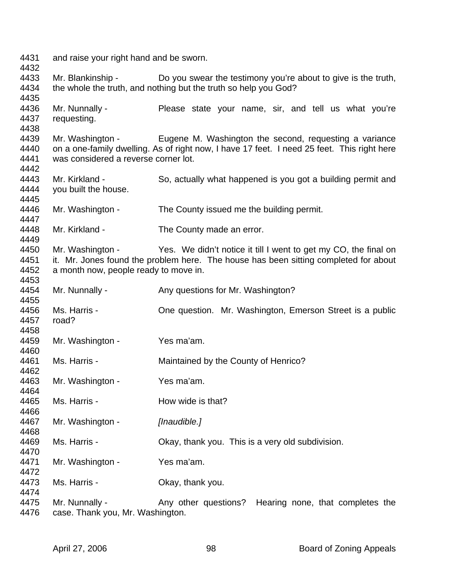4431 and raise your right hand and be sworn. 4432 4433 Mr. Blankinship - Do you swear the testimony you're about to give is the truth, 4434 the whole the truth, and nothing but the truth so help you God? 4435 4436 Mr. Nunnally - Please state your name, sir, and tell us what you're 4437 requesting. 4438 4439 Mr. Washington - Eugene M. Washington the second, requesting a variance 4440 on a one-family dwelling. As of right now, I have 17 feet. I need 25 feet. This right here 4441 was considered a reverse corner lot. 4442 4443 Mr. Kirkland - So, actually what happened is you got a building permit and 4444 you built the house. 4445 4446 Mr. Washington - The County issued me the building permit. 4447 4448 Mr. Kirkland - The County made an error. 4449 4450 Mr. Washington - Yes. We didn't notice it till I went to get my CO, the final on 4451 it. Mr. Jones found the problem here. The house has been sitting completed for about 4452 a month now, people ready to move in. 4453 4454 Mr. Nunnally - Any questions for Mr. Washington? 4455 4456 Ms. Harris - One question. Mr. Washington, Emerson Street is a public 4457 road? 4458 4459 Mr. Washington - Yes ma'am. 4460 4461 Ms. Harris - Maintained by the County of Henrico? 4462 4463 Mr. Washington - Yes ma'am. 4464 4465 Ms. Harris - How wide is that? 4466 4467 Mr. Washington - *[Inaudible.]* 4468 4469 Ms. Harris - Okay, thank you. This is a very old subdivision. 4470 4471 Mr. Washington - Yes ma'am. 4472 4473 Ms. Harris - Okay, thank you. 4474 4475 Mr. Nunnally - Any other questions? Hearing none, that completes the 4476 case. Thank you, Mr. Washington.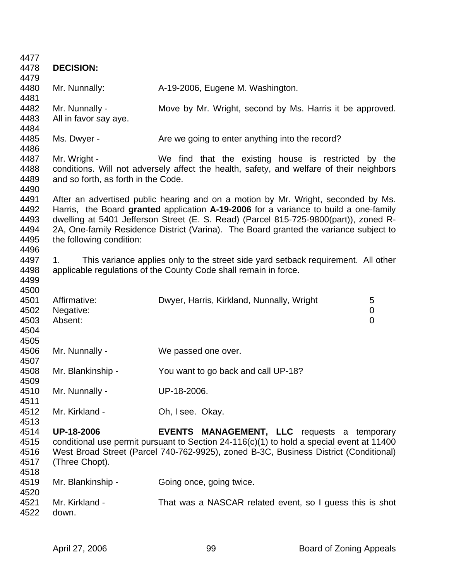| 4477         |                                     |                                                                                          |  |
|--------------|-------------------------------------|------------------------------------------------------------------------------------------|--|
| 4478         | <b>DECISION:</b>                    |                                                                                          |  |
| 4479         |                                     |                                                                                          |  |
| 4480         | Mr. Nunnally:                       | A-19-2006, Eugene M. Washington.                                                         |  |
| 4481         |                                     |                                                                                          |  |
| 4482         | Mr. Nunnally -                      | Move by Mr. Wright, second by Ms. Harris it be approved.                                 |  |
| 4483         | All in favor say aye.               |                                                                                          |  |
| 4484         |                                     |                                                                                          |  |
| 4485         | Ms. Dwyer -                         | Are we going to enter anything into the record?                                          |  |
| 4486         |                                     |                                                                                          |  |
| 4487         | Mr. Wright -                        | We find that the existing house is restricted by the                                     |  |
| 4488         |                                     | conditions. Will not adversely affect the health, safety, and welfare of their neighbors |  |
| 4489         | and so forth, as forth in the Code. |                                                                                          |  |
| 4490         |                                     |                                                                                          |  |
| 4491         |                                     | After an advertised public hearing and on a motion by Mr. Wright, seconded by Ms.        |  |
| 4492         |                                     | Harris, the Board granted application A-19-2006 for a variance to build a one-family     |  |
| 4493         |                                     | dwelling at 5401 Jefferson Street (E. S. Read) (Parcel 815-725-9800(part)), zoned R-     |  |
| 4494         |                                     | 2A, One-family Residence District (Varina). The Board granted the variance subject to    |  |
| 4495         | the following condition:            |                                                                                          |  |
| 4496         |                                     |                                                                                          |  |
| 4497         | 1 <sub>1</sub>                      | This variance applies only to the street side yard setback requirement. All other        |  |
| 4498         |                                     | applicable regulations of the County Code shall remain in force.                         |  |
| 4499         |                                     |                                                                                          |  |
| 4500         |                                     |                                                                                          |  |
| 4501         | Affirmative:                        | Dwyer, Harris, Kirkland, Nunnally, Wright<br>5                                           |  |
| 4502         | Negative:                           | 0                                                                                        |  |
| 4503         | Absent:                             | $\overline{0}$                                                                           |  |
| 4504         |                                     |                                                                                          |  |
| 4505<br>4506 |                                     |                                                                                          |  |
| 4507         | Mr. Nunnally -                      | We passed one over.                                                                      |  |
| 4508         | Mr. Blankinship -                   | You want to go back and call UP-18?                                                      |  |
| 4509         |                                     |                                                                                          |  |
| 4510         | Mr. Nunnally -                      | UP-18-2006.                                                                              |  |
| 4511         |                                     |                                                                                          |  |
| 4512         | Mr. Kirkland -                      | Oh, I see. Okay.                                                                         |  |
| 4513         |                                     |                                                                                          |  |
| 4514         | <b>UP-18-2006</b>                   | <b>EVENTS MANAGEMENT, LLC</b> requests a temporary                                       |  |
| 4515         |                                     | conditional use permit pursuant to Section 24-116(c)(1) to hold a special event at 11400 |  |
| 4516         |                                     | West Broad Street (Parcel 740-762-9925), zoned B-3C, Business District (Conditional)     |  |
| 4517         | (Three Chopt).                      |                                                                                          |  |
| 4518         |                                     |                                                                                          |  |
| 4519         | Mr. Blankinship -                   | Going once, going twice.                                                                 |  |
| 4520         |                                     |                                                                                          |  |
| 4521         | Mr. Kirkland -                      | That was a NASCAR related event, so I guess this is shot                                 |  |
| 4522         | down.                               |                                                                                          |  |
|              |                                     |                                                                                          |  |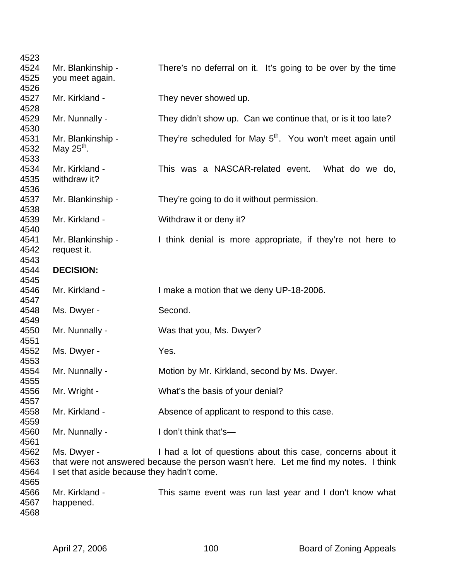| 4523 |                                            |                                                                                      |
|------|--------------------------------------------|--------------------------------------------------------------------------------------|
| 4524 | Mr. Blankinship -                          | There's no deferral on it. It's going to be over by the time                         |
| 4525 | you meet again.                            |                                                                                      |
| 4526 |                                            |                                                                                      |
| 4527 | Mr. Kirkland -                             | They never showed up.                                                                |
| 4528 |                                            |                                                                                      |
| 4529 | Mr. Nunnally -                             | They didn't show up. Can we continue that, or is it too late?                        |
| 4530 |                                            |                                                                                      |
| 4531 | Mr. Blankinship -                          | They're scheduled for May 5 <sup>th</sup> . You won't meet again until               |
| 4532 | May $25^{\text{th}}$ .                     |                                                                                      |
| 4533 |                                            |                                                                                      |
| 4534 | Mr. Kirkland -                             | This was a NASCAR-related event.<br>What do we do,                                   |
| 4535 | withdraw it?                               |                                                                                      |
| 4536 |                                            |                                                                                      |
| 4537 | Mr. Blankinship -                          | They're going to do it without permission.                                           |
| 4538 |                                            |                                                                                      |
| 4539 | Mr. Kirkland -                             | Withdraw it or deny it?                                                              |
| 4540 |                                            |                                                                                      |
| 4541 | Mr. Blankinship -                          | I think denial is more appropriate, if they're not here to                           |
| 4542 | request it.                                |                                                                                      |
| 4543 |                                            |                                                                                      |
| 4544 | <b>DECISION:</b>                           |                                                                                      |
| 4545 |                                            |                                                                                      |
| 4546 | Mr. Kirkland -                             | I make a motion that we deny UP-18-2006.                                             |
| 4547 |                                            |                                                                                      |
| 4548 | Ms. Dwyer -                                | Second.                                                                              |
| 4549 |                                            |                                                                                      |
| 4550 | Mr. Nunnally -                             | Was that you, Ms. Dwyer?                                                             |
| 4551 |                                            |                                                                                      |
| 4552 | Ms. Dwyer -                                | Yes.                                                                                 |
| 4553 |                                            |                                                                                      |
| 4554 | Mr. Nunnally -                             | Motion by Mr. Kirkland, second by Ms. Dwyer.                                         |
| 4555 |                                            |                                                                                      |
| 4556 | Mr. Wright -                               | What's the basis of your denial?                                                     |
| 4557 |                                            |                                                                                      |
| 4558 | Mr. Kirkland -                             | Absence of applicant to respond to this case.                                        |
| 4559 |                                            |                                                                                      |
| 4560 | Mr. Nunnally -                             | I don't think that's-                                                                |
| 4561 |                                            |                                                                                      |
| 4562 | Ms. Dwyer -                                | I had a lot of questions about this case, concerns about it                          |
| 4563 |                                            | that were not answered because the person wasn't here. Let me find my notes. I think |
| 4564 | I set that aside because they hadn't come. |                                                                                      |
| 4565 |                                            |                                                                                      |
| 4566 | Mr. Kirkland -                             | This same event was run last year and I don't know what                              |
| 4567 | happened.                                  |                                                                                      |
| 4568 |                                            |                                                                                      |
|      |                                            |                                                                                      |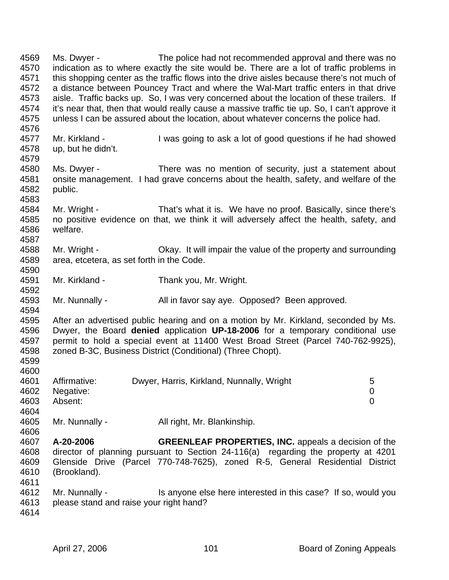4569 Ms. Dwyer - The police had not recommended approval and there was no 4570 indication as to where exactly the site would be. There are a lot of traffic problems in 4571 this shopping center as the traffic flows into the drive aisles because there's not much of 4572 a distance between Pouncey Tract and where the Wal-Mart traffic enters in that drive 4573 aisle. Traffic backs up. So, I was very concerned about the location of these trailers. If 4574 it's near that, then that would really cause a massive traffic tie up. So, I can't approve it 4575 unless I can be assured about the location, about whatever concerns the police had. 4576 4577 Mr. Kirkland - I was going to ask a lot of good questions if he had showed 4578 up, but he didn't. 4579 4580 Ms. Dwyer - There was no mention of security, just a statement about 4581 onsite management. I had grave concerns about the health, safety, and welfare of the 4582 public. 4583 4584 Mr. Wright - That's what it is. We have no proof. Basically, since there's 4585 no positive evidence on that, we think it will adversely affect the health, safety, and 4586 welfare. 4587 4588 Mr. Wright - Okay. It will impair the value of the property and surrounding 4589 area, etcetera, as set forth in the Code. 4590 4591 Mr. Kirkland - Thank you, Mr. Wright. 4592<br>4593 Mr. Nunnally - All in favor say aye. Opposed? Been approved. 4594 4595 After an advertised public hearing and on a motion by Mr. Kirkland, seconded by Ms. 4596 Dwyer, the Board **denied** application **UP-18-2006** for a temporary conditional use 4597 permit to hold a special event at 11400 West Broad Street (Parcel 740-762-9925), 4598 zoned B-3C, Business District (Conditional) (Three Chopt). 4599 4600 4601 Affirmative: Dwyer, Harris, Kirkland, Nunnally, Wright 5 4602 Negative: 0 4603 Absent: 0 4604 4605 Mr. Nunnally - All right, Mr. Blankinship. 4606 4607 **A-20-2006 GREENLEAF PROPERTIES, INC.** appeals a decision of the 4608 director of planning pursuant to Section 24-116(a) regarding the property at 4201 4609 Glenside Drive (Parcel 770-748-7625), zoned R-5, General Residential District 4610 (Brookland). 4611 4612 Mr. Nunnally - Is anyone else here interested in this case? If so, would you 4613 please stand and raise your right hand? 4614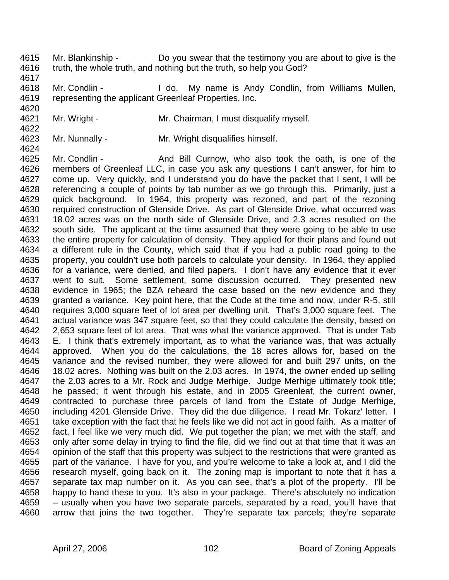- 4615 Mr. Blankinship Do you swear that the testimony you are about to give is the 4616 truth, the whole truth, and nothing but the truth, so help you God?
- 4617

4620

4622

4624

4618 Mr. Condlin - I do. My name is Andy Condlin, from Williams Mullen, 4619 representing the applicant Greenleaf Properties, Inc.

- 4621 Mr. Wright Mr. Chairman, I must disqualify myself.
- 4623 Mr. Nunnally Mr. Wright disqualifies himself.
- 4625 Mr. Condlin And Bill Curnow, who also took the oath, is one of the 4626 members of Greenleaf LLC, in case you ask any questions I can't answer, for him to 4627 come up. Very quickly, and I understand you do have the packet that I sent, I will be 4628 referencing a couple of points by tab number as we go through this. Primarily, just a 4629 quick background. In 1964, this property was rezoned, and part of the rezoning 4630 required construction of Glenside Drive. As part of Glenside Drive, what occurred was 4631 18.02 acres was on the north side of Glenside Drive, and 2.3 acres resulted on the 4632 south side. The applicant at the time assumed that they were going to be able to use 4633 the entire property for calculation of density. They applied for their plans and found out 4634 a different rule in the County, which said that if you had a public road going to the 4635 property, you couldn't use both parcels to calculate your density. In 1964, they applied 4636 for a variance, were denied, and filed papers. I don't have any evidence that it ever 4637 went to suit. Some settlement, some discussion occurred. They presented new 4638 evidence in 1965; the BZA reheard the case based on the new evidence and they 4639 granted a variance. Key point here, that the Code at the time and now, under R-5, still 4640 requires 3,000 square feet of lot area per dwelling unit. That's 3,000 square feet. The 4641 actual variance was 347 square feet, so that they could calculate the density, based on 4642 2,653 square feet of lot area. That was what the variance approved. That is under Tab 4643 E. I think that's extremely important, as to what the variance was, that was actually 4644 approved. When you do the calculations, the 18 acres allows for, based on the 4645 variance and the revised number, they were allowed for and built 297 units, on the 4646 18.02 acres. Nothing was built on the 2.03 acres. In 1974, the owner ended up selling 4647 the 2.03 acres to a Mr. Rock and Judge Merhige. Judge Merhige ultimately took title; 4648 he passed; it went through his estate, and in 2005 Greenleaf, the current owner, 4649 contracted to purchase three parcels of land from the Estate of Judge Merhige, 4650 including 4201 Glenside Drive. They did the due diligence. I read Mr. Tokarz' letter. I 4651 take exception with the fact that he feels like we did not act in good faith. As a matter of 4652 fact, I feel like we very much did. We put together the plan; we met with the staff, and 4653 only after some delay in trying to find the file, did we find out at that time that it was an 4654 opinion of the staff that this property was subject to the restrictions that were granted as 4655 part of the variance. I have for you, and you're welcome to take a look at, and I did the 4656 research myself, going back on it. The zoning map is important to note that it has a 4657 separate tax map number on it. As you can see, that's a plot of the property. I'll be 4658 happy to hand these to you. It's also in your package. There's absolutely no indication 4659 – usually when you have two separate parcels, separated by a road, you'll have that 4660 arrow that joins the two together. They're separate tax parcels; they're separate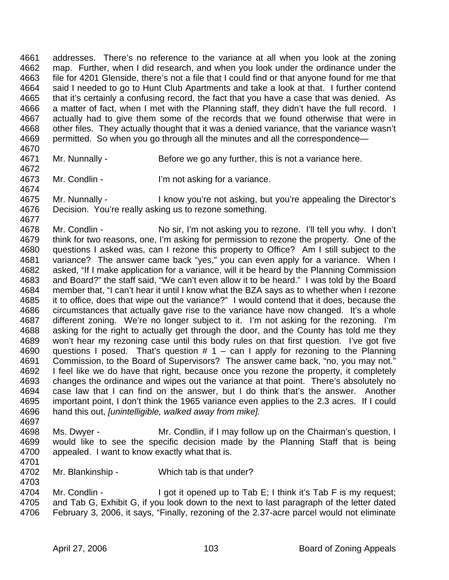4661 addresses. There's no reference to the variance at all when you look at the zoning 4662 map. Further, when I did research, and when you look under the ordinance under the 4663 file for 4201 Glenside, there's not a file that I could find or that anyone found for me that 4664 said I needed to go to Hunt Club Apartments and take a look at that. I further contend 4665 that it's certainly a confusing record, the fact that you have a case that was denied. As 4666 a matter of fact, when I met with the Planning staff, they didn't have the full record. I 4667 actually had to give them some of the records that we found otherwise that were in 4668 other files. They actually thought that it was a denied variance, that the variance wasn't 4669 permitted. So when you go through all the minutes and all the correspondence—

- 4670
- 4671 Mr. Nunnally Before we go any further, this is not a variance here.
- 4672 4673 Mr. Condlin - I'm not asking for a variance.
- 4674 4675 Mr. Nunnally - I know you're not asking, but you're appealing the Director's 4676 Decision. You're really asking us to rezone something.
- 4677

4701

- 4678 Mr. Condlin No sir, I'm not asking you to rezone. I'll tell you why. I don't 4679 think for two reasons, one, I'm asking for permission to rezone the property. One of the 4680 questions I asked was, can I rezone this property to Office? Am I still subject to the 4681 variance? The answer came back "yes," you can even apply for a variance. When I 4682 asked, "If I make application for a variance, will it be heard by the Planning Commission 4683 and Board?" the staff said, "We can't even allow it to be heard." I was told by the Board 4684 member that, "I can't hear it until I know what the BZA says as to whether when I rezone 4685 it to office, does that wipe out the variance?" I would contend that it does, because the 4686 circumstances that actually gave rise to the variance have now changed. It's a whole 4687 different zoning. We're no longer subject to it. I'm not asking for the rezoning. I'm 4688 asking for the right to actually get through the door, and the County has told me they 4689 won't hear my rezoning case until this body rules on that first question. I've got five 4690 questions I posed. That's question  $# 1 - can 1$  apply for rezoning to the Planning 4691 Commission, to the Board of Supervisors? The answer came back, "no, you may not." 4692 I feel like we do have that right, because once you rezone the property, it completely 4693 changes the ordinance and wipes out the variance at that point. There's absolutely no 4694 case law that I can find on the answer, but I do think that's the answer. Another 4695 important point, I don't think the 1965 variance even applies to the 2.3 acres. If I could 4696 hand this out, *[unintelligible, walked away from mike].* 4697
- 4698 Ms. Dwyer Mr. Condlin, if I may follow up on the Chairman's question, I 4699 would like to see the specific decision made by the Planning Staff that is being 4700 appealed. I want to know exactly what that is.
- 4702 Mr. Blankinship Which tab is that under?
- 4704 Mr. Condlin I got it opened up to Tab E; I think it's Tab F is my request; 4705 and Tab G, Exhibit G, if you look down to the next to last paragraph of the letter dated 4706 February 3, 2006, it says, "Finally, rezoning of the 2.37-acre parcel would not eliminate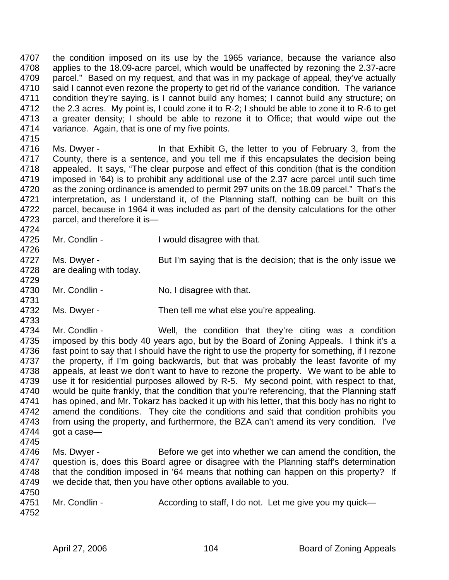4707 the condition imposed on its use by the 1965 variance, because the variance also 4708 applies to the 18.09-acre parcel, which would be unaffected by rezoning the 2.37-acre 4709 parcel." Based on my request, and that was in my package of appeal, they've actually 4710 said I cannot even rezone the property to get rid of the variance condition. The variance 4711 condition they're saying, is I cannot build any homes; I cannot build any structure; on 4712 the 2.3 acres. My point is, I could zone it to R-2; I should be able to zone it to R-6 to get 4713 a greater density; I should be able to rezone it to Office; that would wipe out the 4714 variance. Again, that is one of my five points.

- 4716 Ms. Dwyer In that Exhibit G, the letter to you of February 3, from the 4717 County, there is a sentence, and you tell me if this encapsulates the decision being 4718 appealed. It says, "The clear purpose and effect of this condition (that is the condition 4719 imposed in '64) is to prohibit any additional use of the 2.37 acre parcel until such time 4720 as the zoning ordinance is amended to permit 297 units on the 18.09 parcel." That's the 4721 interpretation, as I understand it, of the Planning staff, nothing can be built on this interpretation, as I understand it, of the Planning staff, nothing can be built on this 4722 parcel, because in 1964 it was included as part of the density calculations for the other 4723 parcel, and therefore it is—
- 4725 Mr. Condlin I would disagree with that.
- 4727 Ms. Dwyer But I'm saying that is the decision; that is the only issue we 4728 are dealing with today.
- 4730 Mr. Condlin No, I disagree with that.
- 4732 Ms. Dwyer Then tell me what else you're appealing.
- 4734 Mr. Condlin Well, the condition that they're citing was a condition 4735 imposed by this body 40 years ago, but by the Board of Zoning Appeals. I think it's a 4736 fast point to say that I should have the right to use the property for something, if I rezone 4737 the property, if I'm going backwards, but that was probably the least favorite of my 4738 appeals, at least we don't want to have to rezone the property. We want to be able to 4739 use it for residential purposes allowed by R-5. My second point, with respect to that, 4740 would be quite frankly, that the condition that you're referencing, that the Planning staff 4741 has opined, and Mr. Tokarz has backed it up with his letter, that this body has no right to<br>4742 amend the conditions. They cite the conditions and said that condition prohibits you amend the conditions. They cite the conditions and said that condition prohibits you 4743 from using the property, and furthermore, the BZA can't amend its very condition. I've 4744 got a case—
- 4745

4715

4724

4726

4729

4731

- 4746 Ms. Dwyer Before we get into whether we can amend the condition, the 4747 question is, does this Board agree or disagree with the Planning staff's determination 4748 that the condition imposed in '64 means that nothing can happen on this property? If 4749 we decide that, then you have other options available to you. 4750
- 4751 Mr. Condlin According to staff, I do not. Let me give you my quick— 4752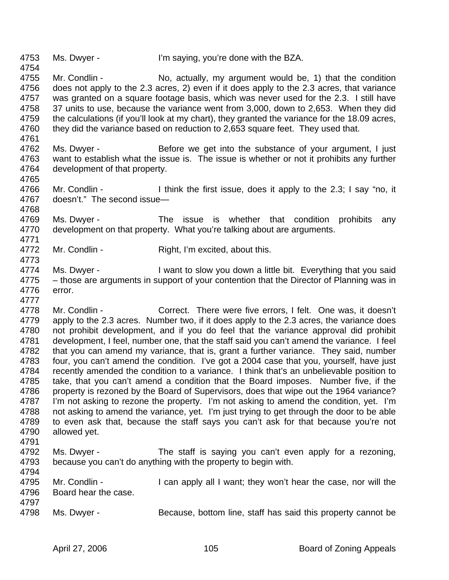4753 Ms. Dwyer - I'm saying, you're done with the BZA.

4754

4761

4765

4773

- 4755 Mr. Condlin No, actually, my argument would be, 1) that the condition 4756 does not apply to the 2.3 acres, 2) even if it does apply to the 2.3 acres, that variance 4757 was granted on a square footage basis, which was never used for the 2.3. I still have 4758 37 units to use, because the variance went from 3,000, down to 2,653. When they did 4759 the calculations (if you'll look at my chart), they granted the variance for the 18.09 acres, 4760 they did the variance based on reduction to 2,653 square feet. They used that.
- 4762 Ms. Dwyer Before we get into the substance of your argument, I just 4763 want to establish what the issue is. The issue is whether or not it prohibits any further 4764 development of that property.
- 4766 Mr. Condlin I think the first issue, does it apply to the 2.3; I say "no, it 4767 doesn't." The second issue doesn't." The second issue— 4768
- 4769 Ms. Dwyer The issue is whether that condition prohibits any 4770 development on that property. What you're talking about are arguments. 4771
- 4772 Mr. Condlin Right, I'm excited, about this.
- 4774 Ms. Dwyer I want to slow you down a little bit. Everything that you said 4775 – those are arguments in support of your contention that the Director of Planning was in 4776 error. 4777
- 4778 Mr. Condlin Correct. There were five errors, I felt. One was, it doesn't 4779 apply to the 2.3 acres. Number two, if it does apply to the 2.3 acres, the variance does 4780 not prohibit development, and if you do feel that the variance approval did prohibit 4781 development, I feel, number one, that the staff said you can't amend the variance. I feel 4782 that you can amend my variance, that is, grant a further variance. They said, number 4783 four, you can't amend the condition. I've got a 2004 case that you, yourself, have just 4784 recently amended the condition to a variance. I think that's an unbelievable position to 4785 take, that you can't amend a condition that the Board imposes. Number five, if the 4786 property is rezoned by the Board of Supervisors, does that wipe out the 1964 variance? 4787 I'm not asking to rezone the property. I'm not asking to amend the condition, yet. I'm 4788 not asking to amend the variance, yet. I'm just trying to get through the door to be able 4789 to even ask that, because the staff says you can't ask for that because you're not 4790 allowed yet.
- 4791 4792 Ms. Dwyer - The staff is saying you can't even apply for a rezoning, 4793 because you can't do anything with the property to begin with.
- 4795 Mr. Condlin I can apply all I want; they won't hear the case, nor will the 4796 Board hear the case. 4797
- 4798 Ms. Dwyer Because, bottom line, staff has said this property cannot be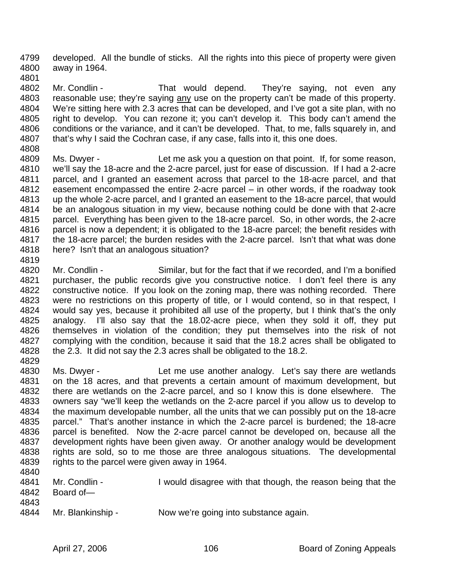4799 developed. All the bundle of sticks. All the rights into this piece of property were given 4800 away in 1964. 4801

4802 Mr. Condlin - That would depend. They're saying, not even any 4803 reasonable use; they're saying any use on the property can't be made of this property. 4804 We're sitting here with 2.3 acres that can be developed, and I've got a site plan, with no 4805 right to develop. You can rezone it; you can't develop it. This body can't amend the 4806 conditions or the variance, and it can't be developed. That, to me, falls squarely in, and 4807 that's why I said the Cochran case, if any case, falls into it, this one does.

- 4808
- 4809 Ms. Dwyer Let me ask you a question on that point. If, for some reason, 4810 we'll say the 18-acre and the 2-acre parcel, just for ease of discussion. If I had a 2-acre 4811 parcel, and I granted an easement across that parcel to the 18-acre parcel, and that 4812 easement encompassed the entire 2-acre parcel – in other words, if the roadway took 4813 up the whole 2-acre parcel, and I granted an easement to the 18-acre parcel, that would 4814 be an analogous situation in my view, because nothing could be done with that 2-acre 4815 parcel. Everything has been given to the 18-acre parcel. So, in other words, the 2-acre 4816 parcel is now a dependent; it is obligated to the 18-acre parcel; the benefit resides with 4817 the 18-acre parcel; the burden resides with the 2-acre parcel. Isn't that what was done 4818 here? Isn't that an analogous situation?
- 4819

4820 Mr. Condlin - Similar, but for the fact that if we recorded, and I'm a bonified 4821 purchaser, the public records give you constructive notice. I don't feel there is any 4822 constructive notice. If you look on the zoning map, there was nothing recorded. There 4823 were no restrictions on this property of title, or I would contend, so in that respect, I 4824 would say yes, because it prohibited all use of the property, but I think that's the only 4825 analogy. I'll also say that the 18.02-acre piece, when they sold it off, they put 4826 themselves in violation of the condition; they put themselves into the risk of not 4827 complying with the condition, because it said that the 18.2 acres shall be obligated to 4828 the 2.3. It did not say the 2.3 acres shall be obligated to the 18.2. 4829

4830 Ms. Dwyer - Let me use another analogy. Let's say there are wetlands 4831 on the 18 acres, and that prevents a certain amount of maximum development, but 4832 there are wetlands on the 2-acre parcel, and so I know this is done elsewhere. The 4833 owners say "we'll keep the wetlands on the 2-acre parcel if you allow us to develop to 4834 the maximum developable number, all the units that we can possibly put on the 18-acre 4835 parcel." That's another instance in which the 2-acre parcel is burdened; the 18-acre 4836 parcel is benefited. Now the 2-acre parcel cannot be developed on, because all the 4837 development rights have been given away. Or another analogy would be development 4838 rights are sold, so to me those are three analogous situations. The developmental 4839 rights to the parcel were given away in 1964. 4840

- 4841 Mr. Condlin I would disagree with that though, the reason being that the 4842 Board of— 4843
- 4844 Mr. Blankinship Now we're going into substance again.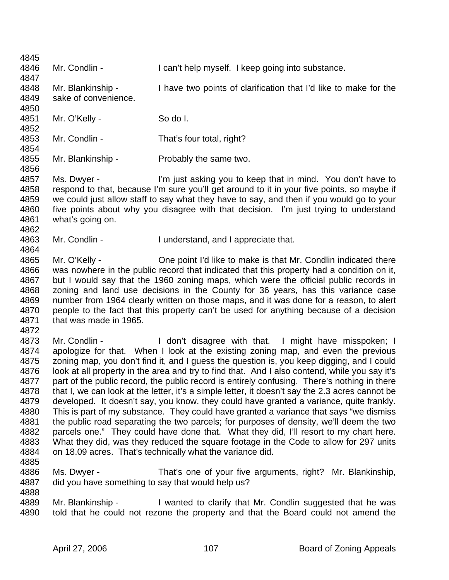4845 4846 Mr. Condlin - I can't help myself. I keep going into substance. 4847 4848 Mr. Blankinship - I have two points of clarification that I'd like to make for the 4849 sake of convenience. 4850 4851 Mr. O'Kelly - So do I. 4852 4853 Mr. Condlin - That's four total, right? 4854 4855 Mr. Blankinship - Probably the same two. 4856 4857 Ms. Dwyer - I'm just asking you to keep that in mind. You don't have to 4858 respond to that, because I'm sure you'll get around to it in your five points, so maybe if 4859 we could just allow staff to say what they have to say, and then if you would go to your 4860 five points about why you disagree with that decision. I'm just trying to understand 4861 what's going on. 4862 4863 Mr. Condlin - I understand, and I appreciate that. 4864 4865 Mr. O'Kelly - One point I'd like to make is that Mr. Condlin indicated there 4866 was nowhere in the public record that indicated that this property had a condition on it, 4867 but I would say that the 1960 zoning maps, which were the official public records in 4868 zoning and land use decisions in the County for 36 years, has this variance case 4869 number from 1964 clearly written on those maps, and it was done for a reason, to alert 4870 people to the fact that this property can't be used for anything because of a decision 4871 that was made in 1965. 4872 4873 Mr. Condlin - I don't disagree with that. I might have misspoken; I 4874 apologize for that. When I look at the existing zoning map, and even the previous 4875 zoning map, you don't find it, and I guess the question is, you keep digging, and I could 4876 look at all property in the area and try to find that. And I also contend, while you say it's 4877 part of the public record, the public record is entirely confusing. There's nothing in there 4878 that I, we can look at the letter, it's a simple letter, it doesn't say the 2.3 acres cannot be 4879 developed. It doesn't say, you know, they could have granted a variance, quite frankly. 4880 This is part of my substance. They could have granted a variance that says "we dismiss 4881 the public road separating the two parcels; for purposes of density, we'll deem the two 4882 parcels one." They could have done that. What they did, I'll resort to my chart here. 4883 What they did, was they reduced the square footage in the Code to allow for 297 units 4884 on 18.09 acres. That's technically what the variance did. 4885 4886 Ms. Dwyer - That's one of your five arguments, right? Mr. Blankinship, 4887 did you have something to say that would help us? 4888 4889 Mr. Blankinship - I wanted to clarify that Mr. Condlin suggested that he was 4890 told that he could not rezone the property and that the Board could not amend the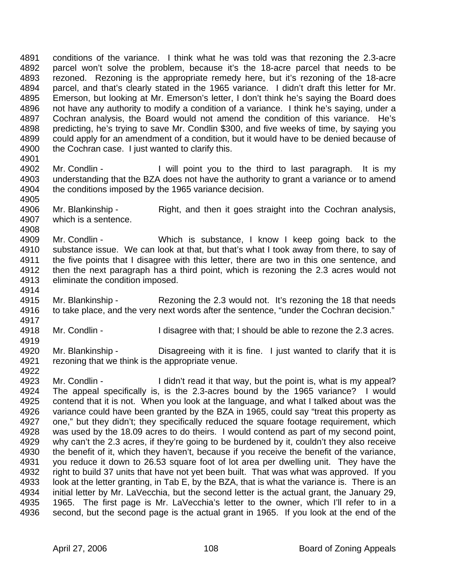4891 conditions of the variance. I think what he was told was that rezoning the 2.3-acre 4892 parcel won't solve the problem, because it's the 18-acre parcel that needs to be 4893 rezoned. Rezoning is the appropriate remedy here, but it's rezoning of the 18-acre 4894 parcel, and that's clearly stated in the 1965 variance. I didn't draft this letter for Mr. 4895 Emerson, but looking at Mr. Emerson's letter, I don't think he's saying the Board does 4896 not have any authority to modify a condition of a variance. I think he's saying, under a 4897 Cochran analysis, the Board would not amend the condition of this variance. He's 4898 predicting, he's trying to save Mr. Condlin \$300, and five weeks of time, by saying you 4899 could apply for an amendment of a condition, but it would have to be denied because of 4900 the Cochran case. I just wanted to clarify this. 4901

- 4902 Mr. Condlin I will point you to the third to last paragraph. It is my 4903 understanding that the BZA does not have the authority to grant a variance or to amend 4904 the conditions imposed by the 1965 variance decision. 4905
- 4906 Mr. Blankinship Right, and then it goes straight into the Cochran analysis, 4907 which is a sentence. 4908
- 4909 Mr. Condlin Which is substance, I know I keep going back to the 4910 substance issue. We can look at that, but that's what I took away from there, to say of 4911 the five points that I disagree with this letter, there are two in this one sentence, and 4912 then the next paragraph has a third point, which is rezoning the 2.3 acres would not 4913 eliminate the condition imposed.
- 4914<br>4915 Mr. Blankinship - Rezoning the 2.3 would not. It's rezoning the 18 that needs 4916 to take place, and the very next words after the sentence, "under the Cochran decision." 4917
- 4918 Mr. Condlin I disagree with that; I should be able to rezone the 2.3 acres.
- 4920 Mr. Blankinship Disagreeing with it is fine. I just wanted to clarify that it is 4921 rezoning that we think is the appropriate venue. 4922
- 4923 Mr. Condlin I didn't read it that way, but the point is, what is my appeal? 4924 The appeal specifically is, is the 2.3-acres bound by the 1965 variance? I would 4925 contend that it is not. When you look at the language, and what I talked about was the 4926 variance could have been granted by the BZA in 1965, could say "treat this property as 4927 one," but they didn't; they specifically reduced the square footage requirement, which 4928 was used by the 18.09 acres to do theirs. I would contend as part of my second point, 4929 why can't the 2.3 acres, if they're going to be burdened by it, couldn't they also receive 4930 the benefit of it, which they haven't, because if you receive the benefit of the variance, 4931 you reduce it down to 26.53 square foot of lot area per dwelling unit. They have the 4932 right to build 37 units that have not yet been built. That was what was approved. If you 4933 look at the letter granting, in Tab E, by the BZA, that is what the variance is. There is an 4934 initial letter by Mr. LaVecchia, but the second letter is the actual grant, the January 29, 4935 1965. The first page is Mr. LaVecchia's letter to the owner, which I'll refer to in a 4936 second, but the second page is the actual grant in 1965. If you look at the end of the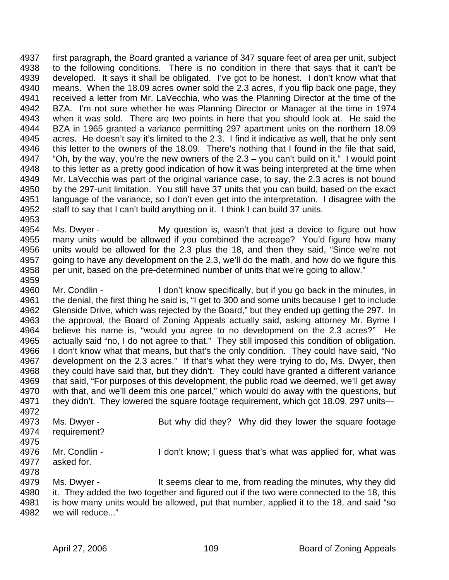4937 first paragraph, the Board granted a variance of 347 square feet of area per unit, subject 4938 to the following conditions. There is no condition in there that says that it can't be 4939 developed. It says it shall be obligated. I've got to be honest. I don't know what that 4940 means. When the 18.09 acres owner sold the 2.3 acres, if you flip back one page, they 4941 received a letter from Mr. LaVecchia, who was the Planning Director at the time of the 4942 BZA. I'm not sure whether he was Planning Director or Manager at the time in 1974 4943 when it was sold. There are two points in here that you should look at. He said the 4944 BZA in 1965 granted a variance permitting 297 apartment units on the northern 18.09 4945 acres. He doesn't say it's limited to the 2.3. I find it indicative as well, that he only sent 4946 this letter to the owners of the 18.09. There's nothing that I found in the file that said, 4947 "Oh, by the way, you're the new owners of the  $2.3 - y$ ou can't build on it." I would point 4948 to this letter as a pretty good indication of how it was being interpreted at the time when 4949 Mr. LaVecchia was part of the original variance case, to say, the 2.3 acres is not bound 4950 by the 297-unit limitation. You still have 37 units that you can build, based on the exact 4951 language of the variance, so I don't even get into the interpretation. I disagree with the 4952 staff to say that I can't build anything on it. I think I can build 37 units.

4954 Ms. Dwyer - My question is, wasn't that just a device to figure out how 4955 many units would be allowed if you combined the acreage? You'd figure how many 4956 units would be allowed for the 2.3 plus the 18, and then they said, "Since we're not 4957 going to have any development on the 2.3, we'll do the math, and how do we figure this 4958 per unit, based on the pre-determined number of units that we're going to allow."

4960 Mr. Condlin - I don't know specifically, but if you go back in the minutes, in 4961 the denial, the first thing he said is, "I get to 300 and some units because I get to include 4962 Glenside Drive, which was rejected by the Board," but they ended up getting the 297. In 4963 the approval, the Board of Zoning Appeals actually said, asking attorney Mr. Byrne I 4964 believe his name is, "would you agree to no development on the 2.3 acres?" He 4965 actually said "no, I do not agree to that." They still imposed this condition of obligation. 4966 I don't know what that means, but that's the only condition. They could have said, "No 4967 development on the 2.3 acres." If that's what they were trying to do, Ms. Dwyer, then 4968 they could have said that, but they didn't. They could have granted a different variance 4969 that said, "For purposes of this development, the public road we deemed, we'll get away 4970 with that, and we'll deem this one parcel," which would do away with the questions, but 4971 they didn't. They lowered the square footage requirement, which got 18.09, 297 units— 4972

4973 Ms. Dwyer - But why did they? Why did they lower the square footage 4974 requirement? 4975

- 4976 Mr. Condlin I don't know; I guess that's what was applied for, what was 4977 asked for. 4978
	- 4979 Ms. Dwyer It seems clear to me, from reading the minutes, why they did 4980 it. They added the two together and figured out if the two were connected to the 18, this 4981 is how many units would be allowed, put that number, applied it to the 18, and said "so 4982 we will reduce..."

4953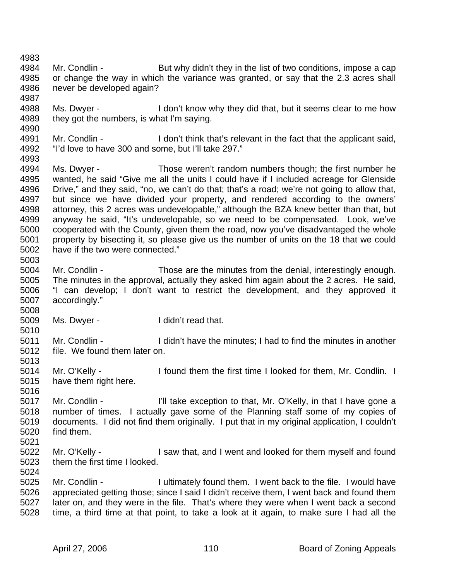4984 Mr. Condlin - But why didn't they in the list of two conditions, impose a cap 4985 or change the way in which the variance was granted, or say that the 2.3 acres shall 4986 never be developed again? 4987 4988 Ms. Dwyer - I don't know why they did that, but it seems clear to me how 4989 they got the numbers, is what I'm saying. 4990 4991 Mr. Condlin - I don't think that's relevant in the fact that the applicant said, 4992 "I'd love to have 300 and some, but I'll take 297." 4993 4994 Ms. Dwyer - Those weren't random numbers though; the first number he 4995 wanted, he said "Give me all the units I could have if I included acreage for Glenside 4996 Drive," and they said, "no, we can't do that; that's a road; we're not going to allow that, 4997 but since we have divided your property, and rendered according to the owners' but since we have divided your property, and rendered according to the owners' 4998 attorney, this 2 acres was undevelopable," although the BZA knew better than that, but 4999 anyway he said, "It's undevelopable, so we need to be compensated. Look, we've 5000 cooperated with the County, given them the road, now you've disadvantaged the whole 5001 property by bisecting it, so please give us the number of units on the 18 that we could 5002 have if the two were connected." 5003 5004 Mr. Condlin - Those are the minutes from the denial, interestingly enough. 5005 The minutes in the approval, actually they asked him again about the 2 acres. He said, 5006 "I can develop; I don't want to restrict the development, and they approved it 5007 accordingly." 5008 5009 Ms. Dwyer - I didn't read that. 5010 5011 Mr. Condlin - I didn't have the minutes; I had to find the minutes in another 5012 file. We found them later on. 5013 5014 Mr. O'Kelly - I found them the first time I looked for them, Mr. Condlin. I 5015 have them right here. 5016 5017 Mr. Condlin - I'll take exception to that, Mr. O'Kelly, in that I have gone a 5018 number of times. I actually gave some of the Planning staff some of my copies of 5019 documents. I did not find them originally. I put that in my original application, I couldn't 5020 find them. 5021 5022 Mr. O'Kelly - I saw that, and I went and looked for them myself and found 5023 them the first time I looked. 5024 5025 Mr. Condlin - I ultimately found them. I went back to the file. I would have 5026 appreciated getting those; since I said I didn't receive them, I went back and found them 5027 later on, and they were in the file. That's where they were when I went back a second 5028 time, a third time at that point, to take a look at it again, to make sure I had all the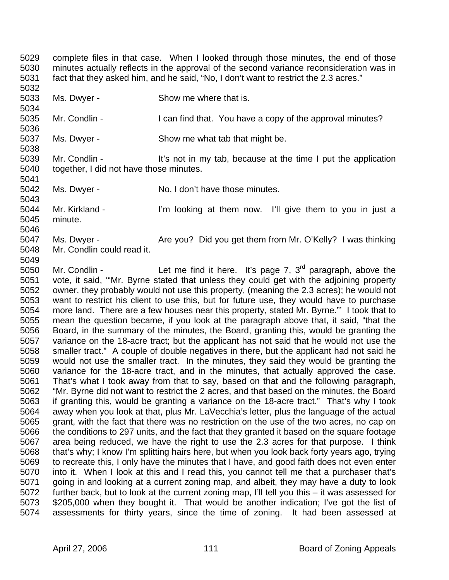5029 complete files in that case. When I looked through those minutes, the end of those 5030 minutes actually reflects in the approval of the second variance reconsideration was in 5031 fact that they asked him, and he said, "No, I don't want to restrict the 2.3 acres." 5032

- 5033 Ms. Dwyer Show me where that is.
- 5035 Mr. Condlin I can find that. You have a copy of the approval minutes?
- 5037 Ms. Dwyer Show me what tab that might be.

5039 Mr. Condlin - It's not in my tab, because at the time I put the application 5040 together, I did not have those minutes.

5034

5036

5038

5041

5049

- 5042 Ms. Dwyer No, I don't have those minutes. 5043
- 5044 Mr. Kirkland I'm looking at them now. I'll give them to you in just a 5045 minute. 5046
- 5047 Ms. Dwyer Are you? Did you get them from Mr. O'Kelly? I was thinking 5048 Mr. Condlin could read it.

5050 Mr. Condlin - Let me find it here. It's page 7,  $3<sup>rd</sup>$  paragraph, above the 5051 vote, it said, '"Mr. Byrne stated that unless they could get with the adjoining property 5052 owner, they probably would not use this property, (meaning the 2.3 acres); he would not 5053 want to restrict his client to use this, but for future use, they would have to purchase 5054 more land. There are a few houses near this property, stated Mr. Byrne."' I took that to 5055 mean the question became, if you look at the paragraph above that, it said, "that the 5056 Board, in the summary of the minutes, the Board, granting this, would be granting the 5057 variance on the 18-acre tract; but the applicant has not said that he would not use the 5058 smaller tract." A couple of double negatives in there, but the applicant had not said he 5059 would not use the smaller tract. In the minutes, they said they would be granting the 5060 variance for the 18-acre tract, and in the minutes, that actually approved the case. 5061 That's what I took away from that to say, based on that and the following paragraph, 5062 "Mr. Byrne did not want to restrict the 2 acres, and that based on the minutes, the Board 5063 if granting this, would be granting a variance on the 18-acre tract." That's why I took 5064 away when you look at that, plus Mr. LaVecchia's letter, plus the language of the actual 5065 grant, with the fact that there was no restriction on the use of the two acres, no cap on 5066 the conditions to 297 units, and the fact that they granted it based on the square footage 5067 area being reduced, we have the right to use the 2.3 acres for that purpose. I think 5068 that's why; I know I'm splitting hairs here, but when you look back forty years ago, trying 5069 to recreate this, I only have the minutes that I have, and good faith does not even enter 5070 into it. When I look at this and I read this, you cannot tell me that a purchaser that's 5071 going in and looking at a current zoning map, and albeit, they may have a duty to look 5072 further back, but to look at the current zoning map, I'll tell you this – it was assessed for 5073 \$205,000 when they bought it. That would be another indication; I've got the list of 5074 assessments for thirty years, since the time of zoning. It had been assessed at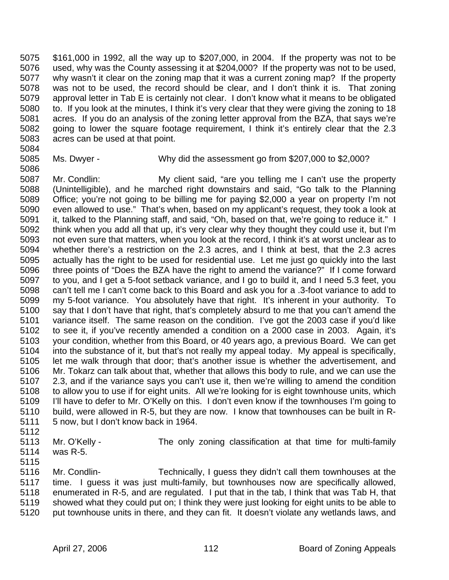5075 \$161,000 in 1992, all the way up to \$207,000, in 2004. If the property was not to be 5076 used, why was the County assessing it at \$204,000? If the property was not to be used, 5077 why wasn't it clear on the zoning map that it was a current zoning map? If the property 5078 was not to be used, the record should be clear, and I don't think it is. That zoning 5079 approval letter in Tab E is certainly not clear. I don't know what it means to be obligated 5080 to. If you look at the minutes, I think it's very clear that they were giving the zoning to 18 5081 acres. If you do an analysis of the zoning letter approval from the BZA, that says we're 5082 going to lower the square footage requirement, I think it's entirely clear that the 2.3 5083 acres can be used at that point.

- 5084
- 5086

5085 Ms. Dwyer - Why did the assessment go from \$207,000 to \$2,000?

5087 Mr. Condlin: My client said, "are you telling me I can't use the property 5088 (Unintelligible), and he marched right downstairs and said, "Go talk to the Planning 5089 Office; you're not going to be billing me for paying \$2,000 a year on property I'm not 5090 even allowed to use." That's when, based on my applicant's request, they took a look at 5091 it, talked to the Planning staff, and said, "Oh, based on that, we're going to reduce it." I 5092 think when you add all that up, it's very clear why they thought they could use it, but I'm 5093 not even sure that matters, when you look at the record, I think it's at worst unclear as to<br>5094 whether there's a restriction on the 2.3 acres, and I think at best, that the 2.3 acres whether there's a restriction on the 2.3 acres, and I think at best, that the 2.3 acres 5095 actually has the right to be used for residential use. Let me just go quickly into the last 5096 three points of "Does the BZA have the right to amend the variance?" If I come forward 5097 to you, and I get a 5-foot setback variance, and I go to build it, and I need 5.3 feet, you 5098 can't tell me I can't come back to this Board and ask you for a .3-foot variance to add to 5099 my 5-foot variance. You absolutely have that right. It's inherent in your authority. To 5100 say that I don't have that right, that's completely absurd to me that you can't amend the 5101 variance itself. The same reason on the condition. I've got the 2003 case if you'd like 5102 to see it, if you've recently amended a condition on a 2000 case in 2003. Again, it's 5103 your condition, whether from this Board, or 40 years ago, a previous Board. We can get 5104 into the substance of it, but that's not really my appeal today. My appeal is specifically, 5105 let me walk through that door; that's another issue is whether the advertisement, and 5106 Mr. Tokarz can talk about that, whether that allows this body to rule, and we can use the 5107 2.3, and if the variance says you can't use it, then we're willing to amend the condition 5108 to allow you to use if for eight units. All we're looking for is eight townhouse units, which 5109 I'll have to defer to Mr. O'Kelly on this. I don't even know if the townhouses I'm going to 5110 build, were allowed in R-5, but they are now. I know that townhouses can be built in R-5111 5 now, but I don't know back in 1964.

5112

5113 Mr. O'Kelly - The only zoning classification at that time for multi-family 5114 was R-5.

5115

5116 Mr. Condlin- Technically, I guess they didn't call them townhouses at the 5117 time. I guess it was just multi-family, but townhouses now are specifically allowed, 5118 enumerated in R-5, and are regulated. I put that in the tab, I think that was Tab H, that 5119 showed what they could put on; I think they were just looking for eight units to be able to 5120 put townhouse units in there, and they can fit. It doesn't violate any wetlands laws, and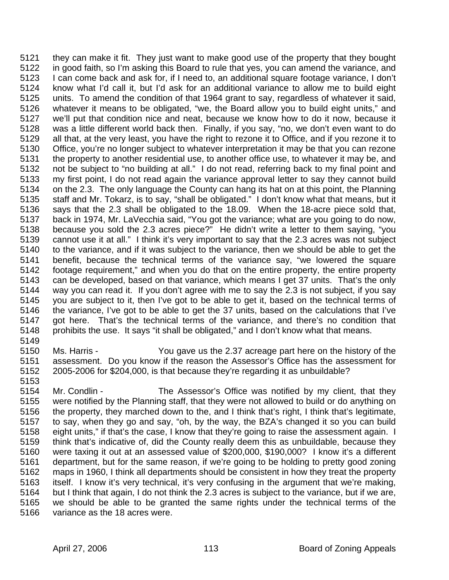5121 they can make it fit. They just want to make good use of the property that they bought 5122 in good faith, so I'm asking this Board to rule that yes, you can amend the variance, and 5123 I can come back and ask for, if I need to, an additional square footage variance, I don't 5124 know what I'd call it, but I'd ask for an additional variance to allow me to build eight 5125 units. To amend the condition of that 1964 grant to say, regardless of whatever it said, 5126 whatever it means to be obligated, "we, the Board allow you to build eight units," and 5127 we'll put that condition nice and neat, because we know how to do it now, because it 5128 was a little different world back then. Finally, if you say, "no, we don't even want to do 5129 all that, at the very least, you have the right to rezone it to Office, and if you rezone it to 5130 Office, you're no longer subject to whatever interpretation it may be that you can rezone 5131 the property to another residential use, to another office use, to whatever it may be, and 5132 not be subject to "no building at all." I do not read, referring back to my final point and 5133 my first point, I do not read again the variance approval letter to say they cannot build 5134 on the 2.3. The only language the County can hang its hat on at this point, the Planning 5135 staff and Mr. Tokarz, is to say, "shall be obligated." I don't know what that means, but it 5136 says that the 2.3 shall be obligated to the 18.09. When the 18-acre piece sold that, 5137 back in 1974, Mr. LaVecchia said, "You got the variance; what are you going to do now, 5138 because you sold the 2.3 acres piece?" He didn't write a letter to them saying, "you 5139 cannot use it at all." I think it's very important to say that the 2.3 acres was not subject 5140 to the variance, and if it was subject to the variance, then we should be able to get the 5141 benefit, because the technical terms of the variance say, "we lowered the square 5142 footage requirement," and when you do that on the entire property, the entire property 5143 can be developed, based on that variance, which means I get 37 units. That's the only 5144 way you can read it. If you don't agree with me to say the 2.3 is not subject, if you say 5145 you are subject to it, then I've got to be able to get it, based on the technical terms of 5146 the variance, I've got to be able to get the 37 units, based on the calculations that I've 5147 got here. That's the technical terms of the variance, and there's no condition that 5148 prohibits the use. It says "it shall be obligated," and I don't know what that means.

- 5150 Ms. Harris You gave us the 2.37 acreage part here on the history of the 5151 assessment. Do you know if the reason the Assessor's Office has the assessment for 5152 2005-2006 for \$204,000, is that because they're regarding it as unbuildable?
- 5153

5149

5154 Mr. Condlin - The Assessor's Office was notified by my client, that they 5155 were notified by the Planning staff, that they were not allowed to build or do anything on 5156 the property, they marched down to the, and I think that's right, I think that's legitimate, 5157 to say, when they go and say, "oh, by the way, the BZA's changed it so you can build 5158 eight units," if that's the case, I know that they're going to raise the assessment again. I 5159 think that's indicative of, did the County really deem this as unbuildable, because they 5160 were taxing it out at an assessed value of \$200,000, \$190,000? I know it's a different 5161 department, but for the same reason, if we're going to be holding to pretty good zoning 5162 maps in 1960, I think all departments should be consistent in how they treat the property 5163 itself. I know it's very technical, it's very confusing in the argument that we're making, 5164 but I think that again, I do not think the 2.3 acres is subject to the variance, but if we are, 5165 we should be able to be granted the same rights under the technical terms of the 5166 variance as the 18 acres were.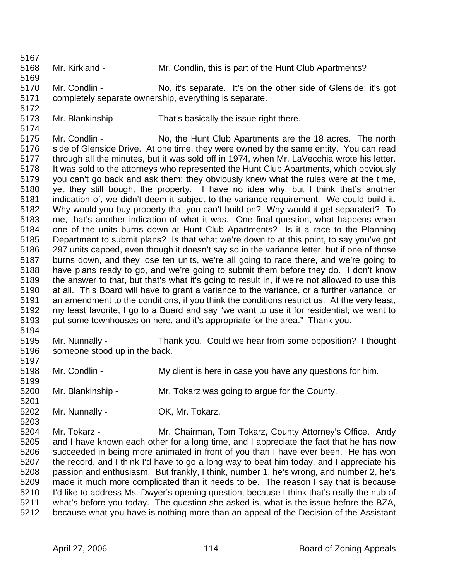5168 Mr. Kirkland - Mr. Condlin, this is part of the Hunt Club Apartments?

5170 Mr. Condlin - No, it's separate. It's on the other side of Glenside; it's got 5171 completely separate ownership, everything is separate.

5173 Mr. Blankinship - That's basically the issue right there.

5167

5169

5172

5174

5197

5199

5201

5203

5175 Mr. Condlin - No, the Hunt Club Apartments are the 18 acres. The north 5176 side of Glenside Drive. At one time, they were owned by the same entity. You can read 5177 through all the minutes, but it was sold off in 1974, when Mr. LaVecchia wrote his letter. 5178 It was sold to the attorneys who represented the Hunt Club Apartments, which obviously 5179 you can't go back and ask them; they obviously knew what the rules were at the time, 5180 yet they still bought the property. I have no idea why, but I think that's another<br>5181 indication of we didn't deem it subject to the variance requirement. We could build it. indication of, we didn't deem it subject to the variance requirement. We could build it. 5182 Why would you buy property that you can't build on? Why would it get separated? To 5183 me, that's another indication of what it was. One final question, what happens when 5184 one of the units burns down at Hunt Club Apartments? Is it a race to the Planning 5185 Department to submit plans? Is that what we're down to at this point, to say you've got 5186 297 units capped, even though it doesn't say so in the variance letter, but if one of those 5187 burns down, and they lose ten units, we're all going to race there, and we're going to 5188 have plans ready to go, and we're going to submit them before they do. I don't know 5189 the answer to that, but that's what it's going to result in, if we're not allowed to use this 5190 at all. This Board will have to grant a variance to the variance, or a further variance, or 5191 an amendment to the conditions, if you think the conditions restrict us. At the very least, 5192 my least favorite, I go to a Board and say "we want to use it for residential; we want to 5193 put some townhouses on here, and it's appropriate for the area." Thank you. 5194

- 5195 Mr. Nunnally Thank you. Could we hear from some opposition? I thought 5196 someone stood up in the back.
- 5198 Mr. Condlin My client is here in case you have any questions for him.
- 5200 Mr. Blankinship Mr. Tokarz was going to argue for the County.
- 5202 Mr. Nunnally OK, Mr. Tokarz.

5204 Mr. Tokarz - Mr. Chairman, Tom Tokarz, County Attorney's Office. Andy 5205 and I have known each other for a long time, and I appreciate the fact that he has now 5206 succeeded in being more animated in front of you than I have ever been. He has won 5207 the record, and I think I'd have to go a long way to beat him today, and I appreciate his 5208 passion and enthusiasm. But frankly, I think, number 1, he's wrong, and number 2, he's 5209 made it much more complicated than it needs to be. The reason I say that is because 5210 I'd like to address Ms. Dwyer's opening question, because I think that's really the nub of 5211 what's before you today. The question she asked is, what is the issue before the BZA, 5212 because what you have is nothing more than an appeal of the Decision of the Assistant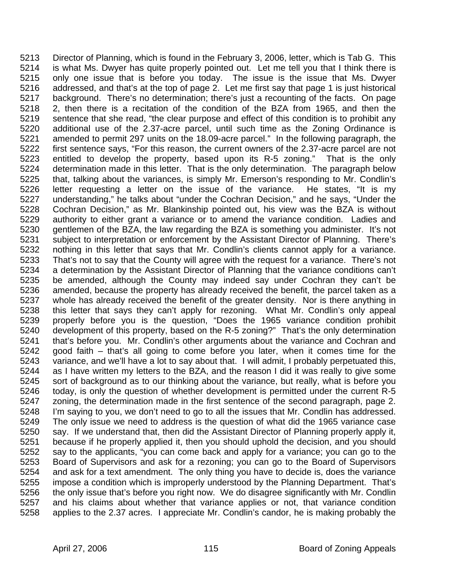5213 Director of Planning, which is found in the February 3, 2006, letter, which is Tab G. This 5214 is what Ms. Dwyer has quite properly pointed out. Let me tell you that I think there is 5215 only one issue that is before you today. The issue is the issue that Ms. Dwyer 5216 addressed, and that's at the top of page 2. Let me first say that page 1 is just historical 5217 background. There's no determination; there's just a recounting of the facts. On page 5218 2, then there is a recitation of the condition of the BZA from 1965, and then the 5219 sentence that she read, "the clear purpose and effect of this condition is to prohibit any 5220 additional use of the 2.37-acre parcel, until such time as the Zoning Ordinance is 5221 amended to permit 297 units on the 18.09-acre parcel." In the following paragraph, the 5222 first sentence says, "For this reason, the current owners of the 2.37-acre parcel are not 5223 entitled to develop the property, based upon its R-5 zoning." That is the only 5224 determination made in this letter. That is the only determination. The paragraph below 5225 that, talking about the variances, is simply Mr. Emerson's responding to Mr. Condlin's 5226 letter requesting a letter on the issue of the variance. He states, "It is my 5227 understanding," he talks about "under the Cochran Decision," and he says, "Under the 5228 Cochran Decision," as Mr. Blankinship pointed out, his view was the BZA is without 5229 authority to either grant a variance or to amend the variance condition. Ladies and 5230 gentlemen of the BZA, the law regarding the BZA is something you administer. It's not 5231 subject to interpretation or enforcement by the Assistant Director of Planning. There's 5232 nothing in this letter that says that Mr. Condlin's clients cannot apply for a variance. 5233 That's not to say that the County will agree with the request for a variance. There's not 5234 a determination by the Assistant Director of Planning that the variance conditions can't 5235 be amended, although the County may indeed say under Cochran they can't be 5236 amended, because the property has already received the benefit, the parcel taken as a 5237 whole has already received the benefit of the greater density. Nor is there anything in 5238 this letter that says they can't apply for rezoning. What Mr. Condlin's only appeal 5239 properly before you is the question, "Does the 1965 variance condition prohibit 5240 development of this property, based on the R-5 zoning?" That's the only determination 5241 that's before you. Mr. Condlin's other arguments about the variance and Cochran and 5242 good faith – that's all going to come before you later, when it comes time for the 5243 variance, and we'll have a lot to say about that. I will admit, I probably perpetuated this, 5244 as I have written my letters to the BZA, and the reason I did it was really to give some 5245 sort of background as to our thinking about the variance, but really, what is before you 5246 today, is only the question of whether development is permitted under the current R-5 5247 zoning, the determination made in the first sentence of the second paragraph, page 2. 5248 I'm saying to you, we don't need to go to all the issues that Mr. Condlin has addressed. 5249 The only issue we need to address is the question of what did the 1965 variance case 5250 say. If we understand that, then did the Assistant Director of Planning properly apply it, 5251 because if he properly applied it, then you should uphold the decision, and you should 5252 say to the applicants, "you can come back and apply for a variance; you can go to the 5253 Board of Supervisors and ask for a rezoning; you can go to the Board of Supervisors 5254 and ask for a text amendment. The only thing you have to decide is, does the variance 5255 impose a condition which is improperly understood by the Planning Department. That's 5256 the only issue that's before you right now. We do disagree significantly with Mr. Condlin 5257 and his claims about whether that variance applies or not, that variance condition 5258 applies to the 2.37 acres. I appreciate Mr. Condlin's candor, he is making probably the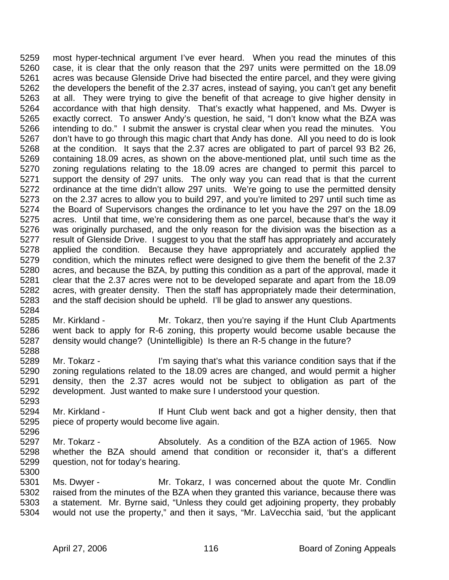5259 most hyper-technical argument I've ever heard. When you read the minutes of this 5260 case, it is clear that the only reason that the 297 units were permitted on the 18.09 5261 acres was because Glenside Drive had bisected the entire parcel, and they were giving 5262 the developers the benefit of the 2.37 acres, instead of saying, you can't get any benefit 5263 at all. They were trying to give the benefit of that acreage to give higher density in 5264 accordance with that high density. That's exactly what happened, and Ms. Dwyer is 5265 exactly correct. To answer Andy's question, he said, "I don't know what the BZA was 5266 intending to do." I submit the answer is crystal clear when you read the minutes. You 5267 don't have to go through this magic chart that Andy has done. All you need to do is look 5268 at the condition. It says that the 2.37 acres are obligated to part of parcel 93 B2 26, 5269 containing 18.09 acres, as shown on the above-mentioned plat, until such time as the 5270 zoning regulations relating to the 18.09 acres are changed to permit this parcel to 5271 support the density of 297 units. The only way you can read that is that the current 5272 ordinance at the time didn't allow 297 units. We're going to use the permitted density 5273 on the 2.37 acres to allow you to build 297, and you're limited to 297 until such time as 5274 the Board of Supervisors changes the ordinance to let you have the 297 on the 18.09 5275 acres. Until that time, we're considering them as one parcel, because that's the way it 5276 was originally purchased, and the only reason for the division was the bisection as a 5277 result of Glenside Drive. I suggest to you that the staff has appropriately and accurately 5278 applied the condition. Because they have appropriately and accurately applied the 5279 condition, which the minutes reflect were designed to give them the benefit of the 2.37 5280 acres, and because the BZA, by putting this condition as a part of the approval, made it 5281 clear that the 2.37 acres were not to be developed separate and apart from the 18.09 5282 acres, with greater density. Then the staff has appropriately made their determination, 5283 and the staff decision should be upheld. I'll be glad to answer any questions.

- 5285 Mr. Kirkland Mr. Tokarz, then you're saying if the Hunt Club Apartments 5286 went back to apply for R-6 zoning, this property would become usable because the 5287 density would change? (Unintelligible) Is there an R-5 change in the future? 5288
- 5289 Mr. Tokarz I'm saying that's what this variance condition says that if the 5290 zoning regulations related to the 18.09 acres are changed, and would permit a higher 5291 density, then the 2.37 acres would not be subject to obligation as part of the 5292 development. Just wanted to make sure I understood your question.
- 5294 Mr. Kirkland If Hunt Club went back and got a higher density, then that 5295 piece of property would become live again.
- 5297 Mr. Tokarz Absolutely. As a condition of the BZA action of 1965. Now 5298 whether the BZA should amend that condition or reconsider it, that's a different 5299 question, not for today's hearing. 5300
- 5301 Ms. Dwyer Mr. Tokarz, I was concerned about the quote Mr. Condlin 5302 raised from the minutes of the BZA when they granted this variance, because there was 5303 a statement. Mr. Byrne said, "Unless they could get adjoining property, they probably 5304 would not use the property," and then it says, "Mr. LaVecchia said, 'but the applicant

5284

5293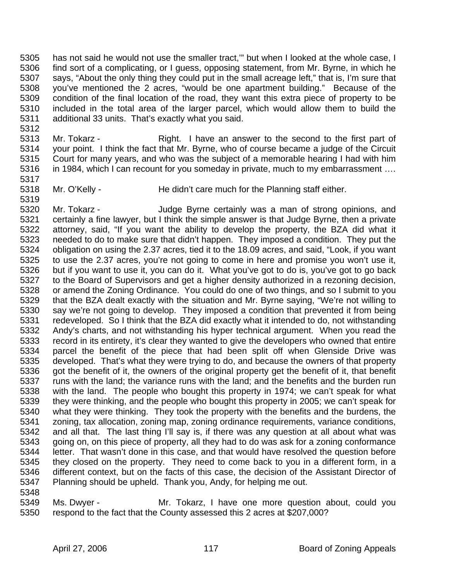5305 has not said he would not use the smaller tract,'" but when I looked at the whole case, I 5306 find sort of a complicating, or I guess, opposing statement, from Mr. Byrne, in which he 5307 says, "About the only thing they could put in the small acreage left," that is, I'm sure that 5308 you've mentioned the 2 acres, "would be one apartment building." Because of the 5309 condition of the final location of the road, they want this extra piece of property to be 5310 included in the total area of the larger parcel, which would allow them to build the 5311 additional 33 units. That's exactly what you said.

- 5313 Mr. Tokarz Right. I have an answer to the second to the first part of 5314 your point. I think the fact that Mr. Byrne, who of course became a judge of the Circuit 5315 Court for many years, and who was the subject of a memorable hearing I had with him 5316 in 1984, which I can recount for you someday in private, much to my embarrassment ....
- 5318 Mr. O'Kelly He didn't care much for the Planning staff either. 5319

5320 Mr. Tokarz - Judge Byrne certainly was a man of strong opinions, and 5321 certainly a fine lawyer, but I think the simple answer is that Judge Byrne, then a private 5322 attorney, said, "If you want the ability to develop the property, the BZA did what it 5323 needed to do to make sure that didn't happen. They imposed a condition. They put the 5324 obligation on using the 2.37 acres, tied it to the 18.09 acres, and said, "Look, if you want 5325 to use the 2.37 acres, you're not going to come in here and promise you won't use it, 5326 but if you want to use it, you can do it. What you've got to do is, you've got to go back 5327 to the Board of Supervisors and get a higher density authorized in a rezoning decision, 5328 or amend the Zoning Ordinance. You could do one of two things, and so I submit to you 5329 that the BZA dealt exactly with the situation and Mr. Byrne saying, "We're not willing to 5330 say we're not going to develop. They imposed a condition that prevented it from being 5331 redeveloped. So I think that the BZA did exactly what it intended to do, not withstanding 5332 Andy's charts, and not withstanding his hyper technical argument. When you read the 5333 record in its entirety, it's clear they wanted to give the developers who owned that entire 5334 parcel the benefit of the piece that had been split off when Glenside Drive was 5335 developed. That's what they were trying to do, and because the owners of that property 5336 got the benefit of it, the owners of the original property get the benefit of it, that benefit 5337 runs with the land; the variance runs with the land; and the benefits and the burden run 5338 with the land. The people who bought this property in 1974; we can't speak for what 5339 they were thinking, and the people who bought this property in 2005; we can't speak for 5340 what they were thinking. They took the property with the benefits and the burdens, the 5341 zoning, tax allocation, zoning map, zoning ordinance requirements, variance conditions, 5342 and all that. The last thing I'll say is, if there was any question at all about what was 5343 going on, on this piece of property, all they had to do was ask for a zoning conformance 5344 letter. That wasn't done in this case, and that would have resolved the question before 5345 they closed on the property. They need to come back to you in a different form, in a 5346 different context, but on the facts of this case, the decision of the Assistant Director of 5347 Planning should be upheld. Thank you, Andy, for helping me out.

5348

5312

5317

5349 Ms. Dwyer - Mr. Tokarz, I have one more question about, could you 5350 respond to the fact that the County assessed this 2 acres at \$207,000?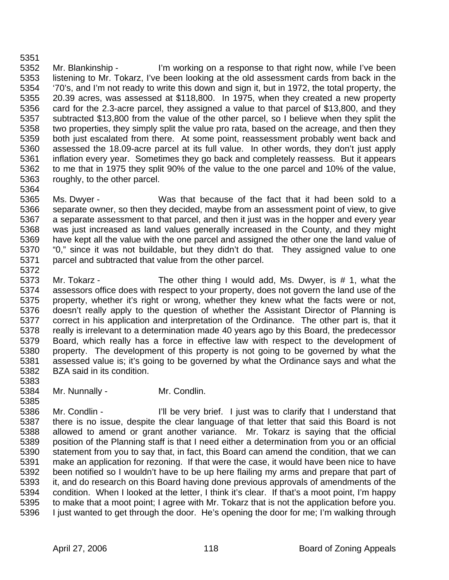5352 Mr. Blankinship - I'm working on a response to that right now, while I've been 5353 listening to Mr. Tokarz, I've been looking at the old assessment cards from back in the 5354 '70's, and I'm not ready to write this down and sign it, but in 1972, the total property, the 5355 20.39 acres, was assessed at \$118,800. In 1975, when they created a new property 5356 card for the 2.3-acre parcel, they assigned a value to that parcel of \$13,800, and they 5357 subtracted \$13,800 from the value of the other parcel, so I believe when they split the 5358 two properties, they simply split the value pro rata, based on the acreage, and then they 5359 both just escalated from there. At some point, reassessment probably went back and 5360 assessed the 18.09-acre parcel at its full value. In other words, they don't just apply 5361 inflation every year. Sometimes they go back and completely reassess. But it appears 5362 to me that in 1975 they split 90% of the value to the one parcel and 10% of the value, 5363 roughly, to the other parcel. 5364

- 5365 Ms. Dwyer Was that because of the fact that it had been sold to a 5366 separate owner, so then they decided, maybe from an assessment point of view, to give 5367 a separate assessment to that parcel, and then it just was in the hopper and every year 5368 was just increased as land values generally increased in the County, and they might 5369 have kept all the value with the one parcel and assigned the other one the land value of 5370 "0," since it was not buildable, but they didn't do that. They assigned value to one 5371 parcel and subtracted that value from the other parcel.
- 5373 Mr. Tokarz The other thing I would add, Ms. Dwyer, is # 1, what the 5374 assessors office does with respect to your property, does not govern the land use of the<br>5375 property, whether it's right or wrong, whether they knew what the facts were or not. property, whether it's right or wrong, whether they knew what the facts were or not, 5376 doesn't really apply to the question of whether the Assistant Director of Planning is 5377 correct in his application and interpretation of the Ordinance. The other part is, that it 5378 really is irrelevant to a determination made 40 years ago by this Board, the predecessor 5379 Board, which really has a force in effective law with respect to the development of 5380 property. The development of this property is not going to be governed by what the 5381 assessed value is; it's going to be governed by what the Ordinance says and what the 5382 BZA said in its condition.
- 5383

5372

- 5384 Mr. Nunnally Mr. Condlin. 5385
- 5386 Mr. Condlin I'll be very brief. I just was to clarify that I understand that 5387 there is no issue, despite the clear language of that letter that said this Board is not 5388 allowed to amend or grant another variance. Mr. Tokarz is saying that the official 5389 position of the Planning staff is that I need either a determination from you or an official 5390 statement from you to say that, in fact, this Board can amend the condition, that we can 5391 make an application for rezoning. If that were the case, it would have been nice to have 5392 been notified so I wouldn't have to be up here flailing my arms and prepare that part of 5393 it, and do research on this Board having done previous approvals of amendments of the 5394 condition. When I looked at the letter, I think it's clear. If that's a moot point, I'm happy 5395 to make that a moot point; I agree with Mr. Tokarz that is not the application before you. 5396 I just wanted to get through the door. He's opening the door for me; I'm walking through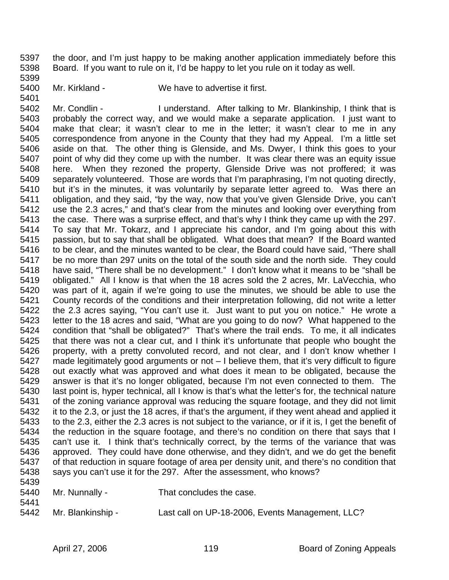5397 the door, and I'm just happy to be making another application immediately before this 5398 Board. If you want to rule on it, I'd be happy to let you rule on it today as well.

5399

5401

5400 Mr. Kirkland - We have to advertise it first.

5402 Mr. Condlin - I understand. After talking to Mr. Blankinship, I think that is 5403 probably the correct way, and we would make a separate application. I just want to 5404 make that clear; it wasn't clear to me in the letter; it wasn't clear to me in any 5405 correspondence from anyone in the County that they had my Appeal. I'm a little set 5406 aside on that. The other thing is Glenside, and Ms. Dwyer, I think this goes to your 5407 point of why did they come up with the number. It was clear there was an equity issue 5408 here. When they rezoned the property, Glenside Drive was not proffered; it was 5409 separately volunteered. Those are words that I'm paraphrasing, I'm not quoting directly, 5410 but it's in the minutes, it was voluntarily by separate letter agreed to. Was there an 5411 obligation, and they said, "by the way, now that you've given Glenside Drive, you can't 5412 use the 2.3 acres," and that's clear from the minutes and looking over everything from 5413 the case. There was a surprise effect, and that's why I think they came up with the 297. 5414 To say that Mr. Tokarz, and I appreciate his candor, and I'm going about this with 5415 passion, but to say that shall be obligated. What does that mean? If the Board wanted 5416 to be clear, and the minutes wanted to be clear, the Board could have said, "There shall 5417 be no more than 297 units on the total of the south side and the north side. They could 5418 have said, "There shall be no development." I don't know what it means to be "shall be 5419 obligated." All I know is that when the 18 acres sold the 2 acres, Mr. LaVecchia, who 5420 was part of it, again if we're going to use the minutes, we should be able to use the 5421 County records of the conditions and their interpretation following, did not write a letter 5422 the 2.3 acres saying, "You can't use it. Just want to put you on notice." He wrote a 5423 letter to the 18 acres and said, "What are you going to do now? What happened to the 5424 condition that "shall be obligated?" That's where the trail ends. To me, it all indicates 5425 that there was not a clear cut, and I think it's unfortunate that people who bought the 5426 property, with a pretty convoluted record, and not clear, and I don't know whether I 5427 made legitimately good arguments or not – I believe them, that it's very difficult to figure 5428 out exactly what was approved and what does it mean to be obligated, because the 5429 answer is that it's no longer obligated, because I'm not even connected to them. The 5430 last point is, hyper technical, all I know is that's what the letter's for, the technical nature 5431 of the zoning variance approval was reducing the square footage, and they did not limit 5432 it to the 2.3, or just the 18 acres, if that's the argument, if they went ahead and applied it 5433 to the 2.3, either the 2.3 acres is not subject to the variance, or if it is, I get the benefit of 5434 the reduction in the square footage, and there's no condition on there that says that I 5435 can't use it. I think that's technically correct, by the terms of the variance that was 5436 approved. They could have done otherwise, and they didn't, and we do get the benefit 5437 of that reduction in square footage of area per density unit, and there's no condition that 5438 says you can't use it for the 297. After the assessment, who knows? 5439

| 5440 | Mr. Nunnally -    | That concludes the case.                         |
|------|-------------------|--------------------------------------------------|
| 5441 |                   |                                                  |
| 5442 | Mr. Blankinship - | Last call on UP-18-2006, Events Management, LLC? |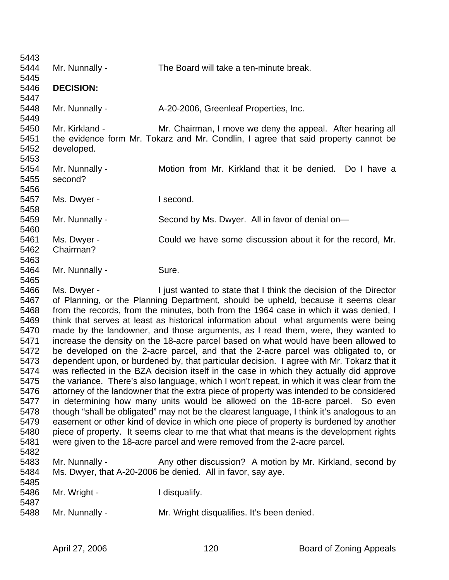| 5443 |                                                                                          |                                                                                            |  |
|------|------------------------------------------------------------------------------------------|--------------------------------------------------------------------------------------------|--|
| 5444 | Mr. Nunnally -                                                                           | The Board will take a ten-minute break.                                                    |  |
| 5445 |                                                                                          |                                                                                            |  |
| 5446 | <b>DECISION:</b>                                                                         |                                                                                            |  |
| 5447 |                                                                                          |                                                                                            |  |
| 5448 | Mr. Nunnally -                                                                           | A-20-2006, Greenleaf Properties, Inc.                                                      |  |
| 5449 |                                                                                          |                                                                                            |  |
| 5450 | Mr. Kirkland -                                                                           | Mr. Chairman, I move we deny the appeal. After hearing all                                 |  |
| 5451 |                                                                                          | the evidence form Mr. Tokarz and Mr. Condlin, I agree that said property cannot be         |  |
| 5452 | developed.                                                                               |                                                                                            |  |
| 5453 |                                                                                          |                                                                                            |  |
| 5454 | Mr. Nunnally -                                                                           | Motion from Mr. Kirkland that it be denied. Do I have a                                    |  |
| 5455 | second?                                                                                  |                                                                                            |  |
| 5456 |                                                                                          |                                                                                            |  |
| 5457 | Ms. Dwyer -                                                                              | I second.                                                                                  |  |
| 5458 |                                                                                          |                                                                                            |  |
| 5459 | Mr. Nunnally -                                                                           | Second by Ms. Dwyer. All in favor of denial on-                                            |  |
| 5460 |                                                                                          |                                                                                            |  |
| 5461 | Ms. Dwyer -                                                                              | Could we have some discussion about it for the record, Mr.                                 |  |
| 5462 | Chairman?                                                                                |                                                                                            |  |
| 5463 |                                                                                          |                                                                                            |  |
| 5464 | Mr. Nunnally -                                                                           | Sure.                                                                                      |  |
| 5465 |                                                                                          |                                                                                            |  |
| 5466 | Ms. Dwyer -                                                                              | I just wanted to state that I think the decision of the Director                           |  |
| 5467 |                                                                                          | of Planning, or the Planning Department, should be upheld, because it seems clear          |  |
| 5468 | from the records, from the minutes, both from the 1964 case in which it was denied, I    |                                                                                            |  |
| 5469 | think that serves at least as historical information about what arguments were being     |                                                                                            |  |
| 5470 | made by the landowner, and those arguments, as I read them, were, they wanted to         |                                                                                            |  |
| 5471 |                                                                                          | increase the density on the 18-acre parcel based on what would have been allowed to        |  |
| 5472 |                                                                                          | be developed on the 2-acre parcel, and that the 2-acre parcel was obligated to, or         |  |
| 5473 |                                                                                          | dependent upon, or burdened by, that particular decision. I agree with Mr. Tokarz that it  |  |
| 5474 |                                                                                          | was reflected in the BZA decision itself in the case in which they actually did approve    |  |
| 5475 |                                                                                          | the variance. There's also language, which I won't repeat, in which it was clear from the  |  |
| 5476 | attorney of the landowner that the extra piece of property was intended to be considered |                                                                                            |  |
| 5477 |                                                                                          | in determining how many units would be allowed on the 18-acre parcel. So even              |  |
| 5478 |                                                                                          | though "shall be obligated" may not be the clearest language, I think it's analogous to an |  |
| 5479 | easement or other kind of device in which one piece of property is burdened by another   |                                                                                            |  |
| 5480 | piece of property. It seems clear to me that what that means is the development rights   |                                                                                            |  |
| 5481 |                                                                                          | were given to the 18-acre parcel and were removed from the 2-acre parcel.                  |  |
| 5482 |                                                                                          |                                                                                            |  |
| 5483 | Mr. Nunnally -                                                                           | Any other discussion? A motion by Mr. Kirkland, second by                                  |  |
| 5484 |                                                                                          | Ms. Dwyer, that A-20-2006 be denied. All in favor, say aye.                                |  |
| 5485 |                                                                                          |                                                                                            |  |
| 5486 | Mr. Wright -                                                                             | I disqualify.                                                                              |  |
| 5487 |                                                                                          |                                                                                            |  |
| 5488 | Mr. Nunnally -                                                                           | Mr. Wright disqualifies. It's been denied.                                                 |  |
|      |                                                                                          |                                                                                            |  |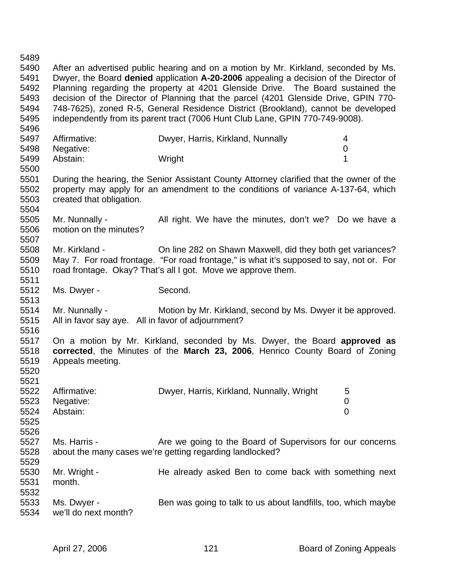5489 5490 After an advertised public hearing and on a motion by Mr. Kirkland, seconded by Ms. 5491 Dwyer, the Board **denied** application **A-20-2006** appealing a decision of the Director of 5492 Planning regarding the property at 4201 Glenside Drive. The Board sustained the 5493 decision of the Director of Planning that the parcel (4201 Glenside Drive, GPIN 770- 5494 748-7625), zoned R-5, General Residence District (Brookland), cannot be developed 5495 independently from its parent tract (7006 Hunt Club Lane, GPIN 770-749-9008). 5496 5497 Affirmative: Dwyer, Harris, Kirkland, Nunnally 4<br>5498 Negative: 0 **Security:** 0 5499 Abstain: Wright 1 5500 5501 During the hearing, the Senior Assistant County Attorney clarified that the owner of the 5502 property may apply for an amendment to the conditions of variance A-137-64, which 5503 created that obligation. 5504 5505 Mr. Nunnally - All right. We have the minutes, don't we? Do we have a 5506 motion on the minutes? 5507 5508 Mr. Kirkland - On line 282 on Shawn Maxwell, did they both get variances? 5509 May 7. For road frontage. "For road frontage," is what it's supposed to say, not or. For 5510 road frontage. Okay? That's all I got. Move we approve them. 5511 5512 Ms. Dwyer - Second. 5513 5514 Mr. Nunnally - Motion by Mr. Kirkland, second by Ms. Dwyer it be approved. 5515 All in favor say aye. All in favor of adjournment? 5516 5517 On a motion by Mr. Kirkland, seconded by Ms. Dwyer, the Board **approved as**  5518 **corrected**, the Minutes of the **March 23, 2006**, Henrico County Board of Zoning 5519 Appeals meeting. 5520 5521 5522 Affirmative: Dwyer, Harris, Kirkland, Nunnally, Wright 5 5523 Negative: 0 5524 Abstain: 0 5525 5526 5527 Ms. Harris - Are we going to the Board of Supervisors for our concerns 5528 about the many cases we're getting regarding landlocked? 5529 5530 Mr. Wright - He already asked Ben to come back with something next 5531 month. 5532 5533 Ms. Dwyer - Ben was going to talk to us about landfills, too, which maybe 5534 we'll do next month?